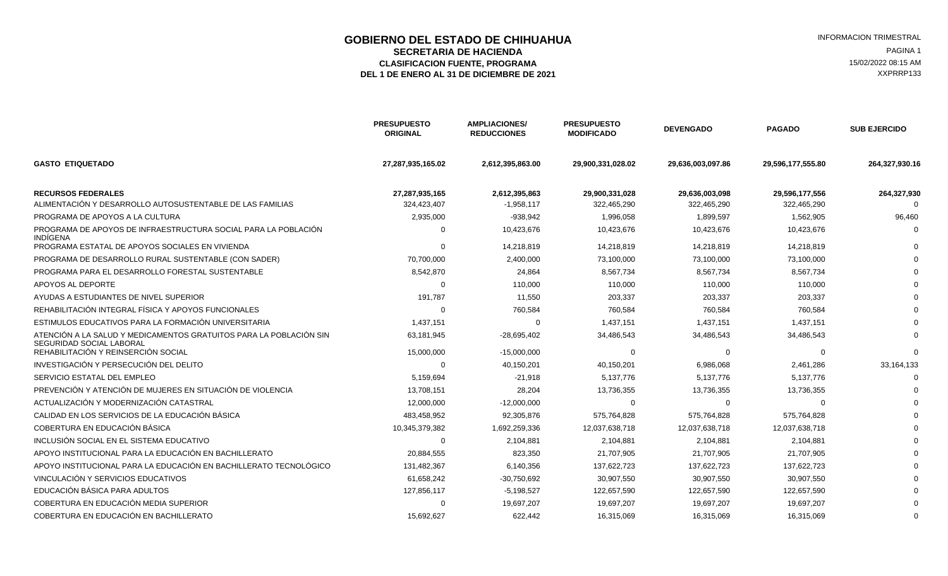# **GOBIERNO DEL ESTADO DE CHIHUAHUA EN ENTRE EN ENGLANDE DE CORTE DE CORTE DE LA CIENTAL ESTRAL EN ENGLANDE DE HA<br>SECRETARIA DE HACIENDA EN ENGLANDA EN ENGLANDA ENGLANDE DE SECRETARIA EN ENGLANDE DE HACIENDA ENGLANDE DE SEC**

ELASIFICACION FUENTE, PROGRAMA **15/02/2022 08:15 AM**<br>1 DE ENERO AL 31 DE DICIEMBRE DE 2021 **1999 - 1999 - 1999 - 1999 - 1999 - 1999 - 1999 - 1999 - 1999 - 1999 - 1**<br>2 AXPRRP133

DEL 1 DE ENERO AL 31 DE DICIEMBRE DE 2021

|                                                                                                | <b>PRESUPUESTO</b><br><b>ORIGINAL</b> | <b>AMPLIACIONES/</b><br><b>REDUCCIONES</b> | <b>PRESUPUESTO</b><br><b>MODIFICADO</b> | <b>DEVENGADO</b>  | <b>PAGADO</b>     | <b>SUB EJERCIDO</b> |
|------------------------------------------------------------------------------------------------|---------------------------------------|--------------------------------------------|-----------------------------------------|-------------------|-------------------|---------------------|
| <b>GASTO ETIQUETADO</b>                                                                        | 27,287,935,165.02                     | 2,612,395,863.00                           | 29,900,331,028.02                       | 29,636,003,097.86 | 29,596,177,555.80 | 264,327,930.16      |
| <b>RECURSOS FEDERALES</b><br>ALIMENTACIÓN Y DESARROLLO AUTOSUSTENTABLE DE LAS FAMILIAS         | 27,287,935,165                        | 2,612,395,863                              | 29,900,331,028                          | 29,636,003,098    | 29,596,177,556    | 264,327,930         |
| PROGRAMA DE APOYOS A LA CULTURA                                                                | 324,423,407                           | $-1,958,117$                               | 322,465,290                             | 322,465,290       | 322,465,290       |                     |
|                                                                                                | 2,935,000                             | $-938,942$                                 | 1,996,058                               | 1,899,597         | 1,562,905         | 96,460              |
| PROGRAMA DE APOYOS DE INFRAESTRUCTURA SOCIAL PARA LA POBLACIÓN<br><b>INDÍGENA</b>              | $\Omega$                              | 10,423,676                                 | 10,423,676                              | 10,423,676        | 10,423,676        |                     |
| PROGRAMA ESTATAL DE APOYOS SOCIALES EN VIVIENDA                                                | $\Omega$                              | 14,218,819                                 | 14,218,819                              | 14,218,819        | 14,218,819        |                     |
| PROGRAMA DE DESARROLLO RURAL SUSTENTABLE (CON SADER)                                           | 70,700,000                            | 2,400,000                                  | 73,100,000                              | 73,100,000        | 73,100,000        |                     |
| PROGRAMA PARA EL DESARROLLO FORESTAL SUSTENTABLE                                               | 8,542,870                             | 24,864                                     | 8,567,734                               | 8,567,734         | 8,567,734         |                     |
| APOYOS AL DEPORTE                                                                              | $\Omega$                              | 110,000                                    | 110,000                                 | 110,000           | 110,000           |                     |
| AYUDAS A ESTUDIANTES DE NIVEL SUPERIOR                                                         | 191,787                               | 11,550                                     | 203,337                                 | 203,337           | 203,337           |                     |
| REHABILITACIÓN INTEGRAL FÍSICA Y APOYOS FUNCIONALES                                            | $\Omega$                              | 760,584                                    | 760,584                                 | 760,584           | 760,584           |                     |
| ESTIMULOS EDUCATIVOS PARA LA FORMACIÓN UNIVERSITARIA                                           | 1,437,151                             | $\mathbf 0$                                | 1,437,151                               | 1,437,151         | 1,437,151         |                     |
| ATENCIÓN A LA SALUD Y MEDICAMENTOS GRATUITOS PARA LA POBLACIÓN SIN<br>SEGURIDAD SOCIAL LABORAL | 63,181,945                            | $-28,695,402$                              | 34,486,543                              | 34,486,543        | 34,486,543        |                     |
| REHABILITACIÓN Y REINSERCIÓN SOCIAL                                                            | 15,000,000                            | $-15,000,000$                              | $\Omega$                                | $\Omega$          | $\Omega$          | ∩                   |
| INVESTIGACIÓN Y PERSECUCIÓN DEL DELITO                                                         | $\Omega$                              | 40,150,201                                 | 40,150,201                              | 6,986,068         | 2,461,286         | 33,164,133          |
| SERVICIO ESTATAL DEL EMPLEO                                                                    | 5,159,694                             | $-21,918$                                  | 5,137,776                               | 5,137,776         | 5,137,776         | $\Omega$            |
| PREVENCIÓN Y ATENCIÓN DE MUJERES EN SITUACIÓN DE VIOLENCIA                                     | 13,708,151                            | 28,204                                     | 13,736,355                              | 13,736,355        | 13,736,355        |                     |
| ACTUALIZACIÓN Y MODERNIZACIÓN CATASTRAL                                                        | 12,000,000                            | $-12,000,000$                              | $\Omega$                                | $\Omega$          | $\Omega$          |                     |
| CALIDAD EN LOS SERVICIOS DE LA EDUCACIÓN BÁSICA                                                | 483,458,952                           | 92,305,876                                 | 575,764,828                             | 575,764,828       | 575,764,828       |                     |
| COBERTURA EN EDUCACIÓN BÁSICA                                                                  | 10,345,379,382                        | 1,692,259,336                              | 12,037,638,718                          | 12,037,638,718    | 12,037,638,718    |                     |
| INCLUSIÓN SOCIAL EN EL SISTEMA EDUCATIVO                                                       | $\mathbf 0$                           | 2,104,881                                  | 2,104,881                               | 2,104,881         | 2,104,881         |                     |
| APOYO INSTITUCIONAL PARA LA EDUCACIÓN EN BACHILLERATO                                          | 20,884,555                            | 823,350                                    | 21,707,905                              | 21,707,905        | 21,707,905        |                     |
| APOYO INSTITUCIONAL PARA LA EDUCACIÓN EN BACHILLERATO TECNOLÓGICO                              | 131,482,367                           | 6,140,356                                  | 137,622,723                             | 137,622,723       | 137,622,723       |                     |
| VINCULACIÓN Y SERVICIOS EDUCATIVOS                                                             | 61,658,242                            | $-30,750,692$                              | 30,907,550                              | 30,907,550        | 30,907,550        |                     |
| EDUCACIÓN BÁSICA PARA ADULTOS                                                                  | 127,856,117                           | $-5,198,527$                               | 122,657,590                             | 122,657,590       | 122,657,590       |                     |
| COBERTURA EN EDUCACIÓN MEDIA SUPERIOR                                                          | $\Omega$                              | 19,697,207                                 | 19,697,207                              | 19,697,207        | 19,697,207        |                     |
| COBERTURA EN EDUCACIÓN EN BACHILLERATO                                                         | 15,692,627                            | 622,442                                    | 16,315,069                              | 16,315,069        | 16,315,069        | $\Omega$            |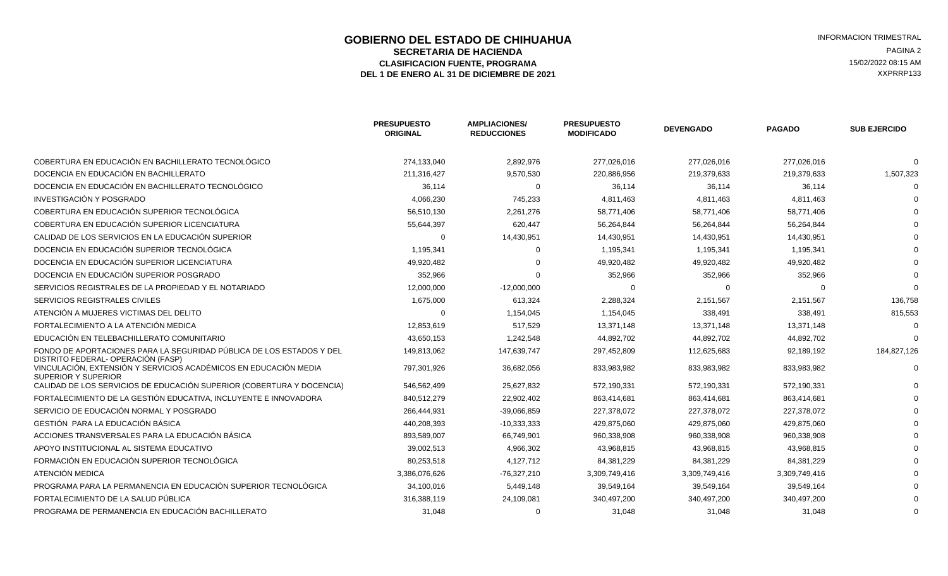### **GOBIERNO DEL ESTADO DE CHIHUAHUA EN ENGLÉ EN ENGLÉ ESTADO DE CHIHUAHUA EN ENGLÉ EN ENGLÉ EN ENGLÉ EN ENGLÉ EN<br>SECRETARIA DE HACIENDA SECRETARIA DE HACIENDA** PAGINA 2<br>**ASIFICACION FUENTE. PROGRAMA** POR ENTREMINA AND ENTRE ELECTRICATION DE EN 15/02/2022 08:15 AM ELASIFICACION FUENTE, PROGRAMA **15/02/2022 08:15 AM** 15/02/2022 08:15 AM 15/02/2022 08:15 AM 2013<br>L 1 DE ENERO AL 31 DE DICIEMBRE DE 2021 DEL 1 DE ENERO AL 31 DE DICIEMBRE DE 2021

|                                                                                                           | <b>PRESUPUESTO</b><br><b>ORIGINAL</b> | <b>AMPLIACIONES/</b><br><b>REDUCCIONES</b> | <b>PRESUPUESTO</b><br><b>MODIFICADO</b> | <b>DEVENGADO</b> | <b>PAGADO</b> | <b>SUB EJERCIDO</b> |
|-----------------------------------------------------------------------------------------------------------|---------------------------------------|--------------------------------------------|-----------------------------------------|------------------|---------------|---------------------|
| COBERTURA EN EDUCACIÓN EN BACHILLERATO TECNOLÓGICO                                                        | 274,133,040                           | 2,892,976                                  | 277,026,016                             | 277,026,016      | 277,026,016   |                     |
| DOCENCIA EN EDUCACIÓN EN BACHILLERATO                                                                     | 211,316,427                           | 9,570,530                                  | 220,886,956                             | 219,379,633      | 219,379,633   | 1,507,323           |
| DOCENCIA EN EDUCACIÓN EN BACHILLERATO TECNOLÓGICO                                                         | 36,114                                | $\Omega$                                   | 36,114                                  | 36,114           | 36,114        |                     |
| INVESTIGACIÓN Y POSGRADO                                                                                  | 4,066,230                             | 745,233                                    | 4,811,463                               | 4,811,463        | 4,811,463     |                     |
| COBERTURA EN EDUCACIÓN SUPERIOR TECNOLÓGICA                                                               | 56.510.130                            | 2,261,276                                  | 58,771,406                              | 58,771,406       | 58,771,406    |                     |
| COBERTURA EN EDUCACIÓN SUPERIOR LICENCIATURA                                                              | 55,644,397                            | 620,447                                    | 56,264,844                              | 56,264,844       | 56,264,844    |                     |
| CALIDAD DE LOS SERVICIOS EN LA EDUCACIÓN SUPERIOR                                                         | 0                                     | 14,430,951                                 | 14,430,951                              | 14,430,951       | 14,430,951    |                     |
| DOCENCIA EN EDUCACIÓN SUPERIOR TECNOLÓGICA                                                                | 1,195,341                             | $\Omega$                                   | 1,195,341                               | 1,195,341        | 1,195,341     |                     |
| DOCENCIA EN EDUCACIÓN SUPERIOR LICENCIATURA                                                               | 49,920,482                            |                                            | 49,920,482                              | 49,920,482       | 49,920,482    |                     |
| DOCENCIA EN EDUCACIÓN SUPERIOR POSGRADO                                                                   | 352,966                               | $\Omega$                                   | 352,966                                 | 352,966          | 352,966       |                     |
| SERVICIOS REGISTRALES DE LA PROPIEDAD Y EL NOTARIADO                                                      | 12,000,000                            | $-12,000,000$                              | $\Omega$                                |                  |               |                     |
| SERVICIOS REGISTRALES CIVILES                                                                             | 1,675,000                             | 613,324                                    | 2,288,324                               | 2,151,567        | 2,151,567     | 136,758             |
| ATENCIÓN A MUJERES VICTIMAS DEL DELITO                                                                    | $\Omega$                              | 1,154,045                                  | 1,154,045                               | 338,491          | 338,491       | 815,553             |
| FORTALECIMIENTO A LA ATENCIÓN MEDICA                                                                      | 12,853,619                            | 517,529                                    | 13,371,148                              | 13,371,148       | 13,371,148    |                     |
| EDUCACIÓN EN TELEBACHILLERATO COMUNITARIO                                                                 | 43,650,153                            | 1,242,548                                  | 44,892,702                              | 44,892,702       | 44,892,702    |                     |
| FONDO DE APORTACIONES PARA LA SEGURIDAD PÚBLICA DE LOS ESTADOS Y DEL<br>DISTRITO FEDERAL-OPERACIÓN (FASP) | 149.813.062                           | 147,639,747                                | 297.452.809                             | 112,625,683      | 92,189,192    | 184,827,126         |
| VINCULACIÓN, EXTENSIÓN Y SERVICIOS ACADÉMICOS EN EDUCACIÓN MEDIA<br><b>SUPERIOR Y SUPERIOR</b>            | 797.301.926                           | 36,682,056                                 | 833,983,982                             | 833,983,982      | 833,983,982   |                     |
| CALIDAD DE LOS SERVICIOS DE EDUCACIÓN SUPERIOR (COBERTURA Y DOCENCIA)                                     | 546,562,499                           | 25,627,832                                 | 572,190,331                             | 572,190,331      | 572,190,331   |                     |
| FORTALECIMIENTO DE LA GESTIÓN EDUCATIVA. INCLUYENTE E INNOVADORA                                          | 840,512,279                           | 22,902,402                                 | 863,414,681                             | 863,414,681      | 863,414,681   |                     |
| SERVICIO DE EDUCACIÓN NORMAL Y POSGRADO                                                                   | 266,444,931                           | $-39,066,859$                              | 227,378,072                             | 227,378,072      | 227,378,072   |                     |
| GESTIÓN PARA LA EDUCACIÓN BÁSICA                                                                          | 440.208.393                           | $-10,333,333$                              | 429,875,060                             | 429,875,060      | 429,875,060   |                     |
| ACCIONES TRANSVERSALES PARA LA EDUCACIÓN BÁSICA                                                           | 893,589,007                           | 66,749,901                                 | 960,338,908                             | 960,338,908      | 960,338,908   |                     |
| APOYO INSTITUCIONAL AL SISTEMA EDUCATIVO                                                                  | 39,002,513                            | 4,966,302                                  | 43,968,815                              | 43,968,815       | 43,968,815    |                     |
| FORMACIÓN EN EDUCACIÓN SUPERIOR TECNOLÓGICA                                                               | 80,253,518                            | 4,127,712                                  | 84,381,229                              | 84,381,229       | 84,381,229    |                     |
| ATENCIÓN MEDICA                                                                                           | 3,386,076,626                         | $-76,327,210$                              | 3,309,749,416                           | 3,309,749,416    | 3,309,749,416 |                     |
| PROGRAMA PARA LA PERMANENCIA EN EDUCACIÓN SUPERIOR TECNOLÓGICA                                            | 34,100,016                            | 5,449,148                                  | 39,549,164                              | 39,549,164       | 39,549,164    |                     |
| FORTALECIMIENTO DE LA SALUD PÚBLICA                                                                       | 316,388,119                           | 24,109,081                                 | 340,497,200                             | 340,497,200      | 340,497,200   |                     |
| PROGRAMA DE PERMANENCIA EN EDUCACIÓN BACHILLERATO                                                         | 31.048                                | $\Omega$                                   | 31,048                                  | 31,048           | 31,048        |                     |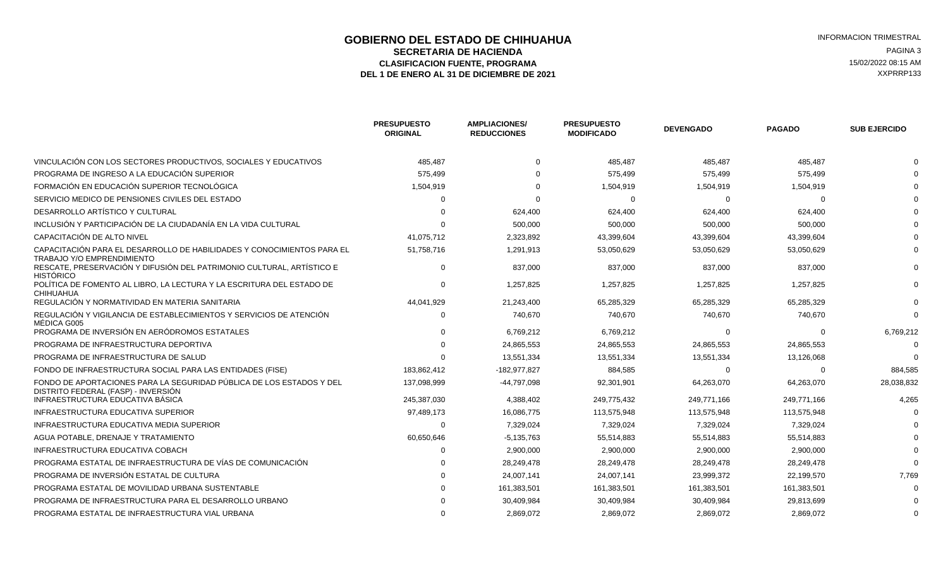### **GOBIERNO DEL ESTADO DE CHIHUAHUA EN ENTRE EN ENGLANDE DE CORTE DE CORTE DE LA CIENNA ENCRETARIA ENGLANDE EN EN<br>SECRETARIA DE HACIENDA SECRETARIA DE HACIENDA** PAGINA 3<br>**ASIFICACION FUENTE. PROGRAMA** POR ENTREMINA ASIFICACION E EN ENGRANA A PAGINA A ASIFICACION E EN ENGRAMA ELASIFICACION FUENTE, PROGRAMA **15/02/2022 08:15 AM**<br>1 DE ENERO AL 31 DE DICIEMBRE DE 2021 **1999 - 1999 - 1999 - 1999 - 1999 - 1999 - 1999 - 1999 - 1999 - 1999 - 1**<br>2 AXPRRP133 DEL 1 DE ENERO AL 31 DE DICIEMBRE DE 2021

| <b>PRESUPUESTO</b><br><b>ORIGINAL</b> | <b>AMPLIACIONES/</b><br><b>REDUCCIONES</b> | <b>PRESUPUESTO</b><br><b>MODIFICADO</b> | <b>DEVENGADO</b> | <b>PAGADO</b> | <b>SUB EJERCIDO</b> |
|---------------------------------------|--------------------------------------------|-----------------------------------------|------------------|---------------|---------------------|
| 485,487                               |                                            | 485,487                                 | 485,487          | 485,487       |                     |
| 575,499                               |                                            | 575,499                                 | 575,499          | 575,499       |                     |
| 1,504,919                             |                                            | 1,504,919                               | 1,504,919        | 1,504,919     |                     |
|                                       |                                            | $\Omega$                                | $\Omega$         | $\Omega$      |                     |
|                                       | 624,400                                    | 624,400                                 | 624,400          | 624,400       |                     |
|                                       | 500,000                                    | 500,000                                 | 500,000          | 500,000       |                     |
| 41,075,712                            | 2,323,892                                  | 43,399,604                              | 43,399,604       | 43,399,604    |                     |
| 51,758,716                            | 1,291,913                                  | 53.050.629                              | 53.050.629       | 53,050,629    |                     |
| $\Omega$                              | 837,000                                    | 837,000                                 | 837,000          | 837,000       |                     |
| U                                     | 1,257,825                                  | 1.257.825                               | 1.257.825        | 1,257,825     |                     |
| 44,041,929                            | 21,243,400                                 | 65,285,329                              | 65,285,329       | 65,285,329    |                     |
| $\Omega$                              | 740,670                                    | 740,670                                 | 740,670          | 740,670       |                     |
|                                       | 6,769,212                                  | 6,769,212                               | $\Omega$         | $\Omega$      | 6,769,212           |
|                                       | 24,865,553                                 | 24,865,553                              | 24,865,553       | 24,865,553    |                     |
|                                       | 13,551,334                                 | 13,551,334                              | 13,551,334       | 13,126,068    |                     |
| 183,862,412                           | -182,977,827                               | 884,585                                 | $\Omega$         | $\Omega$      | 884,585             |
| 137,098,999                           | -44,797,098                                | 92,301,901                              | 64,263,070       | 64,263,070    | 28,038,832          |
| 245.387.030                           | 4,388,402                                  | 249.775.432                             | 249,771,166      | 249,771,166   | 4,265               |
| 97,489,173                            | 16,086,775                                 | 113,575,948                             | 113,575,948      | 113,575,948   |                     |
| $\Omega$                              | 7,329,024                                  | 7,329,024                               | 7,329,024        | 7,329,024     |                     |
| 60,650,646                            | $-5,135,763$                               | 55,514,883                              | 55,514,883       | 55,514,883    |                     |
|                                       | 2,900,000                                  | 2,900,000                               | 2,900,000        | 2,900,000     |                     |
|                                       | 28,249,478                                 | 28,249,478                              | 28,249,478       | 28,249,478    |                     |
|                                       | 24,007,141                                 | 24,007,141                              | 23,999,372       | 22,199,570    | 7,769               |
|                                       | 161,383,501                                | 161,383,501                             | 161,383,501      | 161,383,501   |                     |
|                                       | 30,409,984                                 | 30,409,984                              | 30,409,984       | 29,813,699    |                     |
|                                       | 2,869,072                                  | 2.869.072                               | 2.869.072        | 2,869,072     |                     |
|                                       |                                            |                                         |                  |               |                     |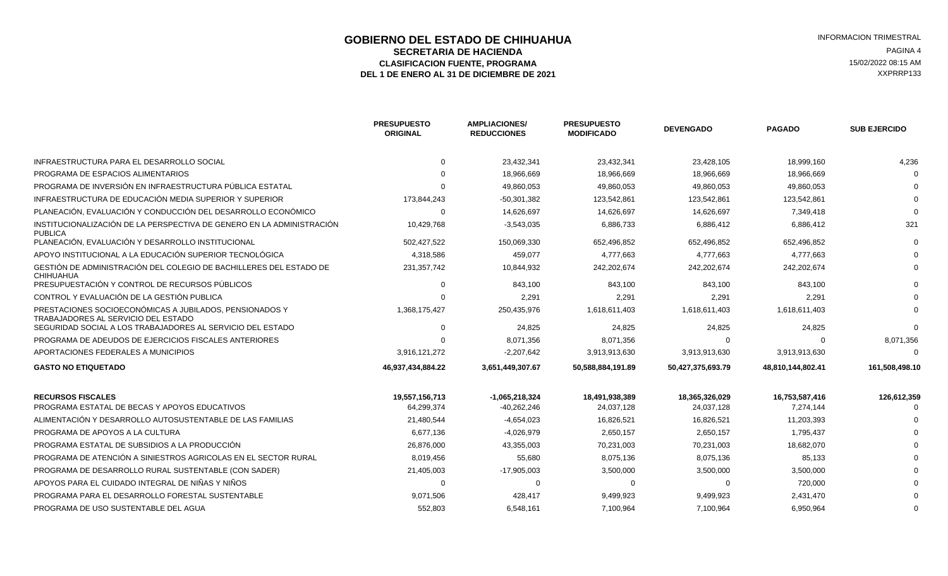### **GOBIERNO DEL ESTADO DE CHIHUAHUA EN ENTRE EN ENGLANDE DE CORTE DE CORTE DE LA CIENTAL ESTRAL EN ENGLANDE DE HA<br>SECRETARIA DE HACIENDA EN ENGLANDA EN ENGLANDA ENGLANDA ENGLANDE DE LA CIENDA ENGLANDA ENGLANDA ENGLANDA ENGLA SECRETARIA DE HACIENDA** PAGINA 4<br>**ASIFICACION FUENTE. PROGRAMA** PORTANA ELECTRICATIVA EL EL ENTREGO DE LA ELECTRICACION EL ENTREGENA EL ENTREGENA ELASIFICACION FUENTE, PROGRAMA **15/02/2022 08:15 AM**<br>1 DE ENERO AL 31 DE DICIEMBRE DE 2021 **1999 - 1999 - 1999 - 1999 - 1999 - 1999 - 1999 - 1999 - 1999 - 1999 - 1**<br>1 DE ENERO AL 31 DE DICIEMBRE DE 2021 DEL 1 DE ENERO AL 31 DE DICIEMBRE DE 2021

|                                                                                                | <b>PRESUPUESTO</b><br><b>ORIGINAL</b> | <b>AMPLIACIONES/</b><br><b>REDUCCIONES</b> | <b>PRESUPUESTO</b><br><b>MODIFICADO</b> | <b>DEVENGADO</b>  | <b>PAGADO</b>     | <b>SUB EJERCIDO</b> |
|------------------------------------------------------------------------------------------------|---------------------------------------|--------------------------------------------|-----------------------------------------|-------------------|-------------------|---------------------|
| INFRAESTRUCTURA PARA EL DESARROLLO SOCIAL                                                      | $\Omega$                              | 23,432,341                                 | 23,432,341                              | 23,428,105        | 18,999,160        | 4,236               |
| PROGRAMA DE ESPACIOS ALIMENTARIOS                                                              |                                       | 18.966.669                                 | 18.966.669                              | 18,966,669        | 18,966,669        |                     |
| PROGRAMA DE INVERSIÓN EN INFRAESTRUCTURA PÚBLICA ESTATAL                                       |                                       | 49,860,053                                 | 49,860,053                              | 49,860,053        | 49,860,053        |                     |
| INFRAESTRUCTURA DE EDUCACIÓN MEDIA SUPERIOR Y SUPERIOR                                         | 173,844,243                           | $-50,301,382$                              | 123,542,861                             | 123,542,861       | 123,542,861       |                     |
| PLANEACIÓN, EVALUACIÓN Y CONDUCCIÓN DEL DESARROLLO ECONÓMICO                                   | $\Omega$                              | 14,626,697                                 | 14,626,697                              | 14,626,697        | 7,349,418         |                     |
| INSTITUCIONALIZACIÓN DE LA PERSPECTIVA DE GENERO EN LA ADMINISTRACIÓN<br><b>PUBLICA</b>        | 10,429,768                            | $-3,543,035$                               | 6,886,733                               | 6,886,412         | 6,886,412         | 321                 |
| PLANEACIÓN. EVALUACIÓN Y DESARROLLO INSTITUCIONAL                                              | 502,427,522                           | 150,069,330                                | 652,496,852                             | 652,496,852       | 652,496,852       |                     |
| APOYO INSTITUCIONAL A LA EDUCACIÓN SUPERIOR TECNOLÓGICA                                        | 4,318,586                             | 459,077                                    | 4,777,663                               | 4,777,663         | 4,777,663         |                     |
| GESTIÓN DE ADMINISTRACIÓN DEL COLEGIO DE BACHILLERES DEL ESTADO DE<br><b>CHIHUAHUA</b>         | 231, 357, 742                         | 10,844,932                                 | 242,202,674                             | 242,202,674       | 242,202,674       |                     |
| PRESUPUESTACIÓN Y CONTROL DE RECURSOS PÚBLICOS                                                 |                                       | 843,100                                    | 843,100                                 | 843,100           | 843,100           |                     |
| CONTROL Y EVALUACIÓN DE LA GESTIÓN PUBLICA                                                     |                                       | 2,291                                      | 2,291                                   | 2,291             | 2,291             |                     |
| PRESTACIONES SOCIOECONÓMICAS A JUBILADOS, PENSIONADOS Y<br>TRABAJADORES AL SERVICIO DEL ESTADO | 1,368,175,427                         | 250,435,976                                | 1,618,611,403                           | 1,618,611,403     | 1,618,611,403     |                     |
| SEGURIDAD SOCIAL A LOS TRABAJADORES AL SERVICIO DEL ESTADO                                     |                                       | 24,825                                     | 24,825                                  | 24,825            | 24,825            |                     |
| PROGRAMA DE ADEUDOS DE EJERCICIOS FISCALES ANTERIORES                                          |                                       | 8,071,356                                  | 8,071,356                               |                   | $\Omega$          | 8,071,356           |
| APORTACIONES FEDERALES A MUNICIPIOS                                                            | 3,916,121,272                         | $-2.207.642$                               | 3.913.913.630                           | 3.913.913.630     | 3,913,913,630     |                     |
| <b>GASTO NO ETIQUETADO</b>                                                                     | 46,937,434,884.22                     | 3,651,449,307.67                           | 50,588,884,191.89                       | 50,427,375,693.79 | 48,810,144,802.41 | 161,508,498.10      |
| <b>RECURSOS FISCALES</b>                                                                       | 19,557,156,713                        | $-1,065,218,324$                           | 18,491,938,389                          | 18,365,326,029    | 16,753,587,416    | 126,612,359         |
| PROGRAMA ESTATAL DE BECAS Y APOYOS EDUCATIVOS                                                  | 64,299,374                            | $-40,262,246$                              | 24,037,128                              | 24,037,128        | 7,274,144         |                     |
| ALIMENTACIÓN Y DESARROLLO AUTOSUSTENTABLE DE LAS FAMILIAS                                      | 21,480,544                            | $-4,654,023$                               | 16,826,521                              | 16,826,521        | 11,203,393        |                     |
| PROGRAMA DE APOYOS A LA CULTURA                                                                | 6,677,136                             | $-4,026,979$                               | 2,650,157                               | 2,650,157         | 1,795,437         |                     |
| PROGRAMA ESTATAL DE SUBSIDIOS A LA PRODUCCIÓN                                                  | 26,876,000                            | 43,355,003                                 | 70,231,003                              | 70,231,003        | 18,682,070        |                     |
| PROGRAMA DE ATENCIÓN A SINIESTROS AGRICOLAS EN EL SECTOR RURAL                                 | 8,019,456                             | 55,680                                     | 8,075,136                               | 8,075,136         | 85,133            |                     |
| PROGRAMA DE DESARROLLO RURAL SUSTENTABLE (CON SADER)                                           | 21,405,003                            | $-17,905,003$                              | 3,500,000                               | 3,500,000         | 3,500,000         |                     |
| APOYOS PARA EL CUIDADO INTEGRAL DE NIÑAS Y NIÑOS                                               | $\Omega$                              | $\Omega$                                   | $\Omega$                                | $\Omega$          | 720,000           |                     |
| PROGRAMA PARA EL DESARROLLO FORESTAL SUSTENTABLE                                               | 9,071,506                             | 428,417                                    | 9,499,923                               | 9,499,923         | 2,431,470         |                     |
| PROGRAMA DE USO SUSTENTABLE DEL AGUA                                                           | 552.803                               | 6.548.161                                  | 7.100.964                               | 7.100.964         | 6.950.964         |                     |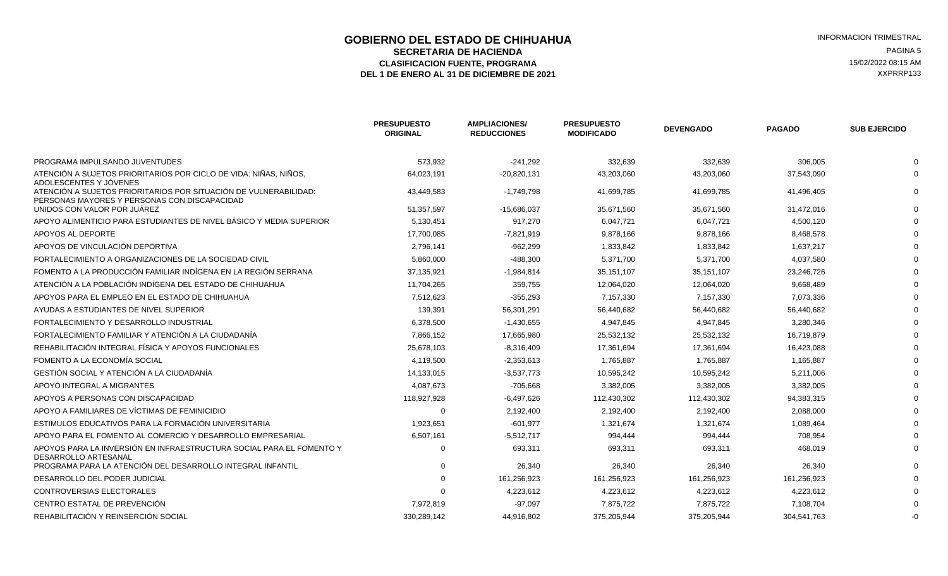### **GOBIERNO DEL ESTADO DE CHIHUAHUA INFORMACION TRIMESTRAL SECRETARIA DE HACIENDA** PAGINA 5<br>**ASIFICACION FUENTE. PROGRAMA** POR ENTREMINANT EN EL ENTRE EL ENTRE EL ENTRE EL ESPADO EN 15/02/2022 08:15 AM **CLASIFICACION FUENTE, PROGRAMA DEL 1 DE ENERO AL 31 DE DICIEMBRE DE 2021 XXPRRP133** XXPRRP133

|                                                                                              | <b>PRESUPUESTO</b><br><b>ORIGINAL</b> | <b>AMPLIACIONES/</b><br><b>REDUCCIONES</b> | <b>PRESUPUESTO</b><br><b>MODIFICADO</b> | <b>DEVENGADO</b> | <b>PAGADO</b> | <b>SUB EJERCIDO</b> |
|----------------------------------------------------------------------------------------------|---------------------------------------|--------------------------------------------|-----------------------------------------|------------------|---------------|---------------------|
| PROGRAMA IMPULSANDO JUVENTUDES                                                               | 573,932                               | $-241,292$                                 | 332,639                                 | 332,639          | 306,005       |                     |
| ATENCIÓN A SUJETOS PRIORITARIOS POR CICLO DE VIDA: NIÑAS, NIÑOS,<br>ADOLESCENTES Y JÓVENES   | 64,023,191                            | $-20,820,131$                              | 43,203,060                              | 43,203,060       | 37,543,090    |                     |
| ATENCIÓN A SUJETOS PRIORITARIOS POR SITUACIÓN DE VULNERABILIDAD:                             | 43,449,583                            | $-1,749,798$                               | 41,699,785                              | 41,699,785       | 41,496,405    |                     |
| PERSONAS MAYORES Y PERSONAS CON DISCAPACIDAD<br>UNIDOS CON VALOR POR JUÁREZ                  | 51,357,597                            | $-15,686,037$                              | 35,671,560                              | 35,671,560       | 31,472,016    |                     |
| APOYO ALIMENTICIO PARA ESTUDIANTES DE NIVEL BÁSICO Y MEDIA SUPERIOR                          | 5,130,451                             | 917,270                                    | 6,047,721                               | 6,047,721        | 4,500,120     |                     |
| APOYOS AL DEPORTE                                                                            | 17,700,085                            | $-7,821,919$                               | 9,878,166                               | 9,878,166        | 8,468,578     |                     |
| APOYOS DE VINCULACIÓN DEPORTIVA                                                              | 2,796,141                             | $-962,299$                                 | 1,833,842                               | 1,833,842        | 1,637,217     |                     |
| FORTALECIMIENTO A ORGANIZACIONES DE LA SOCIEDAD CIVIL                                        | 5,860,000                             | $-488,300$                                 | 5,371,700                               | 5,371,700        | 4,037,580     |                     |
| FOMENTO A LA PRODUCCIÓN FAMILIAR INDÍGENA EN LA REGIÓN SERRANA                               | 37,135,921                            | $-1,984,814$                               | 35,151,107                              | 35,151,107       | 23,246,726    |                     |
| ATENCIÓN A LA POBLACIÓN INDÍGENA DEL ESTADO DE CHIHUAHUA                                     | 11,704,265                            | 359,755                                    | 12,064,020                              | 12,064,020       | 9,668,489     |                     |
| APOYOS PARA EL EMPLEO EN EL ESTADO DE CHIHUAHUA                                              | 7,512,623                             | $-355,293$                                 | 7,157,330                               | 7,157,330        | 7,073,336     |                     |
| AYUDAS A ESTUDIANTES DE NIVEL SUPERIOR                                                       | 139,391                               | 56,301,291                                 | 56,440,682                              | 56,440,682       | 56,440,682    |                     |
| FORTALECIMIENTO Y DESARROLLO INDUSTRIAL                                                      | 6,378,500                             | $-1,430,655$                               | 4,947,845                               | 4,947,845        | 3,280,346     |                     |
| FORTALECIMIENTO FAMILIAR Y ATENCIÓN A LA CIUDADANÍA                                          | 7,866,152                             | 17,665,980                                 | 25,532,132                              | 25,532,132       | 16,719,879    |                     |
| REHABILITACIÓN INTEGRAL FÍSICA Y APOYOS FUNCIONALES                                          | 25,678,103                            | $-8,316,409$                               | 17,361,694                              | 17,361,694       | 16,423,088    |                     |
| FOMENTO A LA ECONOMÍA SOCIAL                                                                 | 4,119,500                             | $-2,353,613$                               | 1,765,887                               | 1,765,887        | 1,165,887     |                     |
| GESTIÓN SOCIAL Y ATENCIÓN A LA CIUDADANÍA                                                    | 14,133,015                            | $-3,537,773$                               | 10,595,242                              | 10,595,242       | 5,211,006     |                     |
| APOYO INTEGRAL A MIGRANTES                                                                   | 4,087,673                             | $-705,668$                                 | 3,382,005                               | 3,382,005        | 3,382,005     |                     |
| APOYOS A PERSONAS CON DISCAPACIDAD                                                           | 118,927,928                           | $-6,497,626$                               | 112,430,302                             | 112,430,302      | 94,383,315    |                     |
| APOYO A FAMILIARES DE VÍCTIMAS DE FEMINICIDIO                                                | $\Omega$                              | 2,192,400                                  | 2,192,400                               | 2,192,400        | 2,088,000     |                     |
| ESTIMULOS EDUCATIVOS PARA LA FORMACIÓN UNIVERSITARIA                                         | 1,923,651                             | $-601,977$                                 | 1,321,674                               | 1,321,674        | 1,089,464     |                     |
| APOYO PARA EL FOMENTO AL COMERCIO Y DESARROLLO EMPRESARIAL                                   | 6,507,161                             | $-5,512,717$                               | 994,444                                 | 994,444          | 708,954       |                     |
| APOYOS PARA LA INVERSIÓN EN INFRAESTRUCTURA SOCIAL PARA EL FOMENTO Y<br>DESARROLLO ARTESANAL | $\Omega$                              | 693,311                                    | 693,311                                 | 693,311          | 468,019       |                     |
| PROGRAMA PARA LA ATENCIÓN DEL DESARROLLO INTEGRAL INFANTIL                                   | $\Omega$                              | 26,340                                     | 26,340                                  | 26,340           | 26,340        |                     |
| DESARROLLO DEL PODER JUDICIAL                                                                |                                       | 161,256,923                                | 161,256,923                             | 161,256,923      | 161,256,923   |                     |
| <b>CONTROVERSIAS ELECTORALES</b>                                                             | $\Omega$                              | 4,223,612                                  | 4,223,612                               | 4,223,612        | 4,223,612     |                     |
| CENTRO ESTATAL DE PREVENCIÓN                                                                 | 7,972,819                             | $-97,097$                                  | 7,875,722                               | 7,875,722        | 7,108,704     |                     |
| REHABILITACIÓN Y REINSERCIÓN SOCIAL                                                          | 330,289,142                           | 44,916,802                                 | 375,205,944                             | 375,205,944      | 304,541,763   |                     |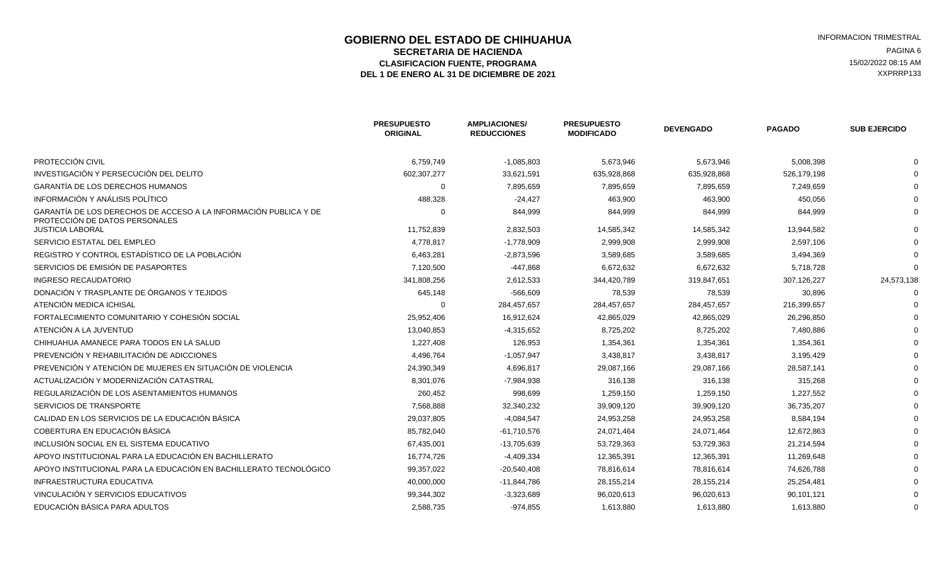### **GOBIERNO DEL ESTADO DE CHIHUAHUA EN ENTRE EN ENGLANDE DE CORTE DE CORTE DE LA CIENTA EN ENGLANDE DE LA CIENTA<br>SECRETARIA DE HACIENDA SECRETARIA DE HACIENDA** PAGINA 6<br>**ASIFICACION FUENTE. PROGRAMA** POR ENTREMINA ELECTRICACION EN EN ENGENADO EN EL ENTRE EL ENTRETADO EN EL EL ENTR ELASIFICACION FUENTE, PROGRAMA **15/02/2022 08:15 AM** 15/02/2022 08:15 AM 15/02/2022 08:15 AM 2013<br>L 1 DE ENERO AL 31 DE DICIEMBRE DE 2021 DEL 1 DE ENERO AL 31 DE DICIEMBRE DE 2021

|                                                                                                    | <b>PRESUPUESTO</b><br><b>ORIGINAL</b> | <b>AMPLIACIONES/</b><br><b>REDUCCIONES</b> | <b>PRESUPUESTO</b><br><b>MODIFICADO</b> | <b>DEVENGADO</b> | <b>PAGADO</b> | <b>SUB EJERCIDO</b> |
|----------------------------------------------------------------------------------------------------|---------------------------------------|--------------------------------------------|-----------------------------------------|------------------|---------------|---------------------|
| PROTECCIÓN CIVIL                                                                                   | 6,759,749                             | $-1,085,803$                               | 5,673,946                               | 5,673,946        | 5,008,398     |                     |
| INVESTIGACIÓN Y PERSECUCIÓN DEL DELITO                                                             | 602,307,277                           | 33,621,591                                 | 635,928,868                             | 635,928,868      | 526,179,198   |                     |
| <b>GARANTÍA DE LOS DERECHOS HUMANOS</b>                                                            | $\Omega$                              | 7,895,659                                  | 7,895,659                               | 7,895,659        | 7,249,659     |                     |
| INFORMACIÓN Y ANÁLISIS POLÍTICO                                                                    | 488,328                               | $-24,427$                                  | 463,900                                 | 463,900          | 450,056       |                     |
| GARANTÍA DE LOS DERECHOS DE ACCESO A LA INFORMACIÓN PUBLICA Y DE<br>PROTECCIÓN DE DATOS PERSONALES | $\Omega$                              | 844,999                                    | 844,999                                 | 844,999          | 844,999       |                     |
| <b>JUSTICIA LABORAL</b>                                                                            | 11,752,839                            | 2,832,503                                  | 14,585,342                              | 14,585,342       | 13,944,582    |                     |
| SERVICIO ESTATAL DEL EMPLEO                                                                        | 4,778,817                             | $-1,778,909$                               | 2,999,908                               | 2,999,908        | 2,597,106     |                     |
| REGISTRO Y CONTROL ESTADÍSTICO DE LA POBLACIÓN                                                     | 6,463,281                             | $-2,873,596$                               | 3,589,685                               | 3,589,685        | 3,494,369     |                     |
| SERVICIOS DE EMISIÓN DE PASAPORTES                                                                 | 7,120,500                             | $-447,868$                                 | 6,672,632                               | 6,672,632        | 5,718,728     |                     |
| <b>INGRESO RECAUDATORIO</b>                                                                        | 341,808,256                           | 2,612,533                                  | 344,420,789                             | 319,847,651      | 307,126,227   | 24,573,138          |
| DONACIÓN Y TRASPLANTE DE ÓRGANOS Y TEJIDOS                                                         | 645,148                               | $-566,609$                                 | 78,539                                  | 78,539           | 30,896        |                     |
| ATENCIÓN MEDICA ICHISAL                                                                            |                                       | 284,457,657                                | 284,457,657                             | 284,457,657      | 216,399,657   |                     |
| FORTALECIMIENTO COMUNITARIO Y COHESIÓN SOCIAL                                                      | 25,952,406                            | 16,912,624                                 | 42,865,029                              | 42,865,029       | 26,296,850    |                     |
| ATENCIÓN A LA JUVENTUD                                                                             | 13,040,853                            | $-4,315,652$                               | 8,725,202                               | 8,725,202        | 7,480,886     |                     |
| CHIHUAHUA AMANECE PARA TODOS EN LA SALUD                                                           | 1,227,408                             | 126,953                                    | 1,354,361                               | 1,354,361        | 1,354,361     |                     |
| PREVENCIÓN Y REHABILITACIÓN DE ADICCIONES                                                          | 4,496,764                             | $-1,057,947$                               | 3,438,817                               | 3,438,817        | 3,195,429     |                     |
| PREVENCIÓN Y ATENCIÓN DE MUJERES EN SITUACIÓN DE VIOLENCIA                                         | 24,390,349                            | 4,696,817                                  | 29,087,166                              | 29,087,166       | 28,587,141    |                     |
| ACTUALIZACIÓN Y MODERNIZACIÓN CATASTRAL                                                            | 8,301,076                             | $-7,984,938$                               | 316,138                                 | 316,138          | 315,268       |                     |
| REGULARIZACIÓN DE LOS ASENTAMIENTOS HUMANOS                                                        | 260,452                               | 998,699                                    | 1,259,150                               | 1,259,150        | 1,227,552     |                     |
| SERVICIOS DE TRANSPORTE                                                                            | 7,568,888                             | 32,340,232                                 | 39,909,120                              | 39,909,120       | 36,735,207    |                     |
| CALIDAD EN LOS SERVICIOS DE LA EDUCACIÓN BÁSICA                                                    | 29,037,805                            | $-4,084,547$                               | 24,953,258                              | 24,953,258       | 8,584,194     |                     |
| COBERTURA EN EDUCACIÓN BÁSICA                                                                      | 85,782,040                            | $-61,710,576$                              | 24,071,464                              | 24,071,464       | 12,672,863    |                     |
| INCLUSIÓN SOCIAL EN EL SISTEMA EDUCATIVO                                                           | 67,435,001                            | -13,705,639                                | 53,729,363                              | 53,729,363       | 21,214,594    |                     |
| APOYO INSTITUCIONAL PARA LA EDUCACIÓN EN BACHILLERATO                                              | 16,774,726                            | $-4,409,334$                               | 12,365,391                              | 12,365,391       | 11,269,648    |                     |
| APOYO INSTITUCIONAL PARA LA EDUCACIÓN EN BACHILLERATO TECNOLÓGICO                                  | 99,357,022                            | $-20,540,408$                              | 78,816,614                              | 78,816,614       | 74,626,788    |                     |
| <b>INFRAESTRUCTURA EDUCATIVA</b>                                                                   | 40,000,000                            | $-11,844,786$                              | 28,155,214                              | 28,155,214       | 25,254,481    |                     |
| VINCULACIÓN Y SERVICIOS EDUCATIVOS                                                                 | 99,344,302                            | $-3,323,689$                               | 96,020,613                              | 96,020,613       | 90,101,121    |                     |
| EDUCACIÓN BÁSICA PARA ADULTOS                                                                      | 2,588,735                             | $-974,855$                                 | 1,613,880                               | 1,613,880        | 1,613,880     |                     |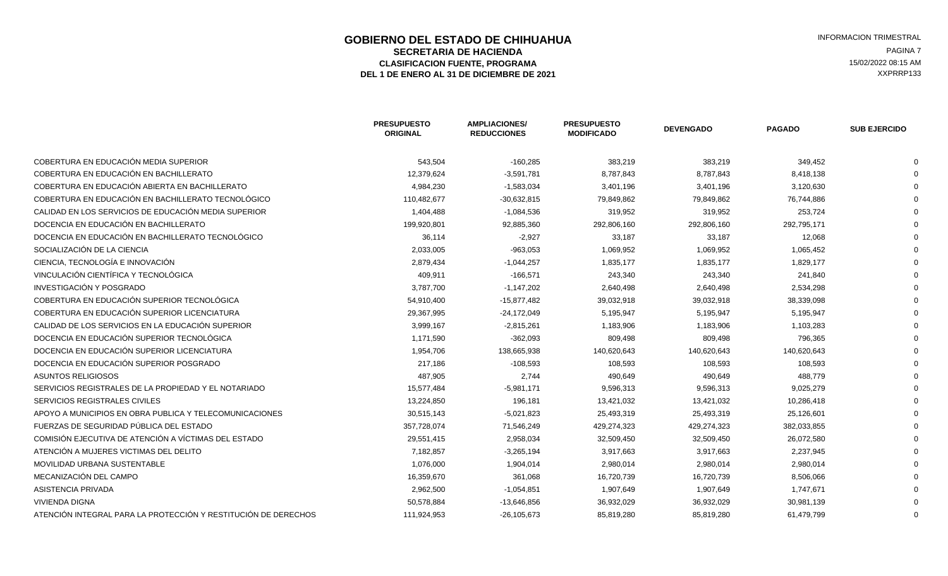### **GOBIERNO DEL ESTADO DE CHIHUAHUA EN ENGLÉ EN ENGLÉ ESTADO DE CHIHUAHUA EN ENGLÉ EN ENGLÉ EN ENGLÉ EN ENGLÉ EN<br>SECRETARIA DE HACIENDA SECRETARIA DE HACIENDA** PAGINA 7<br>**ASIFICACION FUENTE. PROGRAMA** PORTANA A PAGINA 2 ELASIFICACION FUENTE, PROGRAMA **15/02/2022 08:15 AM** 15/02/2022 08:15 AM 15/02/2022 08:15 AM 2013<br>L 1 DE ENERO AL 31 DE DICIEMBRE DE 2021 DEL 1 DE ENERO AL 31 DE DICIEMBRE DE 2021

|                                                                | <b>PRESUPUESTO</b><br><b>ORIGINAL</b> | <b>AMPLIACIONES/</b><br><b>REDUCCIONES</b> | <b>PRESUPUESTO</b><br><b>MODIFICADO</b> | <b>DEVENGADO</b> | <b>PAGADO</b> | <b>SUB EJERCIDO</b> |
|----------------------------------------------------------------|---------------------------------------|--------------------------------------------|-----------------------------------------|------------------|---------------|---------------------|
| COBERTURA EN EDUCACIÓN MEDIA SUPERIOR                          | 543,504                               | $-160,285$                                 | 383,219                                 | 383,219          | 349,452       |                     |
| COBERTURA EN EDUCACIÓN EN BACHILLERATO                         | 12,379,624                            | $-3,591,781$                               | 8,787,843                               | 8,787,843        | 8,418,138     |                     |
| COBERTURA EN EDUCACIÓN ABIERTA EN BACHILLERATO                 | 4,984,230                             | $-1,583,034$                               | 3,401,196                               | 3,401,196        | 3,120,630     |                     |
| COBERTURA EN EDUCACIÓN EN BACHILLERATO TECNOLÓGICO             | 110,482,677                           | $-30,632,815$                              | 79,849,862                              | 79,849,862       | 76,744,886    |                     |
| CALIDAD EN LOS SERVICIOS DE EDUCACIÓN MEDIA SUPERIOR           | 1,404,488                             | $-1,084,536$                               | 319,952                                 | 319,952          | 253,724       |                     |
| DOCENCIA EN EDUCACIÓN EN BACHILLERATO                          | 199,920,801                           | 92,885,360                                 | 292,806,160                             | 292,806,160      | 292,795,171   |                     |
| DOCENCIA EN EDUCACIÓN EN BACHILLERATO TECNOLÓGICO              | 36,114                                | $-2,927$                                   | 33,187                                  | 33,187           | 12,068        |                     |
| SOCIALIZACIÓN DE LA CIENCIA                                    | 2,033,005                             | $-963,053$                                 | 1,069,952                               | 1,069,952        | 1,065,452     |                     |
| CIENCIA. TECNOLOGÍA E INNOVACIÓN                               | 2,879,434                             | $-1,044,257$                               | 1,835,177                               | 1,835,177        | 1,829,177     |                     |
| VINCULACIÓN CIENTÍFICA Y TECNOLÓGICA                           | 409,911                               | $-166,571$                                 | 243,340                                 | 243,340          | 241,840       |                     |
| INVESTIGACIÓN Y POSGRADO                                       | 3,787,700                             | $-1,147,202$                               | 2,640,498                               | 2,640,498        | 2,534,298     |                     |
| COBERTURA EN EDUCACIÓN SUPERIOR TECNOLÓGICA                    | 54,910,400                            | $-15,877,482$                              | 39,032,918                              | 39,032,918       | 38,339,098    |                     |
| COBERTURA EN EDUCACIÓN SUPERIOR LICENCIATURA                   | 29,367,995                            | $-24,172,049$                              | 5,195,947                               | 5,195,947        | 5,195,947     |                     |
| CALIDAD DE LOS SERVICIOS EN LA EDUCACIÓN SUPERIOR              | 3,999,167                             | $-2,815,261$                               | 1,183,906                               | 1,183,906        | 1,103,283     |                     |
| DOCENCIA EN EDUCACIÓN SUPERIOR TECNOLÓGICA                     | 1,171,590                             | $-362,093$                                 | 809,498                                 | 809,498          | 796,365       |                     |
| DOCENCIA EN EDUCACIÓN SUPERIOR LICENCIATURA                    | 1,954,706                             | 138,665,938                                | 140,620,643                             | 140,620,643      | 140,620,643   |                     |
| DOCENCIA EN EDUCACIÓN SUPERIOR POSGRADO                        | 217,186                               | $-108,593$                                 | 108,593                                 | 108,593          | 108,593       |                     |
| <b>ASUNTOS RELIGIOSOS</b>                                      | 487,905                               | 2,744                                      | 490,649                                 | 490,649          | 488,779       |                     |
| SERVICIOS REGISTRALES DE LA PROPIEDAD Y EL NOTARIADO           | 15,577,484                            | $-5,981,171$                               | 9,596,313                               | 9,596,313        | 9,025,279     |                     |
| SERVICIOS REGISTRALES CIVILES                                  | 13,224,850                            | 196,181                                    | 13,421,032                              | 13,421,032       | 10,286,418    |                     |
| APOYO A MUNICIPIOS EN OBRA PUBLICA Y TELECOMUNICACIONES        | 30,515,143                            | $-5,021,823$                               | 25,493,319                              | 25,493,319       | 25,126,601    |                     |
| FUERZAS DE SEGURIDAD PÚBLICA DEL ESTADO                        | 357,728,074                           | 71,546,249                                 | 429,274,323                             | 429,274,323      | 382,033,855   |                     |
| COMISIÓN EJECUTIVA DE ATENCIÓN A VÍCTIMAS DEL ESTADO           | 29,551,415                            | 2,958,034                                  | 32,509,450                              | 32,509,450       | 26,072,580    |                     |
| ATENCIÓN A MUJERES VICTIMAS DEL DELITO                         | 7,182,857                             | $-3,265,194$                               | 3,917,663                               | 3,917,663        | 2,237,945     |                     |
| MOVILIDAD URBANA SUSTENTABLE                                   | 1,076,000                             | 1,904,014                                  | 2,980,014                               | 2,980,014        | 2,980,014     |                     |
| MECANIZACIÓN DEL CAMPO                                         | 16,359,670                            | 361,068                                    | 16,720,739                              | 16,720,739       | 8,506,066     |                     |
| ASISTENCIA PRIVADA                                             | 2,962,500                             | $-1,054,851$                               | 1,907,649                               | 1,907,649        | 1,747,671     |                     |
| <b>VIVIENDA DIGNA</b>                                          | 50,578,884                            | $-13,646,856$                              | 36,932,029                              | 36,932,029       | 30,981,139    |                     |
| ATENCIÓN INTEGRAL PARA LA PROTECCIÓN Y RESTITUCIÓN DE DERECHOS | 111,924,953                           | $-26, 105, 673$                            | 85,819,280                              | 85,819,280       | 61,479,799    |                     |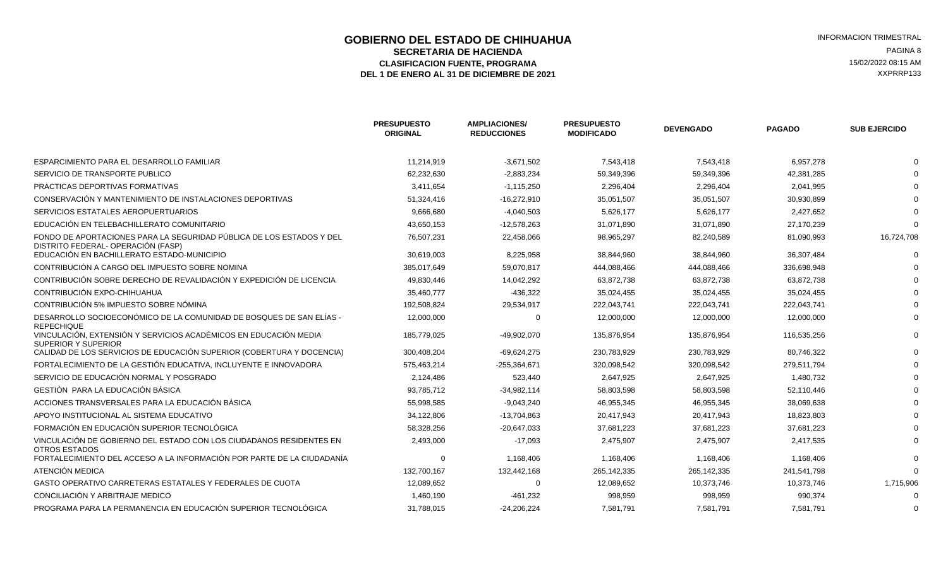### **GOBIERNO DEL ESTADO DE CHIHUAHUA EN ENTRE EN ENGLANDE DE CORTE DE CORTE DE LA CIENTA EN ENGLANDE DE LA CIENTA<br>SECRETARIA DE HACIENDA SECRETARIA DE HACIENDA** PAGINA 8<br>**ASIFICACION FUENTE. PROGRAMA** PAGINA AND TRISOLOGICAL ESTENDENTIAL EN EL EL ENTRETADO DE 15/02/2022 08:15 AM ELASIFICACION FUENTE, PROGRAMA **15/02/2022 08:15 AM** 15/02/2022 08:15 AM 15/02/2022 08:15 AM 2013<br>L 1 DE ENERO AL 31 DE DICIEMBRE DE 2021 DEL 1 DE ENERO AL 31 DE DICIEMBRE DE 2021

|                                                                                                           | <b>PRESUPUESTO</b><br><b>ORIGINAL</b> | <b>AMPLIACIONES/</b><br><b>REDUCCIONES</b> | <b>PRESUPUESTO</b><br><b>MODIFICADO</b> | <b>DEVENGADO</b> | <b>PAGADO</b> | <b>SUB EJERCIDO</b> |
|-----------------------------------------------------------------------------------------------------------|---------------------------------------|--------------------------------------------|-----------------------------------------|------------------|---------------|---------------------|
| ESPARCIMIENTO PARA EL DESARROLLO FAMILIAR                                                                 | 11,214,919                            | $-3,671,502$                               | 7,543,418                               | 7,543,418        | 6,957,278     |                     |
| SERVICIO DE TRANSPORTE PUBLICO                                                                            | 62,232,630                            | $-2,883,234$                               | 59,349,396                              | 59,349,396       | 42,381,285    |                     |
| PRACTICAS DEPORTIVAS FORMATIVAS                                                                           | 3,411,654                             | $-1,115,250$                               | 2,296,404                               | 2,296,404        | 2,041,995     |                     |
| CONSERVACIÓN Y MANTENIMIENTO DE INSTALACIONES DEPORTIVAS                                                  | 51,324,416                            | $-16,272,910$                              | 35,051,507                              | 35,051,507       | 30,930,899    |                     |
| SERVICIOS ESTATALES AEROPUERTUARIOS                                                                       | 9,666,680                             | $-4,040,503$                               | 5,626,177                               | 5,626,177        | 2,427,652     |                     |
| EDUCACIÓN EN TELEBACHILLERATO COMUNITARIO                                                                 | 43,650,153                            | $-12,578,263$                              | 31,071,890                              | 31,071,890       | 27,170,239    |                     |
| FONDO DE APORTACIONES PARA LA SEGURIDAD PÚBLICA DE LOS ESTADOS Y DEL<br>DISTRITO FEDERAL-OPERACIÓN (FASP) | 76,507,231                            | 22,458,066                                 | 98,965,297                              | 82,240,589       | 81,090,993    | 16,724,708          |
| EDUCACIÓN EN BACHILLERATO ESTADO-MUNICIPIO                                                                | 30,619,003                            | 8,225,958                                  | 38,844,960                              | 38,844,960       | 36,307,484    | $\Omega$            |
| CONTRIBUCIÓN A CARGO DEL IMPUESTO SOBRE NOMINA                                                            | 385,017,649                           | 59,070,817                                 | 444,088,466                             | 444,088,466      | 336,698,948   |                     |
| CONTRIBUCIÓN SOBRE DERECHO DE REVALIDACIÓN Y EXPEDICIÓN DE LICENCIA                                       | 49,830,446                            | 14,042,292                                 | 63,872,738                              | 63,872,738       | 63,872,738    |                     |
| CONTRIBUCIÓN EXPO-CHIHUAHUA                                                                               | 35,460,777                            | -436,322                                   | 35,024,455                              | 35,024,455       | 35,024,455    |                     |
| CONTRIBUCIÓN 5% IMPUESTO SOBRE NÓMINA                                                                     | 192,508,824                           | 29,534,917                                 | 222,043,741                             | 222,043,741      | 222,043,741   |                     |
| DESARROLLO SOCIOECONÓMICO DE LA COMUNIDAD DE BOSQUES DE SAN ELÍAS -<br><b>REPECHIQUE</b>                  | 12,000,000                            | $\Omega$                                   | 12,000,000                              | 12,000,000       | 12,000,000    |                     |
| VINCULACIÓN, EXTENSIÓN Y SERVICIOS ACADÉMICOS EN EDUCACIÓN MEDIA<br><b>SUPERIOR Y SUPERIOR</b>            | 185,779,025                           | -49,902,070                                | 135,876,954                             | 135,876,954      | 116,535,256   |                     |
| CALIDAD DE LOS SERVICIOS DE EDUCACIÓN SUPERIOR (COBERTURA Y DOCENCIA)                                     | 300,408,204                           | $-69,624,275$                              | 230,783,929                             | 230,783,929      | 80,746,322    |                     |
| FORTALECIMIENTO DE LA GESTIÓN EDUCATIVA. INCLUYENTE E INNOVADORA                                          | 575,463,214                           | -255,364,671                               | 320,098,542                             | 320,098,542      | 279.511.794   |                     |
| SERVICIO DE EDUCACIÓN NORMAL Y POSGRADO                                                                   | 2,124,486                             | 523,440                                    | 2,647,925                               | 2,647,925        | 1,480,732     |                     |
| GESTIÓN PARA LA EDUCACIÓN BÁSICA                                                                          | 93,785,712                            | $-34,982,114$                              | 58,803,598                              | 58,803,598       | 52,110,446    |                     |
| ACCIONES TRANSVERSALES PARA LA EDUCACIÓN BÁSICA                                                           | 55,998,585                            | $-9,043,240$                               | 46,955,345                              | 46,955,345       | 38,069,638    |                     |
| APOYO INSTITUCIONAL AL SISTEMA EDUCATIVO                                                                  | 34,122,806                            | -13,704,863                                | 20,417,943                              | 20,417,943       | 18,823,803    |                     |
| FORMACIÓN EN EDUCACIÓN SUPERIOR TECNOLÓGICA                                                               | 58,328,256                            | $-20,647,033$                              | 37,681,223                              | 37,681,223       | 37,681,223    |                     |
| VINCULACIÓN DE GOBIERNO DEL ESTADO CON LOS CIUDADANOS RESIDENTES EN<br><b>OTROS ESTADOS</b>               | 2,493,000                             | $-17,093$                                  | 2,475,907                               | 2,475,907        | 2,417,535     |                     |
| FORTALECIMIENTO DEL ACCESO A LA INFORMACIÓN POR PARTE DE LA CIUDADANÍA                                    | $\mathbf 0$                           | 1,168,406                                  | 1,168,406                               | 1,168,406        | 1,168,406     |                     |
| ATENCIÓN MEDICA                                                                                           | 132,700,167                           | 132,442,168                                | 265,142,335                             | 265,142,335      | 241,541,798   | $\Omega$            |
| GASTO OPERATIVO CARRETERAS ESTATALES Y FEDERALES DE CUOTA                                                 | 12,089,652                            | $\mathbf 0$                                | 12,089,652                              | 10,373,746       | 10,373,746    | 1,715,906           |
| CONCILIACIÓN Y ARBITRAJE MEDICO                                                                           | 1,460,190                             | $-461,232$                                 | 998,959                                 | 998,959          | 990,374       | $\Omega$            |
| PROGRAMA PARA LA PERMANENCIA EN EDUCACIÓN SUPERIOR TECNOLÓGICA                                            | 31,788,015                            | $-24,206,224$                              | 7,581,791                               | 7,581,791        | 7,581,791     |                     |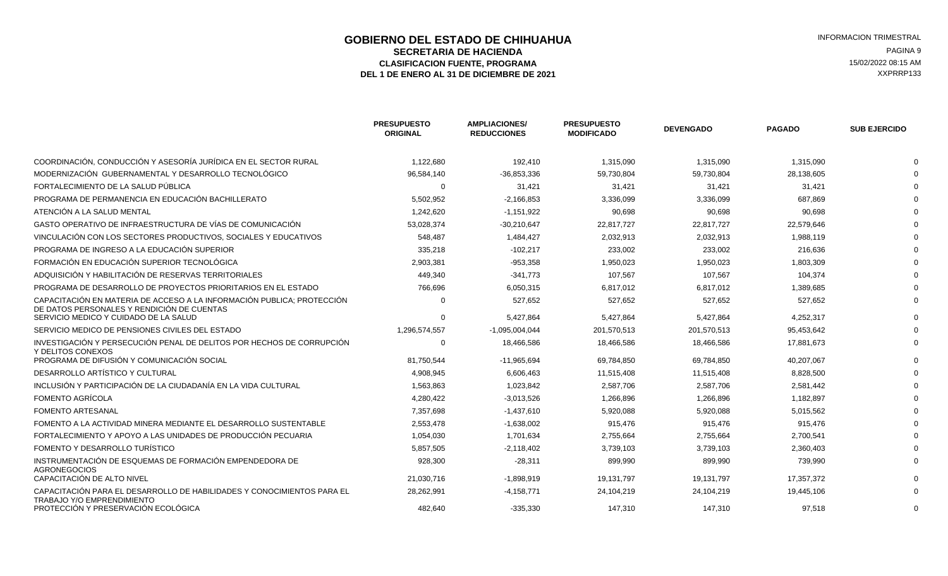### **GOBIERNO DEL ESTADO DE CHIHUAHUA EN ENTRE EN ENGLANDE DE CORTE DE CORTE DE LA CIENNA ENCRETARIA ENGLANDE EN EN<br>SECRETARIA DE HACIENDA SECRETARIA DE HACIENDA** PAGINA 9<br> **SECRETARIA DE HACIENDA** PAGINA 9<br> **ASIFICACION FUENTE. PROGRAMA** ELASIFICACION FUENTE, PROGRAMA **15/02/2022 08:15 AM**<br>1 DE ENERO AL 31 DE DICIEMBRE DE 2021 **1999 - 1999 - 1999 - 1999 - 1999 - 1999 - 1999 - 1999 - 1999 - 1999 - 1**<br>1 DE ENERO AL 31 DE DICIEMBRE DE 2021 DEL 1 DE ENERO AL 31 DE DICIEMBRE DE 2021

|                                                                                                                                             | <b>PRESUPUESTO</b><br><b>ORIGINAL</b> | <b>AMPLIACIONES/</b><br><b>REDUCCIONES</b> | <b>PRESUPUESTO</b><br><b>MODIFICADO</b> | <b>DEVENGADO</b>      | <b>PAGADO</b>        | <b>SUB EJERCIDO</b> |
|---------------------------------------------------------------------------------------------------------------------------------------------|---------------------------------------|--------------------------------------------|-----------------------------------------|-----------------------|----------------------|---------------------|
| COORDINACIÓN. CONDUCCIÓN Y ASESORÍA JURÍDICA EN EL SECTOR RURAL                                                                             | 1,122,680                             | 192,410                                    | 1,315,090                               | 1,315,090             | 1,315,090            |                     |
| MODERNIZACIÓN GUBERNAMENTAL Y DESARROLLO TECNOLÓGICO                                                                                        | 96,584,140                            | $-36.853.336$                              | 59,730,804                              | 59,730,804            | 28,138,605           |                     |
| FORTALECIMIENTO DE LA SALUD PÚBLICA                                                                                                         | $\Omega$                              | 31,421                                     | 31,421                                  | 31,421                | 31,421               |                     |
| PROGRAMA DE PERMANENCIA EN EDUCACIÓN BACHILLERATO                                                                                           | 5,502,952                             | $-2,166,853$                               | 3,336,099                               | 3,336,099             | 687.869              |                     |
| ATENCIÓN A LA SALUD MENTAL                                                                                                                  | 1,242,620                             | $-1,151,922$                               | 90,698                                  | 90,698                | 90,698               |                     |
| GASTO OPERATIVO DE INFRAESTRUCTURA DE VÍAS DE COMUNICACIÓN                                                                                  | 53,028,374                            | $-30,210,647$                              | 22,817,727                              | 22,817,727            | 22,579,646           |                     |
| VINCULACIÓN CON LOS SECTORES PRODUCTIVOS. SOCIALES Y EDUCATIVOS                                                                             | 548.487                               | 1,484,427                                  | 2,032,913                               | 2,032,913             | 1.988.119            |                     |
| PROGRAMA DE INGRESO A LA EDUCACIÓN SUPERIOR                                                                                                 | 335,218                               | $-102,217$                                 | 233,002                                 | 233,002               | 216,636              |                     |
| FORMACIÓN EN EDUCACIÓN SUPERIOR TECNOLÓGICA                                                                                                 | 2,903,381                             | $-953,358$                                 | 1,950,023                               | 1,950,023             | 1,803,309            |                     |
| ADQUISICIÓN Y HABILITACIÓN DE RESERVAS TERRITORIALES                                                                                        | 449,340                               | $-341,773$                                 | 107,567                                 | 107,567               | 104,374              |                     |
| PROGRAMA DE DESARROLLO DE PROYECTOS PRIORITARIOS EN EL ESTADO                                                                               | 766,696                               | 6,050,315                                  | 6,817,012                               | 6,817,012             | 1,389,685            |                     |
| CAPACITACIÓN EN MATERIA DE ACCESO A LA INFORMACIÓN PUBLICA; PROTECCIÓN<br>DE DATOS PERSONALES Y RENDICIÓN DE CUENTAS                        | O                                     | 527.652                                    | 527,652                                 | 527.652               | 527.652              |                     |
| SERVICIO MEDICO Y CUIDADO DE LA SALUD                                                                                                       | $\Omega$                              | 5,427,864                                  | 5,427,864                               | 5,427,864             | 4,252,317            |                     |
| SERVICIO MEDICO DE PENSIONES CIVILES DEL ESTADO                                                                                             | 1,296,574,557                         | $-1,095,004,044$                           | 201,570,513                             | 201,570,513           | 95,453,642           |                     |
| INVESTIGACIÓN Y PERSECUCIÓN PENAL DE DELITOS POR HECHOS DE CORRUPCIÓN<br>Y DELITOS CONEXOS                                                  | 0                                     | 18,466,586                                 | 18,466,586                              | 18,466,586            | 17,881,673           |                     |
| PROGRAMA DE DIFUSIÓN Y COMUNICACIÓN SOCIAL                                                                                                  | 81,750,544                            | $-11,965,694$                              | 69,784,850                              | 69,784,850            | 40,207,067           |                     |
| DESARROLLO ARTÍSTICO Y CULTURAL                                                                                                             | 4,908,945                             | 6,606,463                                  | 11,515,408                              | 11,515,408            | 8,828,500            |                     |
| INCLUSIÓN Y PARTICIPACIÓN DE LA CIUDADANÍA EN LA VIDA CULTURAL                                                                              | 1,563,863                             | 1,023,842                                  | 2,587,706                               | 2,587,706             | 2,581,442            |                     |
| FOMENTO AGRÍCOLA                                                                                                                            | 4,280,422                             | $-3,013,526$                               | 1,266,896                               | 1,266,896             | 1,182,897            |                     |
| FOMENTO ARTESANAL                                                                                                                           | 7,357,698                             | $-1,437,610$                               | 5,920,088                               | 5,920,088             | 5,015,562            |                     |
| FOMENTO A LA ACTIVIDAD MINERA MEDIANTE EL DESARROLLO SUSTENTABLE                                                                            | 2,553,478                             | $-1,638,002$                               | 915,476                                 | 915,476               | 915,476              |                     |
| FORTALECIMIENTO Y APOYO A LAS UNIDADES DE PRODUCCIÓN PECUARIA                                                                               | 1,054,030                             | 1,701,634                                  | 2,755,664                               | 2,755,664             | 2,700,541            |                     |
| FOMENTO Y DESARROLLO TURÍSTICO                                                                                                              | 5,857,505                             | $-2,118,402$                               | 3,739,103                               | 3,739,103             | 2,360,403            |                     |
| INSTRUMENTACIÓN DE ESQUEMAS DE FORMACIÓN EMPENDEDORA DE<br>AGRONEGOCIOS                                                                     | 928,300                               | $-28,311$                                  | 899,990                                 | 899,990               | 739,990              |                     |
| CAPACITACIÓN DE ALTO NIVEL                                                                                                                  | 21,030,716                            | $-1,898,919$                               | 19,131,797                              | 19,131,797            | 17,357,372           |                     |
| CAPACITACIÓN PARA EL DESARROLLO DE HABILIDADES Y CONOCIMIENTOS PARA EL<br>TRABAJO Y/O EMPRENDIMIENTO<br>PROTECCIÓN Y PRESERVACIÓN ECOLÓGICA | 28,262,991<br>482.640                 | $-4.158.771$<br>$-335.330$                 | 24.104.219<br>147.310                   | 24,104,219<br>147.310 | 19.445.106<br>97.518 |                     |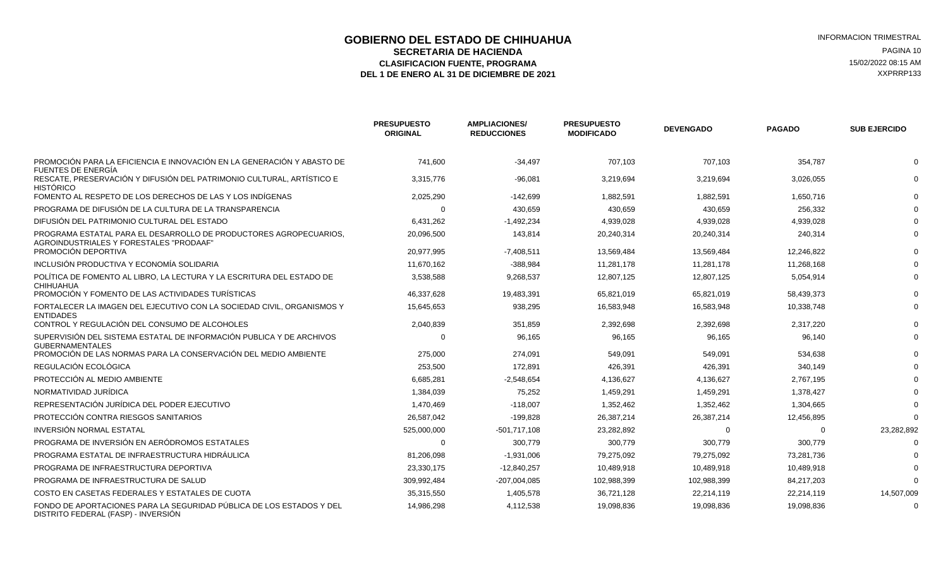### **GOBIERNO DEL ESTADO DE CHIHUAHUA EN ENTRE EN ENGLANDE DE COBIERNO DEL ESTADO DE CHIHUAHUA**<br>SECRETARIA DE HACIENDA **SECRETARIA DE HACIENDA** PAGINA 10<br> **ASIFICACION FUENTE. PROGRAMA** PAGINA ASIFICACION FUENTE. PROGRAMA ELASIFICACION FUENTE, PROGRAMA **15/02/2022 08:15 AM** 15/02/2022 08:15 AM 15/02/2022 08:15 AM 2013<br>L 1 DE ENERO AL 31 DE DICIEMBRE DE 2021 DEL 1 DE ENERO AL 31 DE DICIEMBRE DE 2021

|                                                                                                              | <b>PRESUPUESTO</b><br><b>ORIGINAL</b> | <b>AMPLIACIONES/</b><br><b>REDUCCIONES</b> | <b>PRESUPUESTO</b><br><b>MODIFICADO</b> | <b>DEVENGADO</b> | <b>PAGADO</b> | <b>SUB EJERCIDO</b> |
|--------------------------------------------------------------------------------------------------------------|---------------------------------------|--------------------------------------------|-----------------------------------------|------------------|---------------|---------------------|
| PROMOCIÓN PARA LA EFICIENCIA E INNOVACIÓN EN LA GENERACIÓN Y ABASTO DE<br>FUENTES DE ENERGÍA                 | 741,600                               | $-34,497$                                  | 707,103                                 | 707,103          | 354,787       |                     |
| RESCATE, PRESERVACIÓN Y DIFUSIÓN DEL PATRIMONIO CULTURAL, ARTÍSTICO E<br><b>HISTÓRICO</b>                    | 3,315,776                             | $-96,081$                                  | 3,219,694                               | 3,219,694        | 3,026,055     |                     |
| FOMENTO AL RESPETO DE LOS DERECHOS DE LAS Y LOS INDÍGENAS                                                    | 2,025,290                             | $-142.699$                                 | 1,882,591                               | 1,882,591        | 1,650,716     |                     |
| PROGRAMA DE DIFUSIÓN DE LA CULTURA DE LA TRANSPARENCIA                                                       | $\Omega$                              | 430,659                                    | 430,659                                 | 430,659          | 256,332       |                     |
| DIFUSIÓN DEL PATRIMONIO CULTURAL DEL ESTADO                                                                  | 6,431,262                             | $-1,492,234$                               | 4,939,028                               | 4,939,028        | 4,939,028     |                     |
| PROGRAMA ESTATAL PARA EL DESARROLLO DE PRODUCTORES AGROPECUARIOS.<br>AGROINDUSTRIALES Y FORESTALES "PRODAAF" | 20,096,500                            | 143,814                                    | 20,240,314                              | 20,240,314       | 240,314       |                     |
| PROMOCIÓN DEPORTIVA                                                                                          | 20,977,995                            | $-7,408,511$                               | 13,569,484                              | 13,569,484       | 12,246,822    |                     |
| INCLUSIÓN PRODUCTIVA Y ECONOMÍA SOLIDARIA                                                                    | 11,670,162                            | -388,984                                   | 11,281,178                              | 11,281,178       | 11,268,168    |                     |
| POLÍTICA DE FOMENTO AL LIBRO. LA LECTURA Y LA ESCRITURA DEL ESTADO DE<br>CHIHUAHUA                           | 3,538,588                             | 9,268,537                                  | 12,807,125                              | 12,807,125       | 5,054,914     |                     |
| PROMOCIÓN Y FOMENTO DE LAS ACTIVIDADES TURÍSTICAS                                                            | 46,337,628                            | 19,483,391                                 | 65,821,019                              | 65,821,019       | 58,439,373    |                     |
| FORTALECER LA IMAGEN DEL EJECUTIVO CON LA SOCIEDAD CIVIL. ORGANISMOS Y<br><b>ENTIDADES</b>                   | 15,645,653                            | 938,295                                    | 16,583,948                              | 16,583,948       | 10,338,748    |                     |
| CONTROL Y REGULACIÓN DEL CONSUMO DE ALCOHOLES                                                                | 2,040,839                             | 351,859                                    | 2,392,698                               | 2,392,698        | 2,317,220     |                     |
| SUPERVISIÓN DEL SISTEMA ESTATAL DE INFORMACIÓN PUBLICA Y DE ARCHIVOS<br><b>GUBERNAMENTALES</b>               | $\Omega$                              | 96.165                                     | 96,165                                  | 96,165           | 96,140        |                     |
| PROMOCIÓN DE LAS NORMAS PARA LA CONSERVACIÓN DEL MEDIO AMBIENTE                                              | 275,000                               | 274,091                                    | 549,091                                 | 549,091          | 534,638       |                     |
| REGULACIÓN ECOLÓGICA                                                                                         | 253.500                               | 172.891                                    | 426.391                                 | 426.391          | 340.149       |                     |
| PROTECCIÓN AL MEDIO AMBIENTE                                                                                 | 6,685,281                             | $-2,548,654$                               | 4,136,627                               | 4,136,627        | 2,767,195     |                     |
| NORMATIVIDAD JURÍDICA                                                                                        | 1,384,039                             | 75,252                                     | 1,459,291                               | 1,459,291        | 1,378,427     |                     |
| REPRESENTACIÓN JURÍDICA DEL PODER EJECUTIVO                                                                  | 1,470,469                             | $-118.007$                                 | 1,352,462                               | 1,352,462        | 1,304,665     |                     |
| PROTECCIÓN CONTRA RIESGOS SANITARIOS                                                                         | 26,587,042                            | $-199,828$                                 | 26,387,214                              | 26,387,214       | 12,456,895    |                     |
| INVERSIÓN NORMAL ESTATAL                                                                                     | 525,000,000                           | $-501,717,108$                             | 23,282,892                              | $\Omega$         | $\Omega$      | 23,282,892          |
| PROGRAMA DE INVERSIÓN EN AERÓDROMOS ESTATALES                                                                | $\Omega$                              | 300,779                                    | 300,779                                 | 300,779          | 300,779       |                     |
| PROGRAMA ESTATAL DE INFRAESTRUCTURA HIDRÁULICA                                                               | 81,206,098                            | $-1,931,006$                               | 79,275,092                              | 79,275,092       | 73,281,736    |                     |
| PROGRAMA DE INFRAESTRUCTURA DEPORTIVA                                                                        | 23,330,175                            | $-12,840,257$                              | 10,489,918                              | 10,489,918       | 10,489,918    |                     |
| PROGRAMA DE INFRAESTRUCTURA DE SALUD                                                                         | 309.992.484                           | -207,004,085                               | 102,988,399                             | 102,988,399      | 84.217.203    |                     |
| COSTO EN CASETAS FEDERALES Y ESTATALES DE CUOTA                                                              | 35,315,550                            | 1,405,578                                  | 36,721,128                              | 22,214,119       | 22,214,119    | 14,507,009          |
| FONDO DE APORTACIONES PARA LA SEGURIDAD PÚBLICA DE LOS ESTADOS Y DEL<br>DISTRITO FEDERAL (FASP) - INVERSIÓN  | 14,986,298                            | 4,112,538                                  | 19,098,836                              | 19,098,836       | 19,098,836    |                     |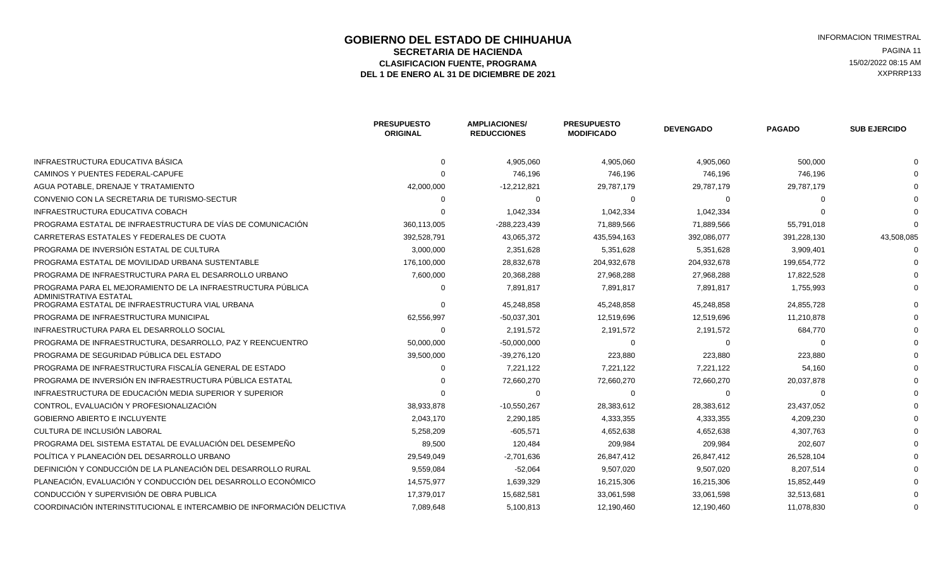### **GOBIERNO DEL ESTADO DE CHIHUAHUA EN ENGLÉ EN ENGLÉ ESTADO DE CHIHUAHUA**<br>SECRETARIA DE HACIENDA **SECRETARIA DE HACIENDA** PAGINA 11<br> **ASIFICACION FUENTE. PROGRAMA** PAGINA ASIFICACION FUENTE. PROGRAMA ELASIFICACION FUENTE, PROGRAMA **15/02/2022 08:15 AM** 15/02/2022 08:15 AM 15/02/2022 08:15 AM 2013<br>L 1 DE ENERO AL 31 DE DICIEMBRE DE 2021 DEL 1 DE ENERO AL 31 DE DICIEMBRE DE 2021

|                                                                                       | <b>PRESUPUESTO</b><br><b>ORIGINAL</b> | <b>AMPLIACIONES/</b><br><b>REDUCCIONES</b> | <b>PRESUPUESTO</b><br><b>MODIFICADO</b> | <b>DEVENGADO</b> | <b>PAGADO</b> | <b>SUB EJERCIDO</b> |
|---------------------------------------------------------------------------------------|---------------------------------------|--------------------------------------------|-----------------------------------------|------------------|---------------|---------------------|
| INFRAESTRUCTURA EDUCATIVA BÁSICA                                                      | $\Omega$                              | 4,905,060                                  | 4,905,060                               | 4,905,060        | 500,000       |                     |
| CAMINOS Y PUENTES FEDERAL-CAPUFE                                                      |                                       | 746,196                                    | 746,196                                 | 746,196          | 746,196       |                     |
| AGUA POTABLE, DRENAJE Y TRATAMIENTO                                                   | 42,000,000                            | $-12,212,821$                              | 29,787,179                              | 29,787,179       | 29,787,179    |                     |
| CONVENIO CON LA SECRETARIA DE TURISMO-SECTUR                                          | $\Omega$                              | $\Omega$                                   | $\Omega$                                | $\Omega$         |               |                     |
| INFRAESTRUCTURA EDUCATIVA COBACH                                                      |                                       | 1,042,334                                  | 1,042,334                               | 1,042,334        |               |                     |
| PROGRAMA ESTATAL DE INFRAESTRUCTURA DE VÍAS DE COMUNICACIÓN                           | 360,113,005                           | -288,223,439                               | 71,889,566                              | 71,889,566       | 55,791,018    |                     |
| CARRETERAS ESTATALES Y FEDERALES DE CUOTA                                             | 392,528,791                           | 43,065,372                                 | 435,594,163                             | 392,086,077      | 391,228,130   | 43,508,085          |
| PROGRAMA DE INVERSIÓN ESTATAL DE CULTURA                                              | 3,000,000                             | 2,351,628                                  | 5,351,628                               | 5,351,628        | 3,909,401     |                     |
| PROGRAMA ESTATAL DE MOVILIDAD URBANA SUSTENTABLE                                      | 176,100,000                           | 28,832,678                                 | 204,932,678                             | 204,932,678      | 199,654,772   |                     |
| PROGRAMA DE INFRAESTRUCTURA PARA EL DESARROLLO URBANO                                 | 7,600,000                             | 20,368,288                                 | 27,968,288                              | 27,968,288       | 17,822,528    |                     |
| PROGRAMA PARA EL MEJORAMIENTO DE LA INFRAESTRUCTURA PÚBLICA<br>ADMINISTRATIVA ESTATAL | $\Omega$                              | 7,891,817                                  | 7,891,817                               | 7,891,817        | 1,755,993     |                     |
| PROGRAMA ESTATAL DE INFRAESTRUCTURA VIAL URBANA                                       | റ                                     | 45,248,858                                 | 45,248,858                              | 45,248,858       | 24,855,728    |                     |
| PROGRAMA DE INFRAESTRUCTURA MUNICIPAL                                                 | 62,556,997                            | $-50,037,301$                              | 12,519,696                              | 12,519,696       | 11,210,878    |                     |
| INFRAESTRUCTURA PARA EL DESARROLLO SOCIAL                                             | $\Omega$                              | 2,191,572                                  | 2,191,572                               | 2,191,572        | 684,770       |                     |
| PROGRAMA DE INFRAESTRUCTURA, DESARROLLO, PAZ Y REENCUENTRO                            | 50,000,000                            | $-50,000,000$                              | $\Omega$                                | റ                |               |                     |
| PROGRAMA DE SEGURIDAD PÚBLICA DEL ESTADO                                              | 39,500,000                            | $-39,276,120$                              | 223,880                                 | 223,880          | 223,880       |                     |
| PROGRAMA DE INFRAESTRUCTURA FISCALÍA GENERAL DE ESTADO                                | $\Omega$                              | 7,221,122                                  | 7,221,122                               | 7,221,122        | 54,160        |                     |
| PROGRAMA DE INVERSIÓN EN INFRAESTRUCTURA PÚBLICA ESTATAL                              |                                       | 72,660,270                                 | 72,660,270                              | 72,660,270       | 20,037,878    |                     |
| INFRAESTRUCTURA DE EDUCACIÓN MEDIA SUPERIOR Y SUPERIOR                                |                                       | $\Omega$                                   | $\Omega$                                | $\Omega$         | - ೧           |                     |
| CONTROL, EVALUACIÓN Y PROFESIONALIZACIÓN                                              | 38,933,878                            | $-10,550,267$                              | 28,383,612                              | 28,383,612       | 23,437,052    |                     |
| <b>GOBIERNO ABIERTO E INCLUYENTE</b>                                                  | 2,043,170                             | 2,290,185                                  | 4,333,355                               | 4,333,355        | 4,209,230     |                     |
| CULTURA DE INCLUSIÓN LABORAL                                                          | 5,258,209                             | $-605,571$                                 | 4,652,638                               | 4,652,638        | 4,307,763     |                     |
| PROGRAMA DEL SISTEMA ESTATAL DE EVALUACIÓN DEL DESEMPEÑO                              | 89,500                                | 120,484                                    | 209,984                                 | 209,984          | 202,607       |                     |
| POLÍTICA Y PLANEACIÓN DEL DESARROLLO URBANO                                           | 29,549,049                            | $-2,701,636$                               | 26,847,412                              | 26,847,412       | 26,528,104    |                     |
| DEFINICIÓN Y CONDUCCIÓN DE LA PLANEACIÓN DEL DESARROLLO RURAL                         | 9,559,084                             | $-52,064$                                  | 9,507,020                               | 9,507,020        | 8,207,514     |                     |
| PLANEACIÓN, EVALUACIÓN Y CONDUCCIÓN DEL DESARROLLO ECONÓMICO                          | 14,575,977                            | 1,639,329                                  | 16,215,306                              | 16,215,306       | 15,852,449    |                     |
| CONDUCCIÓN Y SUPERVISIÓN DE OBRA PUBLICA                                              | 17,379,017                            | 15,682,581                                 | 33,061,598                              | 33,061,598       | 32,513,681    |                     |
| COORDINACIÓN INTERINSTITUCIONAL E INTERCAMBIO DE INFORMACIÓN DELICTIVA                | 7,089,648                             | 5,100,813                                  | 12,190,460                              | 12,190,460       | 11,078,830    |                     |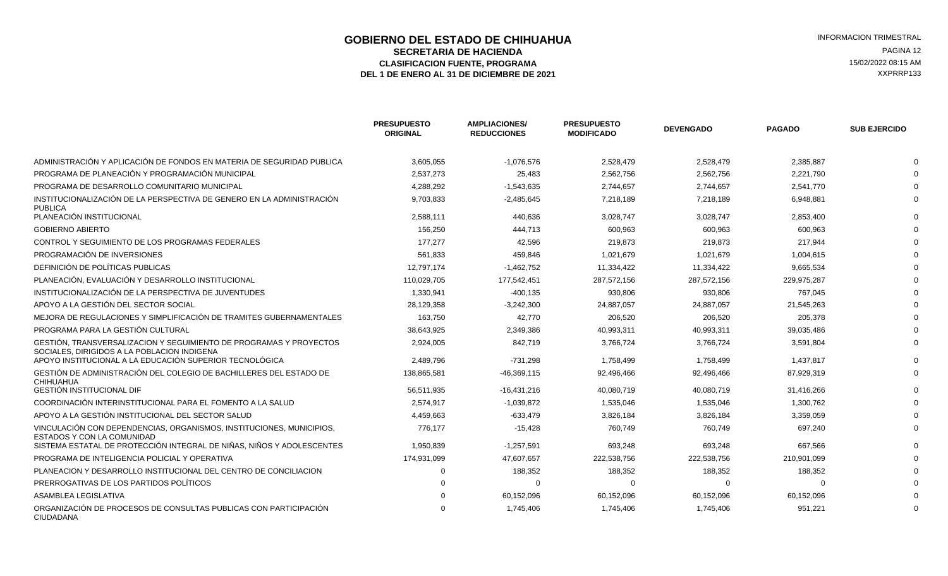### **GOBIERNO DEL ESTADO DE CHIHUAHUA EN ENTRE EN ENGLANDE DE CORTE DE CORTE DE LA ENFORMACION TRIMESTRAL<br>SECRETARIA DE HACIENDA EN ENGLANDA EN ENGLANDE DE LA ENGLANDA EN ENGLANDE DE LA ENGLANDE DE LA ENGLANDE DE LA SECRETARIA DE HACIENDA** PAGINA 12<br>**ASIFICACION FUENTE. PROGRAMA** PAGINA ELECTRICATIVO DE EL ENTRETO DE EL ENTRE EL ENTRE EL ENTRE EL ENTRE EL ENT ELASIFICACION FUENTE, PROGRAMA **15/02/2022 08:15 AM** 15/02/2022 08:15 AM 15/02/2022 08:15 AM 2013<br>L 1 DE ENERO AL 31 DE DICIEMBRE DE 2021 DEL 1 DE ENERO AL 31 DE DICIEMBRE DE 2021

|                                                                                                                   | <b>PRESUPUESTO</b><br><b>ORIGINAL</b> | <b>AMPLIACIONES/</b><br><b>REDUCCIONES</b> | <b>PRESUPUESTO</b><br><b>MODIFICADO</b> | <b>DEVENGADO</b> | <b>PAGADO</b> | <b>SUB EJERCIDO</b> |
|-------------------------------------------------------------------------------------------------------------------|---------------------------------------|--------------------------------------------|-----------------------------------------|------------------|---------------|---------------------|
| ADMINISTRACIÓN Y APLICACIÓN DE FONDOS EN MATERIA DE SEGURIDAD PUBLICA                                             | 3,605,055                             | $-1,076,576$                               | 2,528,479                               | 2,528,479        | 2,385,887     |                     |
| PROGRAMA DE PLANEACIÓN Y PROGRAMACIÓN MUNICIPAL                                                                   | 2,537,273                             | 25,483                                     | 2,562,756                               | 2,562,756        | 2,221,790     |                     |
| PROGRAMA DE DESARROLLO COMUNITARIO MUNICIPAL                                                                      | 4,288,292                             | $-1,543,635$                               | 2,744,657                               | 2,744,657        | 2,541,770     |                     |
| INSTITUCIONALIZACIÓN DE LA PERSPECTIVA DE GENERO EN LA ADMINISTRACIÓN<br><b>PUBLICA</b>                           | 9,703,833                             | $-2,485,645$                               | 7,218,189                               | 7,218,189        | 6,948,881     |                     |
| PLANEACIÓN INSTITUCIONAL                                                                                          | 2,588,111                             | 440,636                                    | 3,028,747                               | 3,028,747        | 2,853,400     |                     |
| <b>GOBIERNO ABIERTO</b>                                                                                           | 156,250                               | 444,713                                    | 600,963                                 | 600,963          | 600,963       |                     |
| CONTROL Y SEGUIMIENTO DE LOS PROGRAMAS FEDERALES                                                                  | 177.277                               | 42,596                                     | 219,873                                 | 219,873          | 217,944       |                     |
| PROGRAMACIÓN DE INVERSIONES                                                                                       | 561,833                               | 459,846                                    | 1,021,679                               | 1,021,679        | 1,004,615     |                     |
| DEFINICIÓN DE POLÍTICAS PUBLICAS                                                                                  | 12,797,174                            | $-1,462,752$                               | 11,334,422                              | 11,334,422       | 9,665,534     |                     |
| PLANEACIÓN, EVALUACIÓN Y DESARROLLO INSTITUCIONAL                                                                 | 110,029,705                           | 177,542,451                                | 287,572,156                             | 287,572,156      | 229,975,287   |                     |
| INSTITUCIONALIZACIÓN DE LA PERSPECTIVA DE JUVENTUDES                                                              | 1,330,941                             | $-400, 135$                                | 930,806                                 | 930,806          | 767,045       |                     |
| APOYO A LA GESTIÓN DEL SECTOR SOCIAL                                                                              | 28,129,358                            | $-3,242,300$                               | 24,887,057                              | 24,887,057       | 21,545,263    |                     |
| MEJORA DE REGULACIONES Y SIMPLIFICACIÓN DE TRAMITES GUBERNAMENTALES                                               | 163,750                               | 42.770                                     | 206,520                                 | 206,520          | 205,378       |                     |
| PROGRAMA PARA LA GESTIÓN CULTURAL                                                                                 | 38,643,925                            | 2,349,386                                  | 40,993,311                              | 40,993,311       | 39,035,486    |                     |
| GESTIÓN, TRANSVERSALIZACION Y SEGUIMIENTO DE PROGRAMAS Y PROYECTOS<br>SOCIALES. DIRIGIDOS A LA POBLACION INDIGENA | 2,924,005                             | 842,719                                    | 3,766,724                               | 3,766,724        | 3,591,804     |                     |
| APOYO INSTITUCIONAL A LA EDUCACIÓN SUPERIOR TECNOLÓGICA                                                           | 2,489,796                             | $-731,298$                                 | 1,758,499                               | 1,758,499        | 1,437,817     |                     |
| GESTIÓN DE ADMINISTRACIÓN DEL COLEGIO DE BACHILLERES DEL ESTADO DE<br><b>CHIHUAHUA</b>                            | 138,865,581                           | $-46,369,115$                              | 92,496,466                              | 92,496,466       | 87,929,319    |                     |
| <b>GESTIÓN INSTITUCIONAL DIF</b>                                                                                  | 56,511,935                            | $-16,431,216$                              | 40,080,719                              | 40,080,719       | 31,416,266    |                     |
| COORDINACIÓN INTERINSTITUCIONAL PARA EL FOMENTO A LA SALUD                                                        | 2,574,917                             | $-1,039,872$                               | 1,535,046                               | 1,535,046        | 1,300,762     |                     |
| APOYO A LA GESTIÓN INSTITUCIONAL DEL SECTOR SALUD                                                                 | 4,459,663                             | $-633,479$                                 | 3,826,184                               | 3,826,184        | 3,359,059     |                     |
| VINCULACIÓN CON DEPENDENCIAS, ORGANISMOS, INSTITUCIONES, MUNICIPIOS,<br>ESTADOS Y CON LA COMUNIDAD                | 776,177                               | $-15,428$                                  | 760,749                                 | 760,749          | 697,240       |                     |
| SISTEMA ESTATAL DE PROTECCIÓN INTEGRAL DE NIÑAS, NIÑOS Y ADOLESCENTES                                             | 1,950,839                             | $-1,257,591$                               | 693,248                                 | 693,248          | 667.566       |                     |
| PROGRAMA DE INTELIGENCIA POLICIAL Y OPERATIVA                                                                     | 174,931,099                           | 47,607,657                                 | 222,538,756                             | 222,538,756      | 210,901,099   |                     |
| PLANEACION Y DESARROLLO INSTITUCIONAL DEL CENTRO DE CONCILIACION                                                  |                                       | 188,352                                    | 188,352                                 | 188,352          | 188,352       |                     |
| PRERROGATIVAS DE LOS PARTIDOS POLÍTICOS                                                                           |                                       | $\Omega$                                   | $\Omega$                                |                  |               |                     |
| ASAMBLEA LEGISLATIVA                                                                                              |                                       | 60,152,096                                 | 60,152,096                              | 60,152,096       | 60,152,096    |                     |
| ORGANIZACIÓN DE PROCESOS DE CONSULTAS PUBLICAS CON PARTICIPACIÓN<br><b>CIUDADANA</b>                              |                                       | 1,745,406                                  | 1,745,406                               | 1,745,406        | 951,221       |                     |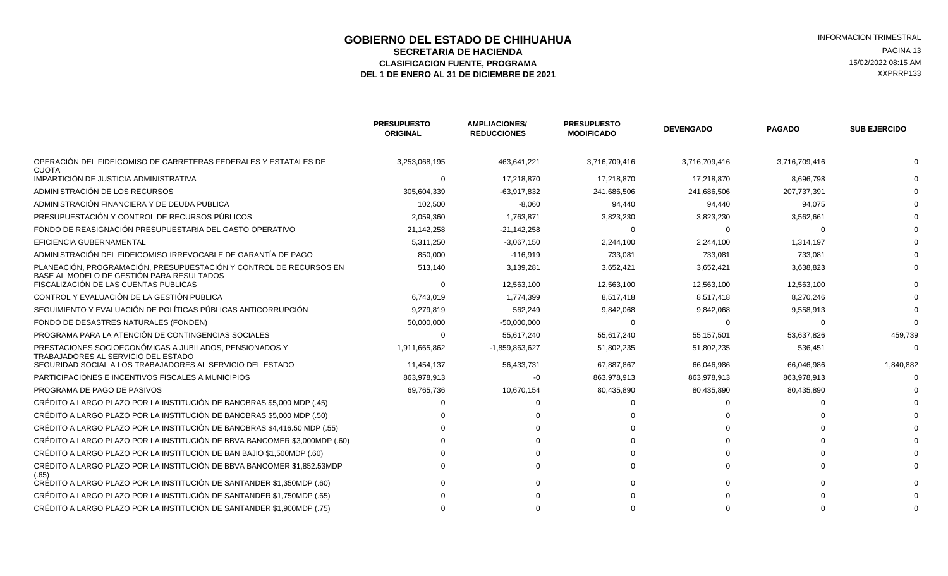### **GOBIERNO DEL ESTADO DE CHIHUAHUA EN ENTRE EN ENGLANDE DE COBIERNO DEL ESTADO DE CHIHUAHUA**<br>SECRETARIA DE HACIENDA **SECRETARIA DE HACIENDA** PAGINA 13<br>**ASIFICACION FUENTE. PROGRAMA** PAGINA ASIFICACION FUENTE. PROGRAMA ELASIFICACION FUENTE, PROGRAMA **15/02/2022 08:15 AM**<br>1 DE ENERO AL 31 DE DICIEMBRE DE 2021 **1999 - 1999 - 1999 - 1999 - 1999 - 1999 - 1999 - 1999 - 1999 - 1999 - 1**<br>1 DE ENERO AL 31 DE DICIEMBRE DE 2021 DEL 1 DE ENERO AL 31 DE DICIEMBRE DE 2021

|                                                                                                                 | <b>PRESUPUESTO</b><br><b>ORIGINAL</b> | <b>AMPLIACIONES/</b><br><b>REDUCCIONES</b> | <b>PRESUPUESTO</b><br><b>MODIFICADO</b> | <b>DEVENGADO</b> | <b>PAGADO</b> | <b>SUB EJERCIDO</b> |
|-----------------------------------------------------------------------------------------------------------------|---------------------------------------|--------------------------------------------|-----------------------------------------|------------------|---------------|---------------------|
| OPERACIÓN DEL FIDEICOMISO DE CARRETERAS FEDERALES Y ESTATALES DE<br><b>CUOTA</b>                                | 3,253,068,195                         | 463,641,221                                | 3,716,709,416                           | 3,716,709,416    | 3,716,709,416 |                     |
| IMPARTICIÓN DE JUSTICIA ADMINISTRATIVA                                                                          | $\Omega$                              | 17.218.870                                 | 17.218.870                              | 17.218.870       | 8,696,798     |                     |
| ADMINISTRACIÓN DE LOS RECURSOS                                                                                  | 305,604,339                           | $-63,917,832$                              | 241,686,506                             | 241,686,506      | 207,737,391   |                     |
| ADMINISTRACIÓN FINANCIERA Y DE DEUDA PUBLICA                                                                    | 102,500                               | $-8,060$                                   | 94,440                                  | 94,440           | 94,075        |                     |
| PRESUPUESTACIÓN Y CONTROL DE RECURSOS PÚBLICOS                                                                  | 2,059,360                             | 1,763,871                                  | 3,823,230                               | 3,823,230        | 3,562,661     |                     |
| FONDO DE REASIGNACIÓN PRESUPUESTARIA DEL GASTO OPERATIVO                                                        | 21,142,258                            | $-21,142,258$                              | $\Omega$                                |                  |               |                     |
| EFICIENCIA GUBERNAMENTAL                                                                                        | 5,311,250                             | $-3,067,150$                               | 2,244,100                               | 2,244,100        | 1,314,197     |                     |
| ADMINISTRACIÓN DEL FIDEICOMISO IRREVOCABLE DE GARANTÍA DE PAGO                                                  | 850,000                               | $-116,919$                                 | 733,081                                 | 733,081          | 733,081       |                     |
| PLANEACIÓN, PROGRAMACIÓN, PRESUPUESTACIÓN Y CONTROL DE RECURSOS EN<br>BASE AL MODELO DE GESTIÓN PARA RESULTADOS | 513,140                               | 3,139,281                                  | 3,652,421                               | 3,652,421        | 3,638,823     |                     |
| FISCALIZACIÓN DE LAS CUENTAS PUBLICAS                                                                           | $\Omega$                              | 12,563,100                                 | 12,563,100                              | 12,563,100       | 12,563,100    |                     |
| CONTROL Y EVALUACIÓN DE LA GESTIÓN PUBLICA                                                                      | 6,743,019                             | 1,774,399                                  | 8,517,418                               | 8,517,418        | 8,270,246     |                     |
| SEGUIMIENTO Y EVALUACIÓN DE POLÍTICAS PÚBLICAS ANTICORRUPCIÓN                                                   | 9,279,819                             | 562,249                                    | 9,842,068                               | 9,842,068        | 9,558,913     |                     |
| FONDO DE DESASTRES NATURALES (FONDEN)                                                                           | 50,000,000                            | $-50,000,000$                              | $\Omega$                                |                  |               |                     |
| PROGRAMA PARA LA ATENCIÓN DE CONTINGENCIAS SOCIALES                                                             | $\Omega$                              | 55,617,240                                 | 55,617,240                              | 55,157,501       | 53,637,826    | 459,739             |
| PRESTACIONES SOCIOECONÓMICAS A JUBILADOS, PENSIONADOS Y<br><b>TRABAJADORES AL SERVICIO DEL ESTADO</b>           | 1,911,665,862                         | -1,859,863,627                             | 51,802,235                              | 51,802,235       | 536,451       |                     |
| SEGURIDAD SOCIAL A LOS TRABAJADORES AL SERVICIO DEL ESTADO                                                      | 11,454,137                            | 56,433,731                                 | 67,887,867                              | 66,046,986       | 66,046,986    | 1,840,882           |
| PARTICIPACIONES E INCENTIVOS FISCALES A MUNICIPIOS                                                              | 863,978,913                           | -0                                         | 863,978,913                             | 863,978,913      | 863,978,913   |                     |
| PROGRAMA DE PAGO DE PASIVOS                                                                                     | 69,765,736                            | 10,670,154                                 | 80,435,890                              | 80,435,890       | 80,435,890    |                     |
| CRÉDITO A LARGO PLAZO POR LA INSTITUCIÓN DE BANOBRAS \$5,000 MDP (.45)                                          |                                       |                                            |                                         |                  |               |                     |
| CRÉDITO A LARGO PLAZO POR LA INSTITUCIÓN DE BANOBRAS \$5.000 MDP (.50)                                          |                                       |                                            |                                         |                  |               |                     |
| CRÉDITO A LARGO PLAZO POR LA INSTITUCIÓN DE BANOBRAS \$4,416.50 MDP (.55)                                       |                                       |                                            |                                         |                  |               |                     |
| CRÉDITO A LARGO PLAZO POR LA INSTITUCIÓN DE BBVA BANCOMER \$3,000MDP (.60)                                      |                                       |                                            |                                         |                  |               |                     |
| CRÉDITO A LARGO PLAZO POR LA INSTITUCIÓN DE BAN BAJIO \$1,500MDP (.60)                                          |                                       |                                            |                                         |                  |               |                     |
| CRÉDITO A LARGO PLAZO POR LA INSTITUCIÓN DE BBVA BANCOMER \$1,852.53MDP<br>(.65)                                |                                       |                                            |                                         |                  |               |                     |
| CRÉDITO A LARGO PLAZO POR LA INSTITUCIÓN DE SANTANDER \$1,350MDP (.60)                                          |                                       |                                            |                                         |                  |               |                     |
| CRÉDITO A LARGO PLAZO POR LA INSTITUCIÓN DE SANTANDER \$1,750MDP (.65)                                          |                                       |                                            |                                         |                  |               |                     |
| CRÉDITO A LARGO PLAZO POR LA INSTITUCIÓN DE SANTANDER \$1.900MDP (.75)                                          |                                       |                                            |                                         |                  |               |                     |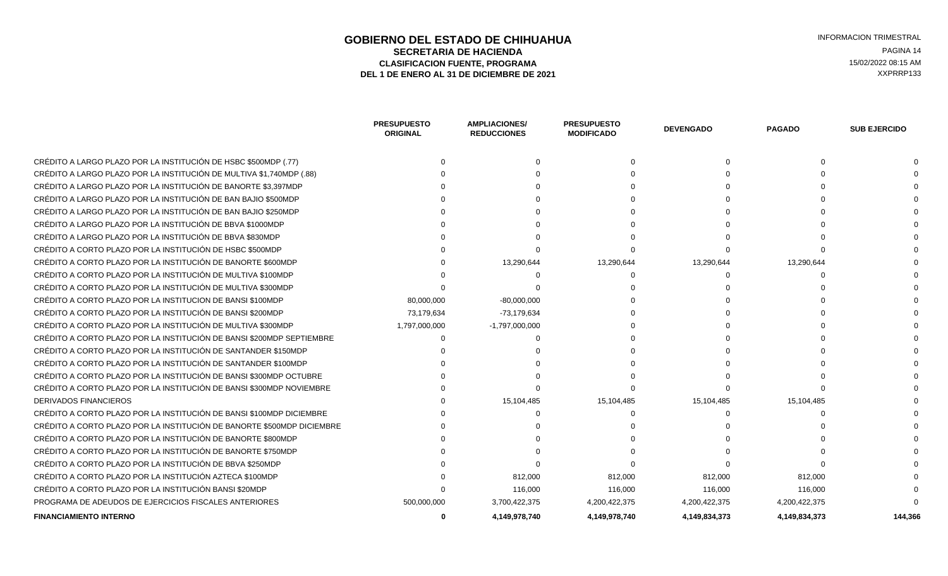#### **GOBIERNO DEL ESTADO DE CHIHUAHUA EN ENTRE EN ENGLANDE DE COBIERNO DEL ESTADO DE CHIHUAHUA**<br>SECRETARIA DE HACIENDA **SECRETARIA DE HACIENDA** PAGINA 14<br> **SECRETARIA DE HACIENDA** PAGINA 14<br> **ASIFICACION FUENTE, PROGRAMA CLASIFICACION FUENTE, PROGRAMA DEL 1 DE ENERO AL 31 DE DICIEMBRE DE 2021** XXPRRP133

|                                                                        | <b>PRESUPUESTO</b><br><b>ORIGINAL</b> | <b>AMPLIACIONES/</b><br><b>REDUCCIONES</b> | <b>PRESUPUESTO</b><br><b>MODIFICADO</b> | <b>DEVENGADO</b> | <b>PAGADO</b> | <b>SUB EJERCIDO</b> |
|------------------------------------------------------------------------|---------------------------------------|--------------------------------------------|-----------------------------------------|------------------|---------------|---------------------|
| CRÉDITO A LARGO PLAZO POR LA INSTITUCIÓN DE HSBC \$500MDP (.77)        |                                       |                                            |                                         |                  |               |                     |
| CRÉDITO A LARGO PLAZO POR LA INSTITUCIÓN DE MULTIVA \$1,740MDP (.88)   |                                       |                                            |                                         |                  |               |                     |
| CRÉDITO A LARGO PLAZO POR LA INSTITUCIÓN DE BANORTE \$3.397MDP         |                                       |                                            |                                         |                  |               |                     |
| CRÉDITO A LARGO PLAZO POR LA INSTITUCIÓN DE BAN BAJIO \$500MDP         |                                       |                                            |                                         |                  |               |                     |
| CRÉDITO A LARGO PLAZO POR LA INSTITUCIÓN DE BAN BAJIO \$250MDP         |                                       |                                            |                                         |                  |               |                     |
| CRÉDITO A LARGO PLAZO POR LA INSTITUCIÓN DE BBVA \$1000MDP             |                                       |                                            |                                         |                  |               |                     |
| CRÉDITO A LARGO PLAZO POR LA INSTITUCIÓN DE BBVA \$830MDP              |                                       |                                            |                                         |                  |               |                     |
| CRÉDITO A CORTO PLAZO POR LA INSTITUCIÓN DE HSBC \$500MDP              |                                       |                                            |                                         |                  |               |                     |
| CRÉDITO A CORTO PLAZO POR LA INSTITUCIÓN DE BANORTE \$600MDP           |                                       | 13,290,644                                 | 13,290,644                              | 13,290,644       | 13,290,644    |                     |
| CRÉDITO A CORTO PLAZO POR LA INSTITUCIÓN DE MULTIVA \$100MDP           |                                       |                                            |                                         |                  |               |                     |
| CRÉDITO A CORTO PLAZO POR LA INSTITUCIÓN DE MULTIVA \$300MDP           |                                       |                                            |                                         |                  |               |                     |
| CRÉDITO A CORTO PLAZO POR LA INSTITUCION DE BANSI \$100MDP             | 80,000,000                            | $-80,000,000$                              |                                         |                  |               |                     |
| CRÉDITO A CORTO PLAZO POR LA INSTITUCIÓN DE BANSI \$200MDP             | 73,179,634                            | -73,179,634                                |                                         |                  |               |                     |
| CRÉDITO A CORTO PLAZO POR LA INSTITUCIÓN DE MULTIVA \$300MDP           | 1,797,000,000                         | $-1,797,000,000$                           |                                         |                  |               |                     |
| CRÉDITO A CORTO PLAZO POR LA INSTITUCIÓN DE BANSI \$200MDP SEPTIEMBRE  |                                       |                                            |                                         |                  |               |                     |
| CRÉDITO A CORTO PLAZO POR LA INSTITUCIÓN DE SANTANDER \$150MDP         |                                       |                                            |                                         |                  |               |                     |
| CRÉDITO A CORTO PLAZO POR LA INSTITUCIÓN DE SANTANDER \$100MDP         |                                       |                                            |                                         |                  |               |                     |
| CRÉDITO A CORTO PLAZO POR LA INSTITUCIÓN DE BANSI \$300MDP OCTUBRE     |                                       |                                            |                                         |                  |               |                     |
| CRÉDITO A CORTO PLAZO POR LA INSTITUCIÓN DE BANSI \$300MDP NOVIEMBRE   |                                       |                                            |                                         |                  |               |                     |
| DERIVADOS FINANCIEROS                                                  |                                       | 15,104,485                                 | 15,104,485                              | 15,104,485       | 15,104,485    |                     |
| CRÉDITO A CORTO PLAZO POR LA INSTITUCIÓN DE BANSI \$100MDP DICIEMBRE   |                                       |                                            |                                         |                  |               |                     |
| CRÉDITO A CORTO PLAZO POR LA INSTITUCIÓN DE BANORTE \$500MDP DICIEMBRE |                                       |                                            |                                         |                  |               |                     |
| CRÉDITO A CORTO PLAZO POR LA INSTITUCIÓN DE BANORTE \$800MDP           |                                       |                                            |                                         |                  |               |                     |
| CRÉDITO A CORTO PLAZO POR LA INSTITUCIÓN DE BANORTE \$750MDP           |                                       |                                            |                                         |                  |               |                     |
| CRÉDITO A CORTO PLAZO POR LA INSTITUCIÓN DE BBVA \$250MDP              |                                       |                                            |                                         |                  |               |                     |
| CRÉDITO A CORTO PLAZO POR LA INSTITUCIÓN AZTECA \$100MDP               |                                       | 812,000                                    | 812,000                                 | 812,000          | 812,000       |                     |
| CRÉDITO A CORTO PLAZO POR LA INSTITUCIÓN BANSI \$20MDP                 |                                       | 116,000                                    | 116,000                                 | 116,000          | 116,000       |                     |
| PROGRAMA DE ADEUDOS DE EJERCICIOS FISCALES ANTERIORES                  | 500,000,000                           | 3,700,422,375                              | 4,200,422,375                           | 4,200,422,375    | 4,200,422,375 |                     |
| FINANCIAMIENTO INTERNO                                                 |                                       | 4,149,978,740                              | 4.149.978.740                           | 4,149,834,373    | 4,149,834,373 | 144.366             |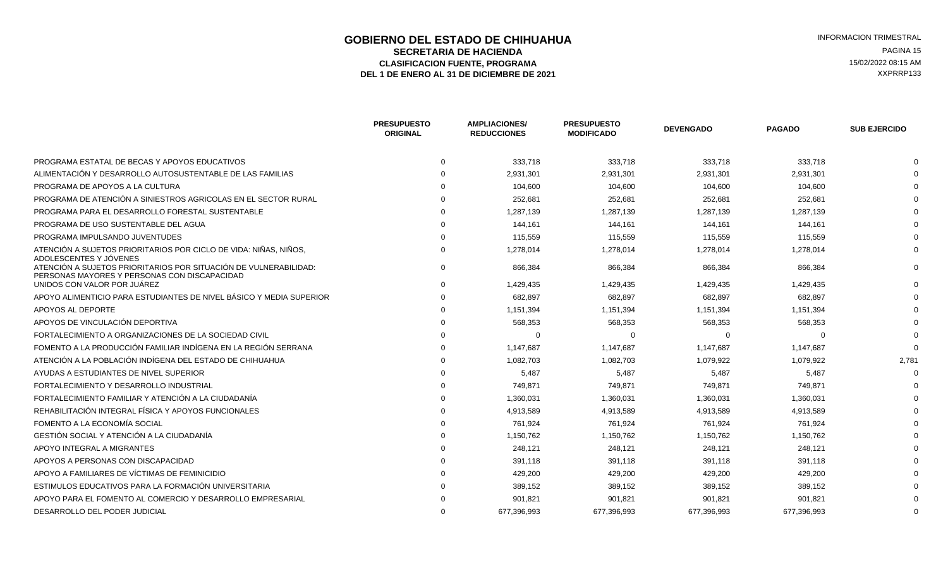### **GOBIERNO DEL ESTADO DE CHIHUAHUA EN ENTRE EN ENGLANDE DE CORTE DE CORTE DE LA ENFORMACION TRIMESTRAL<br>SECRETARIA DE HACIENDA EN ENGLANDE EN ENGLANDE DE LA ENGLANDE EN ENGLANDE DE LA ENGLANDE EN ENGLANDE EN ENGLAND SECRETARIA DE HACIENDA** PAGINA 15<br> **SECRETARIA DE HACIENDA** PAGINA 15<br> **ASIFICACION FUENTE, PROGRAMA** ELASIFICACION FUENTE, PROGRAMA **15/02/2022 08:15 AM**<br>1 DE ENERO AL 31 DE DICIEMBRE DE 2021 **1999 - 1999 - 1999 - 1999 - 1999 - 1999 - 1999 - 1999 - 1999 - 1999 - 1**<br>1 DE ENERO AL 31 DE DICIEMBRE DE 2021 DEL 1 DE ENERO AL 31 DE DICIEMBRE DE 2021

|                                                                                                                  | <b>PRESUPUESTO</b><br><b>ORIGINAL</b> | <b>AMPLIACIONES/</b><br><b>REDUCCIONES</b> | <b>PRESUPUESTO</b><br><b>MODIFICADO</b> | <b>DEVENGADO</b> | <b>PAGADO</b> | <b>SUB EJERCIDO</b> |
|------------------------------------------------------------------------------------------------------------------|---------------------------------------|--------------------------------------------|-----------------------------------------|------------------|---------------|---------------------|
| PROGRAMA ESTATAL DE BECAS Y APOYOS EDUCATIVOS                                                                    |                                       | 333,718                                    | 333,718                                 | 333,718          | 333,718       |                     |
| ALIMENTACIÓN Y DESARROLLO AUTOSUSTENTABLE DE LAS FAMILIAS                                                        |                                       | 2,931,301                                  | 2,931,301                               | 2,931,301        | 2,931,301     |                     |
| PROGRAMA DE APOYOS A LA CULTURA                                                                                  |                                       | 104,600                                    | 104,600                                 | 104,600          | 104,600       |                     |
| PROGRAMA DE ATENCIÓN A SINIESTROS AGRICOLAS EN EL SECTOR RURAL                                                   |                                       | 252,681                                    | 252,681                                 | 252,681          | 252,681       |                     |
| PROGRAMA PARA EL DESARROLLO FORESTAL SUSTENTABLE                                                                 |                                       | 1,287,139                                  | 1,287,139                               | 1,287,139        | 1,287,139     |                     |
| PROGRAMA DE USO SUSTENTABLE DEL AGUA                                                                             |                                       | 144,161                                    | 144,161                                 | 144,161          | 144,161       |                     |
| PROGRAMA IMPULSANDO JUVENTUDES                                                                                   |                                       | 115,559                                    | 115,559                                 | 115,559          | 115,559       |                     |
| ATENCIÓN A SUJETOS PRIORITARIOS POR CICLO DE VIDA: NIÑAS, NIÑOS,<br>ADOLESCENTES Y JÓVENES                       |                                       | 1,278,014                                  | 1,278,014                               | 1,278,014        | 1,278,014     |                     |
| ATENCIÓN A SUJETOS PRIORITARIOS POR SITUACIÓN DE VULNERABILIDAD:<br>PERSONAS MAYORES Y PERSONAS CON DISCAPACIDAD | $\Omega$                              | 866.384                                    | 866.384                                 | 866.384          | 866,384       |                     |
| UNIDOS CON VALOR POR JUÁREZ                                                                                      |                                       | 1,429,435                                  | 1,429,435                               | 1,429,435        | 1,429,435     |                     |
| APOYO ALIMENTICIO PARA ESTUDIANTES DE NIVEL BÁSICO Y MEDIA SUPERIOR                                              |                                       | 682,897                                    | 682,897                                 | 682,897          | 682,897       |                     |
| APOYOS AL DEPORTE                                                                                                |                                       | 1,151,394                                  | 1,151,394                               | 1,151,394        | 1,151,394     |                     |
| APOYOS DE VINCULACIÓN DEPORTIVA                                                                                  |                                       | 568,353                                    | 568,353                                 | 568,353          | 568,353       |                     |
| FORTALECIMIENTO A ORGANIZACIONES DE LA SOCIEDAD CIVIL                                                            |                                       |                                            | O                                       | $\Omega$         |               |                     |
| FOMENTO A LA PRODUCCIÓN FAMILIAR INDÍGENA EN LA REGIÓN SERRANA                                                   |                                       | 1,147,687                                  | 1,147,687                               | 1,147,687        | 1,147,687     |                     |
| ATENCIÓN A LA POBLACIÓN INDÍGENA DEL ESTADO DE CHIHUAHUA                                                         |                                       | 1,082,703                                  | 1,082,703                               | 1,079,922        | 1,079,922     | 2,781               |
| AYUDAS A ESTUDIANTES DE NIVEL SUPERIOR                                                                           |                                       | 5,487                                      | 5,487                                   | 5,487            | 5,487         |                     |
| FORTALECIMIENTO Y DESARROLLO INDUSTRIAL                                                                          |                                       | 749,871                                    | 749,871                                 | 749,871          | 749,871       |                     |
| FORTALECIMIENTO FAMILIAR Y ATENCIÓN A LA CIUDADANÍA                                                              |                                       | 1,360,031                                  | 1,360,031                               | 1,360,031        | 1,360,031     |                     |
| REHABILITACIÓN INTEGRAL FÍSICA Y APOYOS FUNCIONALES                                                              |                                       | 4,913,589                                  | 4,913,589                               | 4,913,589        | 4,913,589     |                     |
| FOMENTO A LA ECONOMÍA SOCIAL                                                                                     |                                       | 761,924                                    | 761,924                                 | 761,924          | 761,924       |                     |
| GESTIÓN SOCIAL Y ATENCIÓN A LA CIUDADANÍA                                                                        |                                       | 1,150,762                                  | 1,150,762                               | 1,150,762        | 1,150,762     |                     |
| APOYO INTEGRAL A MIGRANTES                                                                                       |                                       | 248,121                                    | 248,121                                 | 248,121          | 248,121       |                     |
| APOYOS A PERSONAS CON DISCAPACIDAD                                                                               |                                       | 391,118                                    | 391,118                                 | 391,118          | 391,118       |                     |
| APOYO A FAMILIARES DE VÍCTIMAS DE FEMINICIDIO                                                                    |                                       | 429,200                                    | 429,200                                 | 429,200          | 429,200       |                     |
| ESTIMULOS EDUCATIVOS PARA LA FORMACIÓN UNIVERSITARIA                                                             |                                       | 389,152                                    | 389,152                                 | 389,152          | 389,152       |                     |
| APOYO PARA EL FOMENTO AL COMERCIO Y DESARROLLO EMPRESARIAL                                                       |                                       | 901,821                                    | 901,821                                 | 901,821          | 901,821       |                     |
| DESARROLLO DEL PODER JUDICIAL                                                                                    |                                       | 677,396,993                                | 677,396,993                             | 677,396,993      | 677,396,993   |                     |
|                                                                                                                  |                                       |                                            |                                         |                  |               |                     |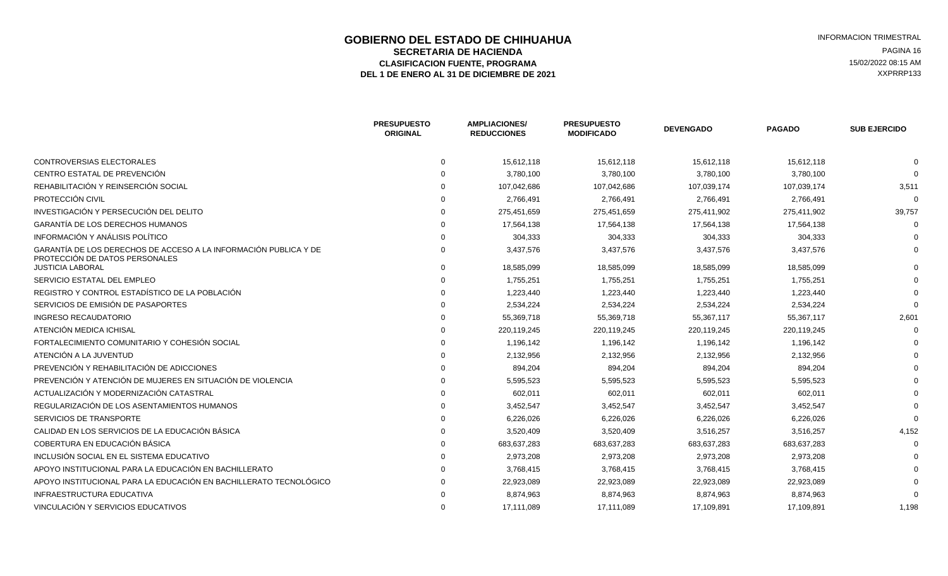# **GOBIERNO DEL ESTADO DE CHIHUAHUA INFORMACION TRIMESTRAL**<br>SECRETARIA DE HACIENDA **SECRETARIA DE HACIENDA** PAGINA 16<br> **SECRETARIA DE HACIENDA** PAGINA 16 ELASIFICACION FUENTE, PROGRAMA **15/02/2022 08:15 AM**<br>1 DE ENERO AL 31 DE DICIEMBRE DE 2021 **1999 - 1999 - 1999 - 1999 - 1999 - 1999 - 1999 - 1999 - 1999 - 1999 - 1**<br>1 DE ENERO AL 31 DE DICIEMBRE DE 2021 DEL 1 DE ENERO AL 31 DE DICIEMBRE DE 2021

|                                                                                                    | <b>PRESUPUESTO</b><br><b>ORIGINAL</b> | <b>AMPLIACIONES/</b><br><b>REDUCCIONES</b> | <b>PRESUPUESTO</b><br><b>MODIFICADO</b> | <b>DEVENGADO</b> | <b>PAGADO</b> | <b>SUB EJERCIDO</b> |
|----------------------------------------------------------------------------------------------------|---------------------------------------|--------------------------------------------|-----------------------------------------|------------------|---------------|---------------------|
| CONTROVERSIAS ELECTORALES                                                                          | 0                                     | 15,612,118                                 | 15,612,118                              | 15,612,118       | 15,612,118    |                     |
| CENTRO ESTATAL DE PREVENCIÓN                                                                       |                                       | 3,780,100                                  | 3,780,100                               | 3,780,100        | 3,780,100     |                     |
| REHABILITACIÓN Y REINSERCIÓN SOCIAL                                                                |                                       | 107,042,686                                | 107,042,686                             | 107,039,174      | 107,039,174   | 3,511               |
| PROTECCIÓN CIVIL                                                                                   |                                       | 2,766,491                                  | 2,766,491                               | 2,766,491        | 2,766,491     |                     |
| INVESTIGACIÓN Y PERSECUCIÓN DEL DELITO                                                             |                                       | 275,451,659                                | 275,451,659                             | 275,411,902      | 275,411,902   | 39,757              |
| <b>GARANTÍA DE LOS DERECHOS HUMANOS</b>                                                            |                                       | 17,564,138                                 | 17,564,138                              | 17,564,138       | 17,564,138    |                     |
| INFORMACIÓN Y ANÁLISIS POLÍTICO                                                                    |                                       | 304,333                                    | 304,333                                 | 304,333          | 304,333       |                     |
| GARANTÍA DE LOS DERECHOS DE ACCESO A LA INFORMACIÓN PUBLICA Y DE<br>PROTECCIÓN DE DATOS PERSONALES |                                       | 3,437,576                                  | 3,437,576                               | 3,437,576        | 3,437,576     |                     |
| <b>JUSTICIA LABORAL</b>                                                                            |                                       | 18,585,099                                 | 18,585,099                              | 18,585,099       | 18,585,099    |                     |
| SERVICIO ESTATAL DEL EMPLEO                                                                        |                                       | 1,755,251                                  | 1,755,251                               | 1,755,251        | 1,755,251     |                     |
| REGISTRO Y CONTROL ESTADÍSTICO DE LA POBLACIÓN                                                     |                                       | 1,223,440                                  | 1,223,440                               | 1,223,440        | 1,223,440     |                     |
| SERVICIOS DE EMISIÓN DE PASAPORTES                                                                 |                                       | 2,534,224                                  | 2,534,224                               | 2,534,224        | 2,534,224     |                     |
| <b>INGRESO RECAUDATORIO</b>                                                                        |                                       | 55,369,718                                 | 55,369,718                              | 55,367,117       | 55,367,117    | 2,601               |
| ATENCIÓN MEDICA ICHISAL                                                                            |                                       | 220,119,245                                | 220,119,245                             | 220,119,245      | 220,119,245   |                     |
| FORTALECIMIENTO COMUNITARIO Y COHESIÓN SOCIAL                                                      |                                       | 1,196,142                                  | 1,196,142                               | 1,196,142        | 1,196,142     |                     |
| ATENCIÓN A LA JUVENTUD                                                                             |                                       | 2,132,956                                  | 2,132,956                               | 2,132,956        | 2,132,956     |                     |
| PREVENCIÓN Y REHABILITACIÓN DE ADICCIONES                                                          |                                       | 894,204                                    | 894,204                                 | 894,204          | 894,204       |                     |
| PREVENCIÓN Y ATENCIÓN DE MUJERES EN SITUACIÓN DE VIOLENCIA                                         |                                       | 5,595,523                                  | 5,595,523                               | 5,595,523        | 5,595,523     |                     |
| ACTUALIZACIÓN Y MODERNIZACIÓN CATASTRAL                                                            |                                       | 602,011                                    | 602,011                                 | 602,011          | 602,011       |                     |
| REGULARIZACIÓN DE LOS ASENTAMIENTOS HUMANOS                                                        |                                       | 3,452,547                                  | 3,452,547                               | 3,452,547        | 3,452,547     |                     |
| SERVICIOS DE TRANSPORTE                                                                            |                                       | 6,226,026                                  | 6,226,026                               | 6,226,026        | 6,226,026     |                     |
| CALIDAD EN LOS SERVICIOS DE LA EDUCACIÓN BÁSICA                                                    |                                       | 3,520,409                                  | 3,520,409                               | 3,516,257        | 3,516,257     | 4,152               |
| COBERTURA EN EDUCACIÓN BÁSICA                                                                      |                                       | 683,637,283                                | 683,637,283                             | 683,637,283      | 683,637,283   |                     |
| INCLUSIÓN SOCIAL EN EL SISTEMA EDUCATIVO                                                           |                                       | 2,973,208                                  | 2,973,208                               | 2,973,208        | 2,973,208     |                     |
| APOYO INSTITUCIONAL PARA LA EDUCACIÓN EN BACHILLERATO                                              |                                       | 3,768,415                                  | 3,768,415                               | 3,768,415        | 3,768,415     |                     |
| APOYO INSTITUCIONAL PARA LA EDUCACIÓN EN BACHILLERATO TECNOLÓGICO                                  |                                       | 22,923,089                                 | 22,923,089                              | 22,923,089       | 22,923,089    |                     |
| INFRAESTRUCTURA EDUCATIVA                                                                          |                                       | 8,874,963                                  | 8,874,963                               | 8,874,963        | 8,874,963     |                     |
| VINCULACIÓN Y SERVICIOS EDUCATIVOS                                                                 |                                       | 17.111.089                                 | 17.111.089                              | 17,109,891       | 17,109,891    | 1,198               |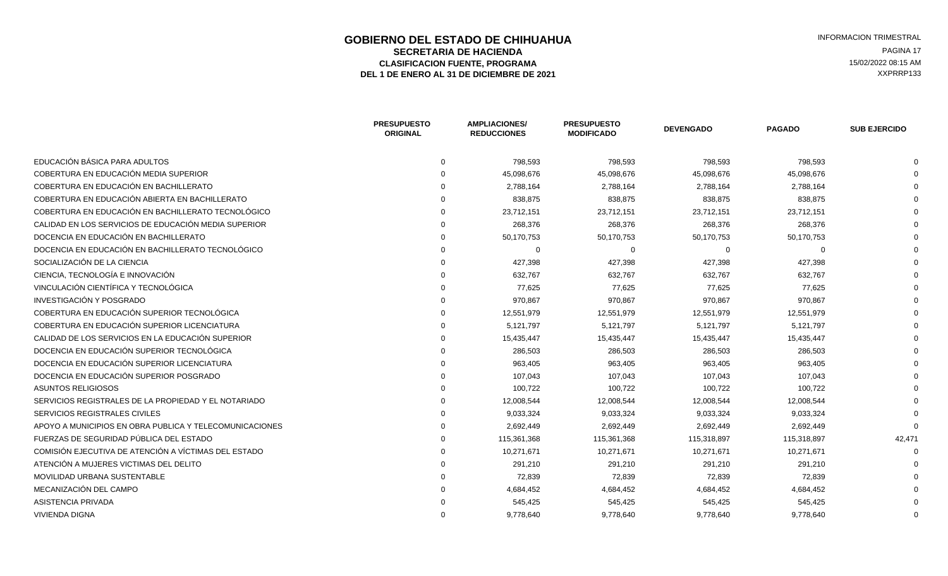### **GOBIERNO DEL ESTADO DE CHIHUAHUA EN ENTRE EN ENGLANDE DE CORTE DE CORTE DE LA CIENNA EN ENGLANDE DE LA CIENNA<br>SECRETARIA DE HACIENDA EN ENGLANDE EN ENGLANDE DE LA CIENNA ENGLANDE DE LA CIENNA ENGLANDE DE LA CIENNA ENGLAN<br> SECRETARIA DE HACIENDA** PAGINA 17<br>**ASIFICACION FUENTE. PROGRAMA** PAGINA ASIFICACION EURO EN OGRAMA ELASIFICACION FUENTE, PROGRAMA **15/02/2022 08:15 AM**<br>1 DE ENERO AL 31 DE DICIEMBRE DE 2021 **1999 - 1999 - 1999 - 1999 - 1999 - 1999 - 1999 - 1999 - 1999 - 1999 - 1**<br>1 DE ENERO AL 31 DE DICIEMBRE DE 2021 DEL 1 DE ENERO AL 31 DE DICIEMBRE DE 2021

|                                                         | <b>PRESUPUESTO</b><br><b>ORIGINAL</b> | <b>AMPLIACIONES/</b><br><b>REDUCCIONES</b> | <b>PRESUPUESTO</b><br><b>MODIFICADO</b> | <b>DEVENGADO</b> | <b>PAGADO</b> | <b>SUB EJERCIDO</b> |
|---------------------------------------------------------|---------------------------------------|--------------------------------------------|-----------------------------------------|------------------|---------------|---------------------|
| EDUCACIÓN BÁSICA PARA ADULTOS                           | $\Omega$                              | 798,593                                    | 798,593                                 | 798,593          | 798,593       |                     |
| COBERTURA EN EDUCACIÓN MEDIA SUPERIOR                   |                                       | 45,098,676                                 | 45,098,676                              | 45,098,676       | 45,098,676    |                     |
| COBERTURA EN EDUCACIÓN EN BACHILLERATO                  |                                       | 2,788,164                                  | 2,788,164                               | 2,788,164        | 2,788,164     |                     |
| COBERTURA EN EDUCACIÓN ABIERTA EN BACHILLERATO          |                                       | 838,875                                    | 838,875                                 | 838,875          | 838,875       |                     |
| COBERTURA EN EDUCACIÓN EN BACHILLERATO TECNOLÓGICO      |                                       | 23,712,151                                 | 23,712,151                              | 23,712,151       | 23,712,151    |                     |
| CALIDAD EN LOS SERVICIOS DE EDUCACIÓN MEDIA SUPERIOR    |                                       | 268,376                                    | 268,376                                 | 268,376          | 268,376       |                     |
| DOCENCIA EN EDUCACIÓN EN BACHILLERATO                   |                                       | 50,170,753                                 | 50,170,753                              | 50,170,753       | 50,170,753    |                     |
| DOCENCIA EN EDUCACIÓN EN BACHILLERATO TECNOLÓGICO       |                                       | $\Omega$                                   | $\Omega$                                | - 0              |               |                     |
| SOCIALIZACIÓN DE LA CIENCIA                             |                                       | 427,398                                    | 427,398                                 | 427,398          | 427,398       |                     |
| CIENCIA. TECNOLOGÍA E INNOVACIÓN                        |                                       | 632,767                                    | 632,767                                 | 632,767          | 632,767       |                     |
| VINCULACIÓN CIENTÍFICA Y TECNOLÓGICA                    |                                       | 77,625                                     | 77,625                                  | 77.625           | 77.625        |                     |
| INVESTIGACIÓN Y POSGRADO                                |                                       | 970,867                                    | 970,867                                 | 970.867          | 970,867       |                     |
| COBERTURA EN EDUCACIÓN SUPERIOR TECNOLÓGICA             |                                       | 12,551,979                                 | 12,551,979                              | 12,551,979       | 12,551,979    |                     |
| COBERTURA EN EDUCACIÓN SUPERIOR LICENCIATURA            |                                       | 5,121,797                                  | 5,121,797                               | 5,121,797        | 5,121,797     |                     |
| CALIDAD DE LOS SERVICIOS EN LA EDUCACIÓN SUPERIOR       |                                       | 15,435,447                                 | 15,435,447                              | 15,435,447       | 15,435,447    |                     |
| DOCENCIA EN EDUCACIÓN SUPERIOR TECNOLÓGICA              |                                       | 286,503                                    | 286,503                                 | 286,503          | 286,503       |                     |
| DOCENCIA EN EDUCACIÓN SUPERIOR LICENCIATURA             |                                       | 963,405                                    | 963,405                                 | 963,405          | 963,405       |                     |
| DOCENCIA EN EDUCACIÓN SUPERIOR POSGRADO                 |                                       | 107,043                                    | 107,043                                 | 107,043          | 107,043       |                     |
| <b>ASUNTOS RELIGIOSOS</b>                               |                                       | 100,722                                    | 100,722                                 | 100,722          | 100,722       |                     |
| SERVICIOS REGISTRALES DE LA PROPIEDAD Y EL NOTARIADO    |                                       | 12,008,544                                 | 12,008,544                              | 12,008,544       | 12,008,544    |                     |
| SERVICIOS REGISTRALES CIVILES                           |                                       | 9,033,324                                  | 9,033,324                               | 9,033,324        | 9,033,324     |                     |
| APOYO A MUNICIPIOS EN OBRA PUBLICA Y TELECOMUNICACIONES |                                       | 2,692,449                                  | 2,692,449                               | 2,692,449        | 2,692,449     |                     |
| FUERZAS DE SEGURIDAD PÚBLICA DEL ESTADO                 |                                       | 115,361,368                                | 115,361,368                             | 115,318,897      | 115,318,897   | 42,471              |
| COMISIÓN EJECUTIVA DE ATENCIÓN A VÍCTIMAS DEL ESTADO    |                                       | 10,271,671                                 | 10,271,671                              | 10,271,671       | 10,271,671    |                     |
| ATENCIÓN A MUJERES VICTIMAS DEL DELITO                  |                                       | 291,210                                    | 291,210                                 | 291,210          | 291,210       |                     |
| MOVILIDAD URBANA SUSTENTABLE                            |                                       | 72,839                                     | 72,839                                  | 72,839           | 72,839        |                     |
| MECANIZACIÓN DEL CAMPO                                  |                                       | 4,684,452                                  | 4,684,452                               | 4,684,452        | 4,684,452     |                     |
| ASISTENCIA PRIVADA                                      |                                       | 545,425                                    | 545,425                                 | 545,425          | 545,425       |                     |
| <b>VIVIENDA DIGNA</b>                                   |                                       | 9,778,640                                  | 9,778,640                               | 9,778,640        | 9,778,640     |                     |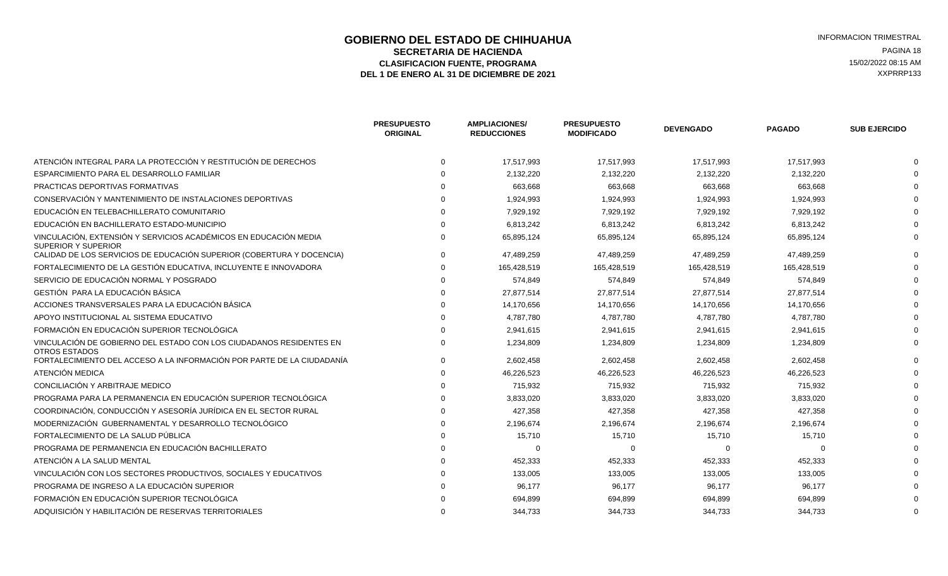### **GOBIERNO DEL ESTADO DE CHIHUAHUA EN ENTRE EN ENGLANDE DE CORTE DE CORTE DE LA CIENNA EN ENGLANDE DE LA CIENNA<br>SECRETARIA DE HACIENDA EN ENGLANDE DE CORTE DE LA CIENNA EN ENGLANDE DE LA CIENNA ENGLANDE DE LA CIENNA ENGLAN<br> SECRETARIA DE HACIENDA** PAGINA 18<br>**ASIFICACION FUENTE. PROGRAMA** PAGINA ASIFICACION FUENTE. PROGRAMA ELASIFICACION FUENTE, PROGRAMA **15/02/2022 08:15 AM**<br>1 DE ENERO AL 31 DE DICIEMBRE DE 2021 **1999 - 1999 - 1999 - 1999 - 1999 - 1999 - 1999 - 1999 - 1999 - 1999 - 1**<br>1 DE ENERO AL 31 DE DICIEMBRE DE 2021 DEL 1 DE ENERO AL 31 DE DICIEMBRE DE 2021

|                                                                                                | <b>PRESUPUESTO</b><br><b>ORIGINAL</b> | <b>AMPLIACIONES/</b><br><b>REDUCCIONES</b> | <b>PRESUPUESTO</b><br><b>MODIFICADO</b> | <b>DEVENGADO</b> | <b>PAGADO</b> | <b>SUB EJERCIDO</b> |
|------------------------------------------------------------------------------------------------|---------------------------------------|--------------------------------------------|-----------------------------------------|------------------|---------------|---------------------|
| ATENCIÓN INTEGRAL PARA LA PROTECCIÓN Y RESTITUCIÓN DE DERECHOS                                 | $\Omega$                              | 17,517,993                                 | 17,517,993                              | 17,517,993       | 17,517,993    |                     |
| ESPARCIMIENTO PARA EL DESARROLLO FAMILIAR                                                      |                                       | 2,132,220                                  | 2,132,220                               | 2,132,220        | 2,132,220     |                     |
| PRACTICAS DEPORTIVAS FORMATIVAS                                                                |                                       | 663,668                                    | 663,668                                 | 663,668          | 663,668       |                     |
| CONSERVACIÓN Y MANTENIMIENTO DE INSTALACIONES DEPORTIVAS                                       |                                       | 1,924,993                                  | 1,924,993                               | 1,924,993        | 1,924,993     |                     |
| EDUCACIÓN EN TELEBACHILLERATO COMUNITARIO                                                      |                                       | 7,929,192                                  | 7,929,192                               | 7,929,192        | 7,929,192     |                     |
| EDUCACIÓN EN BACHILLERATO ESTADO-MUNICIPIO                                                     |                                       | 6,813,242                                  | 6,813,242                               | 6,813,242        | 6,813,242     |                     |
| VINCULACIÓN, EXTENSIÓN Y SERVICIOS ACADÉMICOS EN EDUCACIÓN MEDIA<br><b>SUPERIOR Y SUPERIOR</b> |                                       | 65,895,124                                 | 65,895,124                              | 65,895,124       | 65,895,124    |                     |
| CALIDAD DE LOS SERVICIOS DE EDUCACIÓN SUPERIOR (COBERTURA Y DOCENCIA)                          |                                       | 47,489,259                                 | 47,489,259                              | 47,489,259       | 47,489,259    |                     |
| FORTALECIMIENTO DE LA GESTIÓN EDUCATIVA, INCLUYENTE E INNOVADORA                               |                                       | 165,428,519                                | 165,428,519                             | 165,428,519      | 165,428,519   |                     |
| SERVICIO DE EDUCACIÓN NORMAL Y POSGRADO                                                        |                                       | 574,849                                    | 574,849                                 | 574,849          | 574,849       |                     |
| GESTIÓN PARA LA EDUCACIÓN BÁSICA                                                               |                                       | 27,877,514                                 | 27,877,514                              | 27,877,514       | 27,877,514    |                     |
| ACCIONES TRANSVERSALES PARA LA EDUCACIÓN BÁSICA                                                |                                       | 14,170,656                                 | 14,170,656                              | 14,170,656       | 14,170,656    |                     |
| APOYO INSTITUCIONAL AL SISTEMA EDUCATIVO                                                       |                                       | 4,787,780                                  | 4,787,780                               | 4,787,780        | 4,787,780     |                     |
| FORMACIÓN EN EDUCACIÓN SUPERIOR TECNOLÓGICA                                                    |                                       | 2,941,615                                  | 2,941,615                               | 2,941,615        | 2,941,615     |                     |
| VINCULACIÓN DE GOBIERNO DEL ESTADO CON LOS CIUDADANOS RESIDENTES EN<br>OTROS ESTADOS           |                                       | 1,234,809                                  | 1,234,809                               | 1,234,809        | 1,234,809     |                     |
| FORTALECIMIENTO DEL ACCESO A LA INFORMACIÓN POR PARTE DE LA CIUDADANÍA                         |                                       | 2,602,458                                  | 2,602,458                               | 2,602,458        | 2,602,458     |                     |
| ATENCIÓN MEDICA                                                                                |                                       | 46,226,523                                 | 46,226,523                              | 46,226,523       | 46,226,523    |                     |
| CONCILIACIÓN Y ARBITRAJE MEDICO                                                                |                                       | 715,932                                    | 715,932                                 | 715,932          | 715,932       |                     |
| PROGRAMA PARA LA PERMANENCIA EN EDUCACIÓN SUPERIOR TECNOLÓGICA                                 |                                       | 3,833,020                                  | 3,833,020                               | 3,833,020        | 3,833,020     |                     |
| COORDINACIÓN, CONDUCCIÓN Y ASESORÍA JURÍDICA EN EL SECTOR RURAL                                |                                       | 427,358                                    | 427,358                                 | 427,358          | 427,358       |                     |
| MODERNIZACIÓN GUBERNAMENTAL Y DESARROLLO TECNOLÓGICO                                           |                                       | 2,196,674                                  | 2,196,674                               | 2,196,674        | 2,196,674     |                     |
| FORTALECIMIENTO DE LA SALUD PÚBLICA                                                            |                                       | 15,710                                     | 15,710                                  | 15,710           | 15,710        |                     |
| PROGRAMA DE PERMANENCIA EN EDUCACIÓN BACHILLERATO                                              |                                       | $\Omega$                                   | $\Omega$                                | $\Omega$         | $\Omega$      |                     |
| ATENCIÓN A LA SALUD MENTAL                                                                     |                                       | 452,333                                    | 452,333                                 | 452,333          | 452,333       |                     |
| VINCULACIÓN CON LOS SECTORES PRODUCTIVOS, SOCIALES Y EDUCATIVOS                                |                                       | 133,005                                    | 133,005                                 | 133,005          | 133,005       |                     |
| PROGRAMA DE INGRESO A LA EDUCACIÓN SUPERIOR                                                    |                                       | 96,177                                     | 96,177                                  | 96,177           | 96,177        |                     |
| FORMACIÓN EN EDUCACIÓN SUPERIOR TECNOLÓGICA                                                    |                                       | 694,899                                    | 694,899                                 | 694,899          | 694,899       |                     |
| ADQUISICIÓN Y HABILITACIÓN DE RESERVAS TERRITORIALES                                           |                                       | 344,733                                    | 344,733                                 | 344,733          | 344,733       |                     |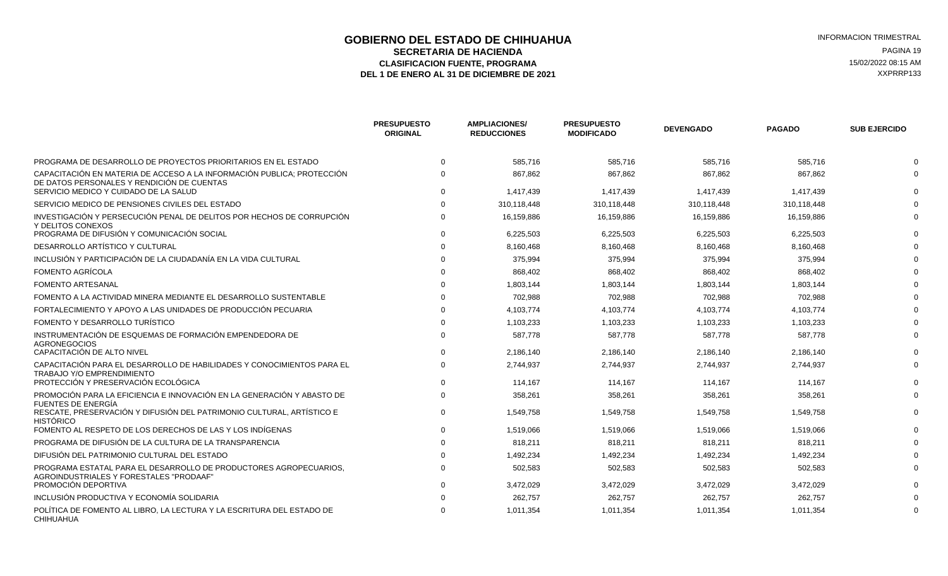### **GOBIERNO DEL ESTADO DE CHIHUAHUA EN ENTRE EN ENGLANDE DE CORTE DE CORTE DE LA CIENNA EN ENGLANDE DE LA CIENNA<br>SECRETARIA DE HACIENDA EN ENGLANDE DE CORTE DE LA CIENNA EN ENGLANDE DE LA CIENNA ENGLANDE DE LA CIENNA ENGLAN SECRETARIA DE HACIENDA** PAGINA 19<br>**ASIFICACION FUENTE. PROGRAMA** PAGINA ASIFICACION FUENTE. PROGRAMA ELASIFICACION FUENTE, PROGRAMA **15/02/2022 08:15 AM**<br>1 DE ENERO AL 31 DE DICIEMBRE DE 2021 **1999 - 1999 - 1999 - 1999 - 1999 - 1999 - 1999 - 1999 - 1999 - 1999 - 1**<br>1 DE ENERO AL 31 DE DICIEMBRE DE 2021 DEL 1 DE ENERO AL 31 DE DICIEMBRE DE 2021

|                                                                                                                      | <b>PRESUPUESTO</b><br><b>ORIGINAL</b> | <b>AMPLIACIONES/</b><br><b>REDUCCIONES</b> | <b>PRESUPUESTO</b><br><b>MODIFICADO</b> | <b>DEVENGADO</b> | <b>PAGADO</b> | <b>SUB EJERCIDO</b> |
|----------------------------------------------------------------------------------------------------------------------|---------------------------------------|--------------------------------------------|-----------------------------------------|------------------|---------------|---------------------|
| PROGRAMA DE DESARROLLO DE PROYECTOS PRIORITARIOS EN EL ESTADO                                                        | $\Omega$                              | 585,716                                    | 585,716                                 | 585,716          | 585,716       |                     |
| CAPACITACIÓN EN MATERIA DE ACCESO A LA INFORMACIÓN PUBLICA; PROTECCIÓN<br>DE DATOS PERSONALES Y RENDICIÓN DE CUENTAS |                                       | 867,862                                    | 867,862                                 | 867,862          | 867,862       |                     |
| SERVICIO MEDICO Y CUIDADO DE LA SALUD                                                                                |                                       | 1.417.439                                  | 1.417.439                               | 1.417.439        | 1.417.439     |                     |
| SERVICIO MEDICO DE PENSIONES CIVILES DEL ESTADO                                                                      |                                       | 310,118,448                                | 310,118,448                             | 310,118,448      | 310,118,448   |                     |
| INVESTIGACIÓN Y PERSECUCIÓN PENAL DE DELITOS POR HECHOS DE CORRUPCIÓN<br>Y DELITOS CONEXOS                           |                                       | 16,159,886                                 | 16,159,886                              | 16,159,886       | 16,159,886    |                     |
| PROGRAMA DE DIFUSIÓN Y COMUNICACIÓN SOCIAL                                                                           |                                       | 6,225,503                                  | 6,225,503                               | 6,225,503        | 6,225,503     |                     |
| DESARROLLO ARTÍSTICO Y CULTURAL                                                                                      |                                       | 8,160,468                                  | 8,160,468                               | 8,160,468        | 8,160,468     |                     |
| INCLUSIÓN Y PARTICIPACIÓN DE LA CIUDADANÍA EN LA VIDA CULTURAL                                                       |                                       | 375,994                                    | 375,994                                 | 375,994          | 375,994       |                     |
| FOMENTO AGRÍCOLA                                                                                                     |                                       | 868,402                                    | 868,402                                 | 868,402          | 868,402       |                     |
| <b>FOMENTO ARTESANAL</b>                                                                                             |                                       | 1,803,144                                  | 1,803,144                               | 1,803,144        | 1,803,144     |                     |
| FOMENTO A LA ACTIVIDAD MINERA MEDIANTE EL DESARROLLO SUSTENTABLE                                                     |                                       | 702,988                                    | 702,988                                 | 702,988          | 702,988       |                     |
| FORTALECIMIENTO Y APOYO A LAS UNIDADES DE PRODUCCIÓN PECUARIA                                                        |                                       | 4,103,774                                  | 4,103,774                               | 4,103,774        | 4,103,774     |                     |
| FOMENTO Y DESARROLLO TURÍSTICO                                                                                       |                                       | 1,103,233                                  | 1,103,233                               | 1,103,233        | 1,103,233     |                     |
| INSTRUMENTACIÓN DE ESQUEMAS DE FORMACIÓN EMPENDEDORA DE<br><b>AGRONEGOCIOS</b>                                       |                                       | 587,778                                    | 587,778                                 | 587,778          | 587,778       |                     |
| CAPACITACIÓN DE ALTO NIVEL                                                                                           |                                       | 2,186,140                                  | 2,186,140                               | 2,186,140        | 2,186,140     |                     |
| CAPACITACIÓN PARA EL DESARROLLO DE HABILIDADES Y CONOCIMIENTOS PARA EL<br><b>TRABAJO Y/O EMPRENDIMIENTO</b>          |                                       | 2,744,937                                  | 2,744,937                               | 2,744,937        | 2,744,937     |                     |
| PROTECCIÓN Y PRESERVACIÓN ECOLÓGICA                                                                                  |                                       | 114,167                                    | 114,167                                 | 114,167          | 114,167       |                     |
| PROMOCIÓN PARA LA EFICIENCIA E INNOVACIÓN EN LA GENERACIÓN Y ABASTO DE<br>FUENTES DE ENERGÍA                         |                                       | 358,261                                    | 358,261                                 | 358,261          | 358,261       |                     |
| RESCATE, PRESERVACIÓN Y DIFUSIÓN DEL PATRIMONIO CULTURAL, ARTÍSTICO E<br>HISTÓRICO                                   | $\Omega$                              | 1,549,758                                  | 1,549,758                               | 1,549,758        | 1,549,758     |                     |
| FOMENTO AL RESPETO DE LOS DERECHOS DE LAS Y LOS INDÍGENAS                                                            |                                       | 1,519,066                                  | 1,519,066                               | 1,519,066        | 1,519,066     |                     |
| PROGRAMA DE DIFUSIÓN DE LA CULTURA DE LA TRANSPARENCIA                                                               |                                       | 818,211                                    | 818,211                                 | 818,211          | 818,211       |                     |
| DIFUSIÓN DEL PATRIMONIO CULTURAL DEL ESTADO                                                                          |                                       | 1,492,234                                  | 1,492,234                               | 1,492,234        | 1,492,234     |                     |
| PROGRAMA ESTATAL PARA EL DESARROLLO DE PRODUCTORES AGROPECUARIOS.<br>AGROINDUSTRIALES Y FORESTALES "PRODAAF"         |                                       | 502,583                                    | 502,583                                 | 502,583          | 502,583       |                     |
| PROMOCIÓN DEPORTIVA                                                                                                  |                                       | 3,472,029                                  | 3,472,029                               | 3,472,029        | 3,472,029     |                     |
| INCLUSIÓN PRODUCTIVA Y ECONOMÍA SOLIDARIA                                                                            |                                       | 262,757                                    | 262,757                                 | 262,757          | 262,757       |                     |
| POLÍTICA DE FOMENTO AL LIBRO. LA LECTURA Y LA ESCRITURA DEL ESTADO DE<br>CHIHUAHUA                                   |                                       | 1,011,354                                  | 1,011,354                               | 1,011,354        | 1,011,354     |                     |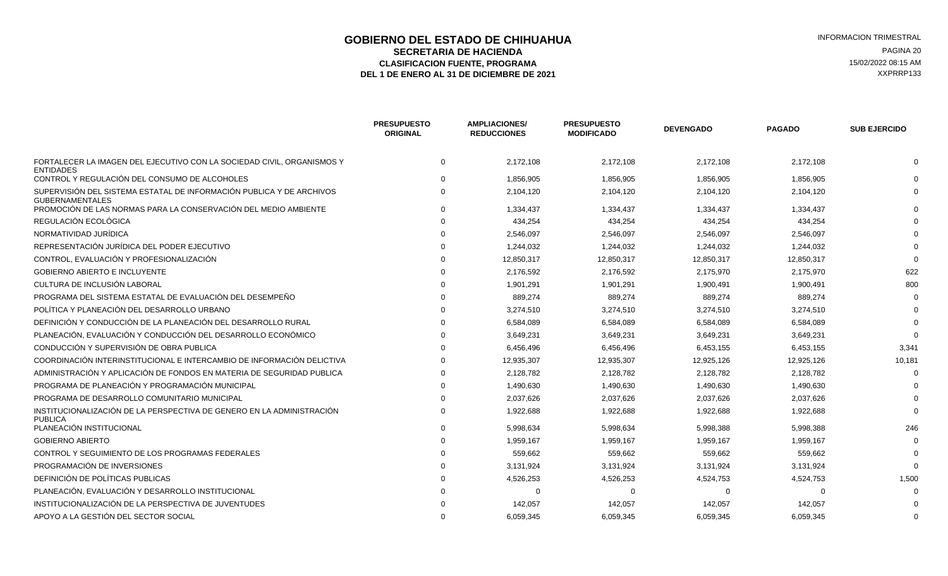#### **GOBIERNO DEL ESTADO DE CHIHUAHUA EN ENTRE EN ENGLANDE DE COBIERNO DEL ESTADO DE CHIHUAHUA**<br>SECRETARIA DE HACIENDA **SECRETARIA DE HACIENDA** PAGINA 20<br>**ASIFICACION FUENTE. PROGRAMA** PAGINA ASIFICACION FUENTE. PROGRAMA ELASIFICACION FUENTE, PROGRAMA **15/02/2022 08:15 AM**<br>1 DE ENERO AL 31 DE DICIEMBRE DE 2021 **1999 - 1999 - 1999 - 1999 - 1999 - 1999 - 1999 - 1999 - 1999 - 1999 - 1**<br>1 DE ENERO AL 31 DE DICIEMBRE DE 2021 DEL 1 DE ENERO AL 31 DE DICIEMBRE DE 2021

|                                                                                                | <b>PRESUPUESTO</b><br><b>ORIGINAL</b> | <b>AMPLIACIONES/</b><br><b>REDUCCIONES</b> | <b>PRESUPUESTO</b><br><b>MODIFICADO</b> | <b>DEVENGADO</b> | <b>PAGADO</b> | <b>SUB EJERCIDO</b> |
|------------------------------------------------------------------------------------------------|---------------------------------------|--------------------------------------------|-----------------------------------------|------------------|---------------|---------------------|
| FORTALECER LA IMAGEN DEL EJECUTIVO CON LA SOCIEDAD CIVIL, ORGANISMOS Y<br><b>ENTIDADES</b>     | $\mathbf 0$                           | 2,172,108                                  | 2,172,108                               | 2,172,108        | 2,172,108     |                     |
| CONTROL Y REGULACIÓN DEL CONSUMO DE ALCOHOLES                                                  |                                       | 1,856,905                                  | 1,856,905                               | 1,856,905        | 1,856,905     |                     |
| SUPERVISIÓN DEL SISTEMA ESTATAL DE INFORMACIÓN PUBLICA Y DE ARCHIVOS<br><b>GUBERNAMENTALES</b> |                                       | 2,104,120                                  | 2,104,120                               | 2,104,120        | 2,104,120     |                     |
| PROMOCIÓN DE LAS NORMAS PARA LA CONSERVACIÓN DEL MEDIO AMBIENTE                                |                                       | 1,334,437                                  | 1,334,437                               | 1,334,437        | 1,334,437     |                     |
| REGULACIÓN ECOLÓGICA                                                                           |                                       | 434,254                                    | 434,254                                 | 434,254          | 434,254       |                     |
| NORMATIVIDAD JURÍDICA                                                                          |                                       | 2,546,097                                  | 2,546,097                               | 2,546,097        | 2,546,097     |                     |
| REPRESENTACIÓN JURÍDICA DEL PODER EJECUTIVO                                                    |                                       | 1,244,032                                  | 1,244,032                               | 1,244,032        | 1,244,032     |                     |
| CONTROL, EVALUACIÓN Y PROFESIONALIZACIÓN                                                       |                                       | 12,850,317                                 | 12,850,317                              | 12,850,317       | 12,850,317    |                     |
| <b>GOBIERNO ABIERTO E INCLUYENTE</b>                                                           |                                       | 2,176,592                                  | 2,176,592                               | 2,175,970        | 2,175,970     | 622                 |
| CULTURA DE INCLUSIÓN LABORAL                                                                   |                                       | 1,901,291                                  | 1,901,291                               | 1,900,491        | 1,900,491     | 800                 |
| PROGRAMA DEL SISTEMA ESTATAL DE EVALUACIÓN DEL DESEMPEÑO                                       |                                       | 889,274                                    | 889,274                                 | 889,274          | 889,274       |                     |
| POLÍTICA Y PLANEACIÓN DEL DESARROLLO URBANO                                                    |                                       | 3,274,510                                  | 3,274,510                               | 3,274,510        | 3,274,510     |                     |
| DEFINICIÓN Y CONDUCCIÓN DE LA PLANEACIÓN DEL DESARROLLO RURAL                                  |                                       | 6,584,089                                  | 6,584,089                               | 6,584,089        | 6,584,089     |                     |
| PLANEACIÓN, EVALUACIÓN Y CONDUCCIÓN DEL DESARROLLO ECONÓMICO                                   |                                       | 3,649,231                                  | 3,649,231                               | 3,649,231        | 3,649,231     |                     |
| CONDUCCIÓN Y SUPERVISIÓN DE OBRA PUBLICA                                                       |                                       | 6,456,496                                  | 6,456,496                               | 6,453,155        | 6,453,155     | 3,341               |
| COORDINACIÓN INTERINSTITUCIONAL E INTERCAMBIO DE INFORMACIÓN DELICTIVA                         |                                       | 12,935,307                                 | 12,935,307                              | 12,925,126       | 12,925,126    | 10,181              |
| ADMINISTRACIÓN Y APLICACIÓN DE FONDOS EN MATERIA DE SEGURIDAD PUBLICA                          |                                       | 2,128,782                                  | 2,128,782                               | 2,128,782        | 2,128,782     |                     |
| PROGRAMA DE PLANEACIÓN Y PROGRAMACIÓN MUNICIPAL                                                |                                       | 1,490,630                                  | 1,490,630                               | 1,490,630        | 1,490,630     |                     |
| PROGRAMA DE DESARROLLO COMUNITARIO MUNICIPAL                                                   |                                       | 2,037,626                                  | 2,037,626                               | 2,037,626        | 2,037,626     |                     |
| INSTITUCIONALIZACIÓN DE LA PERSPECTIVA DE GENERO EN LA ADMINISTRACIÓN<br><b>PUBLICA</b>        | $\Omega$                              | 1,922,688                                  | 1,922,688                               | 1,922,688        | 1,922,688     |                     |
| PLANEACIÓN INSTITUCIONAL                                                                       | $\Omega$                              | 5,998,634                                  | 5,998,634                               | 5,998,388        | 5,998,388     | 246                 |
| <b>GOBIERNO ABIERTO</b>                                                                        |                                       | 1,959,167                                  | 1,959,167                               | 1,959,167        | 1,959,167     |                     |
| CONTROL Y SEGUIMIENTO DE LOS PROGRAMAS FEDERALES                                               |                                       | 559,662                                    | 559,662                                 | 559,662          | 559,662       |                     |
| PROGRAMACIÓN DE INVERSIONES                                                                    |                                       | 3,131,924                                  | 3,131,924                               | 3,131,924        | 3,131,924     |                     |
| DEFINICIÓN DE POLÍTICAS PUBLICAS                                                               |                                       | 4,526,253                                  | 4,526,253                               | 4,524,753        | 4,524,753     | 1,500               |
| PLANEACIÓN, EVALUACIÓN Y DESARROLLO INSTITUCIONAL                                              |                                       | റ                                          | - 0                                     | $\Omega$         |               |                     |
| INSTITUCIONALIZACIÓN DE LA PERSPECTIVA DE JUVENTUDES                                           |                                       | 142,057                                    | 142,057                                 | 142,057          | 142,057       |                     |
| APOYO A LA GESTIÓN DEL SECTOR SOCIAL                                                           |                                       | 6,059,345                                  | 6,059,345                               | 6,059,345        | 6,059,345     |                     |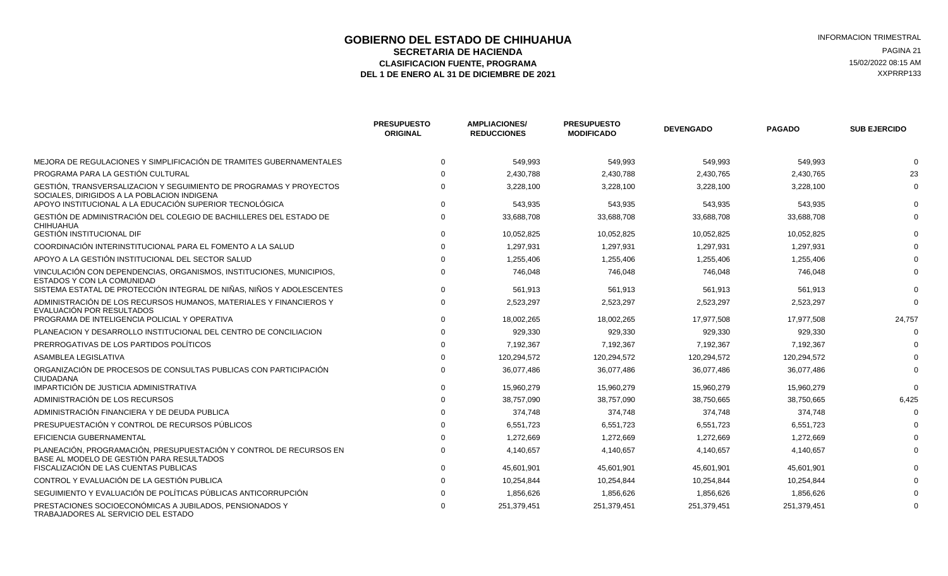# **GOBIERNO DEL ESTADO DE CHIHUAHUA EN ENGLÉ EN ENGLÉ ESTADO DE CHIHUAHUA**<br>SECRETARIA DE HACIENDA EN ENGLÉ EN ENGLÉ EN ENGLÉ EN ENGLÉ EN ENGLÉ EN ENGLÉ EN ENGLÉ EN ENGLÉ EN ENGLÉ EN EN **SECRETARIA DE HACIENDA** PAGINA 21<br>ASIFICACION FUENTE, PROGRAMA PAGINA ELECCIÓN EL ENTREGADO DE EL ENTREGADO DE EL ENTREGADO DE EL EL EL ENTREGADO ELASIFICACION FUENTE, PROGRAMA **15/02/2022 08:15 AM** 15/02/2022 08:15 AM 15/02/2022 08:15 AM 2013<br>L 1 DE ENERO AL 31 DE DICIEMBRE DE 2021 DEL 1 DE ENERO AL 31 DE DICIEMBRE DE 2021

|                                                                                                                                                  | <b>PRESUPUESTO</b><br><b>ORIGINAL</b> | <b>AMPLIACIONES/</b><br><b>REDUCCIONES</b> | <b>PRESUPUESTO</b><br><b>MODIFICADO</b> | <b>DEVENGADO</b> | <b>PAGADO</b> | <b>SUB EJERCIDO</b> |
|--------------------------------------------------------------------------------------------------------------------------------------------------|---------------------------------------|--------------------------------------------|-----------------------------------------|------------------|---------------|---------------------|
| MEJORA DE REGULACIONES Y SIMPLIFICACIÓN DE TRAMITES GUBERNAMENTALES                                                                              |                                       | 549,993                                    | 549,993                                 | 549,993          | 549,993       |                     |
| PROGRAMA PARA LA GESTIÓN CULTURAL                                                                                                                |                                       | 2,430,788                                  | 2,430,788                               | 2,430,765        | 2,430,765     |                     |
| GESTIÓN, TRANSVERSALIZACION Y SEGUIMIENTO DE PROGRAMAS Y PROYECTOS<br>SOCIALES, DIRIGIDOS A LA POBLACION INDIGENA                                |                                       | 3,228,100                                  | 3,228,100                               | 3,228,100        | 3,228,100     |                     |
| APOYO INSTITUCIONAL A LA EDUCACIÓN SUPERIOR TECNOLÓGICA                                                                                          |                                       | 543,935                                    | 543.935                                 | 543,935          | 543,935       |                     |
| GESTIÓN DE ADMINISTRACIÓN DEL COLEGIO DE BACHILLERES DEL ESTADO DE<br><b>CHIHUAHUA</b>                                                           |                                       | 33,688,708                                 | 33,688,708                              | 33,688,708       | 33,688,708    |                     |
| GESTIÓN INSTITUCIONAL DIF                                                                                                                        |                                       | 10,052,825                                 | 10,052,825                              | 10,052,825       | 10,052,825    |                     |
| COORDINACIÓN INTERINSTITUCIONAL PARA EL FOMENTO A LA SALUD                                                                                       |                                       | 1,297,931                                  | 1,297,931                               | 1,297,931        | 1,297,931     |                     |
| APOYO A LA GESTIÓN INSTITUCIONAL DEL SECTOR SALUD                                                                                                |                                       | 1,255,406                                  | 1,255,406                               | 1,255,406        | 1,255,406     |                     |
| VINCULACIÓN CON DEPENDENCIAS, ORGANISMOS, INSTITUCIONES, MUNICIPIOS,<br><b>ESTADOS Y CON LA COMUNIDAD</b>                                        |                                       | 746,048                                    | 746,048                                 | 746,048          | 746,048       |                     |
| SISTEMA ESTATAL DE PROTECCIÓN INTEGRAL DE NIÑAS, NIÑOS Y ADOLESCENTES                                                                            |                                       | 561,913                                    | 561,913                                 | 561,913          | 561,913       |                     |
| ADMINISTRACIÓN DE LOS RECURSOS HUMANOS, MATERIALES Y FINANCIEROS Y<br>EVALUACIÓN POR RESULTADOS<br>PROGRAMA DE INTELIGENCIA POLICIAL Y OPERATIVA |                                       | 2,523,297                                  | 2,523,297                               | 2,523,297        | 2,523,297     |                     |
|                                                                                                                                                  |                                       | 18,002,265                                 | 18,002,265                              | 17,977,508       | 17,977,508    | 24,757              |
| PLANEACION Y DESARROLLO INSTITUCIONAL DEL CENTRO DE CONCILIACION                                                                                 |                                       | 929,330                                    | 929,330                                 | 929,330          | 929,330       |                     |
| PRERROGATIVAS DE LOS PARTIDOS POLÍTICOS                                                                                                          |                                       | 7,192,367                                  | 7,192,367                               | 7,192,367        | 7,192,367     |                     |
| <b>ASAMBLEA LEGISLATIVA</b>                                                                                                                      |                                       | 120.294.572                                | 120.294.572                             | 120,294,572      | 120,294,572   |                     |
| ORGANIZACIÓN DE PROCESOS DE CONSULTAS PUBLICAS CON PARTICIPACIÓN<br><b>CIUDADANA</b>                                                             |                                       | 36,077,486                                 | 36,077,486                              | 36,077,486       | 36,077,486    |                     |
| IMPARTICIÓN DE JUSTICIA ADMINISTRATIVA                                                                                                           |                                       | 15,960,279                                 | 15,960,279                              | 15,960,279       | 15,960,279    |                     |
| ADMINISTRACIÓN DE LOS RECURSOS                                                                                                                   |                                       | 38,757,090                                 | 38,757,090                              | 38,750,665       | 38,750,665    | 6,425               |
| ADMINISTRACIÓN FINANCIERA Y DE DEUDA PUBLICA                                                                                                     |                                       | 374,748                                    | 374,748                                 | 374,748          | 374,748       |                     |
| PRESUPUESTACIÓN Y CONTROL DE RECURSOS PÚBLICOS                                                                                                   |                                       | 6,551,723                                  | 6,551,723                               | 6,551,723        | 6,551,723     |                     |
| EFICIENCIA GUBERNAMENTAL                                                                                                                         |                                       | 1,272,669                                  | 1,272,669                               | 1,272,669        | 1,272,669     |                     |
| PLANEACIÓN, PROGRAMACIÓN, PRESUPUESTACIÓN Y CONTROL DE RECURSOS EN<br>BASE AL MODELO DE GESTIÓN PARA RESULTADOS                                  |                                       | 4,140,657                                  | 4,140,657                               | 4,140,657        | 4,140,657     |                     |
| FISCALIZACIÓN DE LAS CUENTAS PUBLICAS                                                                                                            |                                       | 45,601,901                                 | 45,601,901                              | 45,601,901       | 45,601,901    |                     |
| CONTROL Y EVALUACIÓN DE LA GESTIÓN PUBLICA                                                                                                       |                                       | 10,254,844                                 | 10,254,844                              | 10,254,844       | 10,254,844    |                     |
| SEGUIMIENTO Y EVALUACIÓN DE POLÍTICAS PÚBLICAS ANTICORRUPCIÓN                                                                                    |                                       | 1,856,626                                  | 1,856,626                               | 1,856,626        | 1,856,626     |                     |
| PRESTACIONES SOCIOECONÓMICAS A JUBILADOS, PENSIONADOS Y<br>TRABAJADORES AL SERVICIO DEL ESTADO                                                   |                                       | 251,379,451                                | 251,379,451                             | 251,379,451      | 251,379,451   |                     |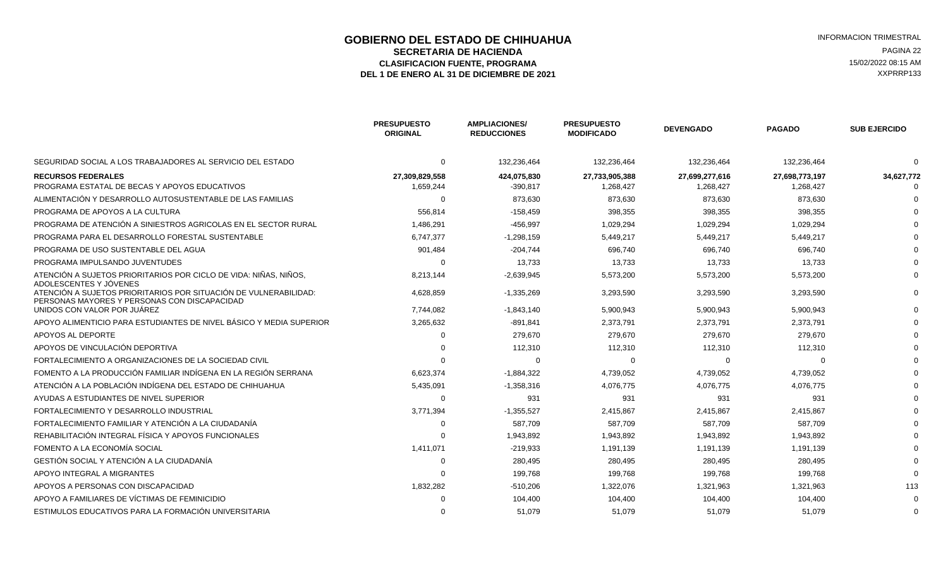#### **GOBIERNO DEL ESTADO DE CHIHUAHUA EN ENGLÉ EN ENGLÉ ESTADO DE CHIHUAHUA EN ENGLÉ EN ENGLÉ EN ENGLÉ EN EL ESTRAL**<br>SECRETARIA DE HACIENDA **SECRETARIA DE HACIENDA** PAGINA 22<br>**ASIFICACION FUENTE. PROGRAMA** PAGINA ASIFICACION FUENTE. PROGRAMA ELASIFICACION FUENTE, PROGRAMA **15/02/2022 08:15 AM** 15/02/2022 08:15 AM 15/02/2022 08:15 AM 2013<br>L 1 DE ENERO AL 31 DE DICIEMBRE DE 2021 DEL 1 DE ENERO AL 31 DE DICIEMBRE DE 2021

|                                                                                                                  | <b>PRESUPUESTO</b><br><b>ORIGINAL</b> | <b>AMPLIACIONES/</b><br><b>REDUCCIONES</b> | <b>PRESUPUESTO</b><br><b>MODIFICADO</b> | <b>DEVENGADO</b> | <b>PAGADO</b>  | <b>SUB EJERCIDO</b> |
|------------------------------------------------------------------------------------------------------------------|---------------------------------------|--------------------------------------------|-----------------------------------------|------------------|----------------|---------------------|
| SEGURIDAD SOCIAL A LOS TRABAJADORES AL SERVICIO DEL ESTADO                                                       | 0                                     | 132,236,464                                | 132,236,464                             | 132,236,464      | 132,236,464    |                     |
| <b>RECURSOS FEDERALES</b>                                                                                        | 27,309,829,558                        | 424,075,830                                | 27,733,905,388                          | 27,699,277,616   | 27,698,773,197 | 34,627,772          |
| PROGRAMA ESTATAL DE BECAS Y APOYOS EDUCATIVOS                                                                    | 1,659,244                             | -390,817                                   | 1,268,427                               | 1,268,427        | 1,268,427      |                     |
| ALIMENTACIÓN Y DESARROLLO AUTOSUSTENTABLE DE LAS FAMILIAS                                                        | $\Omega$                              | 873,630                                    | 873,630                                 | 873,630          | 873,630        |                     |
| PROGRAMA DE APOYOS A LA CULTURA                                                                                  | 556,814                               | $-158,459$                                 | 398,355                                 | 398,355          | 398,355        |                     |
| PROGRAMA DE ATENCIÓN A SINIESTROS AGRICOLAS EN EL SECTOR RURAL                                                   | 1,486,291                             | $-456,997$                                 | 1,029,294                               | 1,029,294        | 1,029,294      |                     |
| PROGRAMA PARA EL DESARROLLO FORESTAL SUSTENTABLE                                                                 | 6,747,377                             | $-1,298,159$                               | 5,449,217                               | 5,449,217        | 5,449,217      |                     |
| PROGRAMA DE USO SUSTENTABLE DEL AGUA                                                                             | 901,484                               | $-204.744$                                 | 696.740                                 | 696.740          | 696.740        |                     |
| PROGRAMA IMPULSANDO JUVENTUDES                                                                                   | $\Omega$                              | 13,733                                     | 13,733                                  | 13,733           | 13,733         |                     |
| ATENCIÓN A SUJETOS PRIORITARIOS POR CICLO DE VIDA: NIÑAS, NIÑOS,<br>ADOLESCENTES Y JOVENES                       | 8,213,144                             | $-2,639,945$                               | 5,573,200                               | 5,573,200        | 5,573,200      |                     |
| ATENCIÓN A SUJETOS PRIORITARIOS POR SITUACIÓN DE VULNERABILIDAD:<br>PERSONAS MAYORES Y PERSONAS CON DISCAPACIDAD | 4,628,859                             | $-1,335,269$                               | 3,293,590                               | 3,293,590        | 3,293,590      |                     |
| UNIDOS CON VALOR POR JUÁREZ                                                                                      | 7,744,082                             | $-1,843,140$                               | 5,900,943                               | 5,900,943        | 5,900,943      |                     |
| APOYO ALIMENTICIO PARA ESTUDIANTES DE NIVEL BÁSICO Y MEDIA SUPERIOR                                              | 3,265,632                             | -891,841                                   | 2,373,791                               | 2,373,791        | 2,373,791      |                     |
| APOYOS AL DEPORTE                                                                                                | $\Omega$                              | 279,670                                    | 279,670                                 | 279,670          | 279,670        |                     |
| APOYOS DE VINCULACIÓN DEPORTIVA                                                                                  |                                       | 112,310                                    | 112,310                                 | 112,310          | 112,310        |                     |
| FORTALECIMIENTO A ORGANIZACIONES DE LA SOCIEDAD CIVIL                                                            |                                       | 0                                          | 0                                       | O                |                |                     |
| FOMENTO A LA PRODUCCIÓN FAMILIAR INDÍGENA EN LA REGIÓN SERRANA                                                   | 6,623,374                             | $-1,884,322$                               | 4,739,052                               | 4,739,052        | 4,739,052      |                     |
| ATENCIÓN A LA POBLACIÓN INDÍGENA DEL ESTADO DE CHIHUAHUA                                                         | 5,435,091                             | $-1,358,316$                               | 4,076,775                               | 4,076,775        | 4,076,775      |                     |
| AYUDAS A ESTUDIANTES DE NIVEL SUPERIOR                                                                           | $\Omega$                              | 931                                        | 931                                     | 931              | 931            |                     |
| FORTALECIMIENTO Y DESARROLLO INDUSTRIAL                                                                          | 3,771,394                             | $-1,355,527$                               | 2,415,867                               | 2,415,867        | 2,415,867      |                     |
| FORTALECIMIENTO FAMILIAR Y ATENCIÓN A LA CIUDADANÍA                                                              | $\Omega$                              | 587,709                                    | 587,709                                 | 587,709          | 587,709        |                     |
| REHABILITACIÓN INTEGRAL FÍSICA Y APOYOS FUNCIONALES                                                              |                                       | 1,943,892                                  | 1,943,892                               | 1,943,892        | 1,943,892      |                     |
| FOMENTO A LA ECONOMÍA SOCIAL                                                                                     | 1,411,071                             | $-219,933$                                 | 1,191,139                               | 1,191,139        | 1,191,139      |                     |
| GESTIÓN SOCIAL Y ATENCIÓN A LA CIUDADANÍA                                                                        | $\Omega$                              | 280,495                                    | 280,495                                 | 280,495          | 280,495        |                     |
| APOYO INTEGRAL A MIGRANTES                                                                                       |                                       | 199,768                                    | 199,768                                 | 199,768          | 199,768        |                     |
| APOYOS A PERSONAS CON DISCAPACIDAD                                                                               | 1,832,282                             | $-510,206$                                 | 1,322,076                               | 1,321,963        | 1,321,963      | 113                 |
| APOYO A FAMILIARES DE VÍCTIMAS DE FEMINICIDIO                                                                    |                                       | 104,400                                    | 104,400                                 | 104,400          | 104,400        |                     |
| ESTIMULOS EDUCATIVOS PARA LA FORMACIÓN UNIVERSITARIA                                                             |                                       | 51.079                                     | 51.079                                  | 51.079           | 51.079         |                     |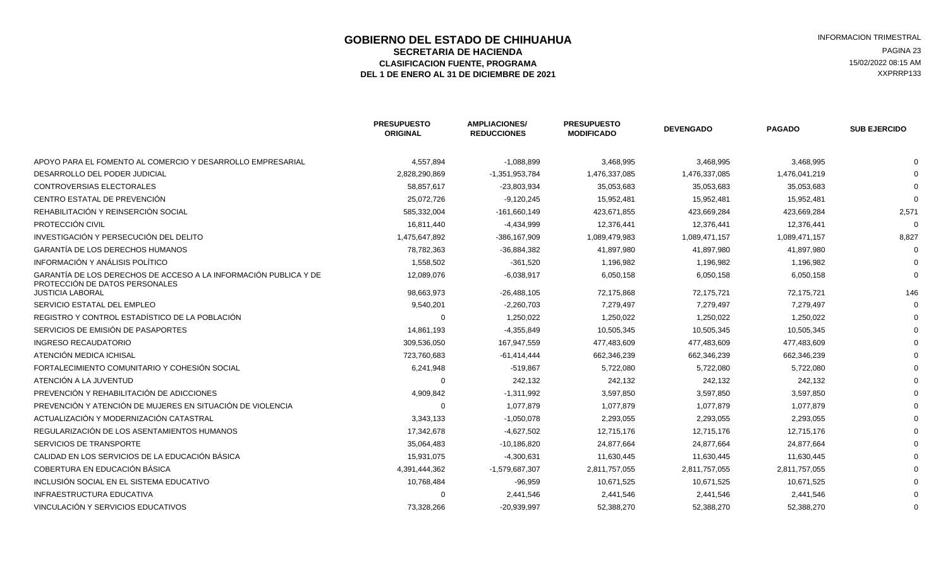# **GOBIERNO DEL ESTADO DE CHIHUAHUA EN ENGLÉ EN ENGLÉ ESTADO DE CHIHUAHUA**<br>SECRETARIA DE HACIENDA EN ENGLÉ EN ENGLÉ EN ENGLÉ EN ENGLÉ EN ENGLÉ EN ENGLÉ EN ENGLÉ EN ENGLÉ EN ENGLÉ EN EN **SECRETARIA DE HACIENDA** PAGINA 23<br>ASIFICACION FUENTE, PROGRAMA PAGINA ELECCIÓN EL ENTREGADO DE EL ENTREGADO DE EL ENTREGADO DE EL EL EL ENTREGADO ELASIFICACION FUENTE, PROGRAMA **15/02/2022 08:15 AM**<br>1 DE ENERO AL 31 DE DICIEMBRE DE 2021 **1999 - 1999 - 1999 - 1999 - 1999 - 1999 - 1999 - 1999 - 1999 - 1999 - 1**<br>1 DE ENERO AL 31 DE DICIEMBRE DE 2021 DEL 1 DE ENERO AL 31 DE DICIEMBRE DE 2021

|                                                                                                    | <b>PRESUPUESTO</b><br><b>ORIGINAL</b> | <b>AMPLIACIONES/</b><br><b>REDUCCIONES</b> | <b>PRESUPUESTO</b><br><b>MODIFICADO</b> | <b>DEVENGADO</b> | <b>PAGADO</b> | <b>SUB EJERCIDO</b> |
|----------------------------------------------------------------------------------------------------|---------------------------------------|--------------------------------------------|-----------------------------------------|------------------|---------------|---------------------|
| APOYO PARA EL FOMENTO AL COMERCIO Y DESARROLLO EMPRESARIAL                                         | 4,557,894                             | $-1,088,899$                               | 3,468,995                               | 3,468,995        | 3,468,995     |                     |
| DESARROLLO DEL PODER JUDICIAL                                                                      | 2,828,290,869                         | -1,351,953,784                             | 1,476,337,085                           | 1,476,337,085    | 1,476,041,219 |                     |
| <b>CONTROVERSIAS ELECTORALES</b>                                                                   | 58,857,617                            | $-23,803,934$                              | 35,053,683                              | 35,053,683       | 35,053,683    |                     |
| CENTRO ESTATAL DE PREVENCIÓN                                                                       | 25,072,726                            | $-9,120,245$                               | 15,952,481                              | 15,952,481       | 15,952,481    |                     |
| REHABILITACIÓN Y REINSERCIÓN SOCIAL                                                                | 585,332,004                           | $-161,660,149$                             | 423,671,855                             | 423,669,284      | 423,669,284   | 2,571               |
| PROTECCIÓN CIVIL                                                                                   | 16,811,440                            | $-4,434,999$                               | 12,376,441                              | 12,376,441       | 12,376,441    |                     |
| INVESTIGACIÓN Y PERSECUCIÓN DEL DELITO                                                             | 1,475,647,892                         | -386,167,909                               | 1,089,479,983                           | 1,089,471,157    | 1,089,471,157 | 8,827               |
| GARANTÍA DE LOS DERECHOS HUMANOS                                                                   | 78,782,363                            | -36,884,382                                | 41,897,980                              | 41,897,980       | 41,897,980    |                     |
| INFORMACIÓN Y ANÁLISIS POLÍTICO                                                                    | 1,558,502                             | $-361,520$                                 | 1,196,982                               | 1,196,982        | 1,196,982     |                     |
| GARANTÍA DE LOS DERECHOS DE ACCESO A LA INFORMACIÓN PUBLICA Y DE<br>PROTECCIÓN DE DATOS PERSONALES | 12,089,076                            | $-6,038,917$                               | 6,050,158                               | 6,050,158        | 6,050,158     |                     |
| <b>JUSTICIA LABORAL</b>                                                                            | 98,663,973                            | $-26,488,105$                              | 72,175,868                              | 72,175,721       | 72,175,721    | 146                 |
| SERVICIO ESTATAL DEL EMPLEO                                                                        | 9,540,201                             | $-2,260,703$                               | 7,279,497                               | 7,279,497        | 7,279,497     |                     |
| REGISTRO Y CONTROL ESTADÍSTICO DE LA POBLACIÓN                                                     | $\mathbf 0$                           | 1,250,022                                  | 1,250,022                               | 1,250,022        | 1,250,022     |                     |
| SERVICIOS DE EMISIÓN DE PASAPORTES                                                                 | 14,861,193                            | $-4,355,849$                               | 10,505,345                              | 10,505,345       | 10,505,345    |                     |
| INGRESO RECAUDATORIO                                                                               | 309,536,050                           | 167,947,559                                | 477,483,609                             | 477,483,609      | 477,483,609   |                     |
| ATENCIÓN MEDICA ICHISAL                                                                            | 723,760,683                           | $-61,414,444$                              | 662,346,239                             | 662,346,239      | 662,346,239   |                     |
| FORTALECIMIENTO COMUNITARIO Y COHESIÓN SOCIAL                                                      | 6,241,948                             | $-519,867$                                 | 5,722,080                               | 5,722,080        | 5,722,080     |                     |
| ATENCIÓN A LA JUVENTUD                                                                             | 0                                     | 242,132                                    | 242,132                                 | 242,132          | 242,132       |                     |
| PREVENCIÓN Y REHABILITACIÓN DE ADICCIONES                                                          | 4,909,842                             | $-1,311,992$                               | 3,597,850                               | 3,597,850        | 3,597,850     |                     |
| PREVENCIÓN Y ATENCIÓN DE MUJERES EN SITUACIÓN DE VIOLENCIA                                         | $\Omega$                              | 1,077,879                                  | 1,077,879                               | 1,077,879        | 1,077,879     |                     |
| ACTUALIZACIÓN Y MODERNIZACIÓN CATASTRAL                                                            | 3,343,133                             | $-1,050,078$                               | 2,293,055                               | 2,293,055        | 2,293,055     |                     |
| REGULARIZACIÓN DE LOS ASENTAMIENTOS HUMANOS                                                        | 17,342,678                            | $-4,627,502$                               | 12,715,176                              | 12,715,176       | 12,715,176    |                     |
| SERVICIOS DE TRANSPORTE                                                                            | 35,064,483                            | $-10,186,820$                              | 24,877,664                              | 24,877,664       | 24,877,664    |                     |
| CALIDAD EN LOS SERVICIOS DE LA EDUCACIÓN BÁSICA                                                    | 15,931,075                            | $-4,300,631$                               | 11,630,445                              | 11,630,445       | 11,630,445    |                     |
| COBERTURA EN EDUCACIÓN BÁSICA                                                                      | 4,391,444,362                         | -1,579,687,307                             | 2,811,757,055                           | 2,811,757,055    | 2,811,757,055 |                     |
| INCLUSIÓN SOCIAL EN EL SISTEMA EDUCATIVO                                                           | 10,768,484                            | $-96,959$                                  | 10,671,525                              | 10,671,525       | 10,671,525    |                     |
| <b>INFRAESTRUCTURA EDUCATIVA</b>                                                                   | $\Omega$                              | 2,441,546                                  | 2,441,546                               | 2,441,546        | 2,441,546     |                     |
| VINCULACIÓN Y SERVICIOS EDUCATIVOS                                                                 | 73,328,266                            | $-20,939,997$                              | 52,388,270                              | 52,388,270       | 52,388,270    |                     |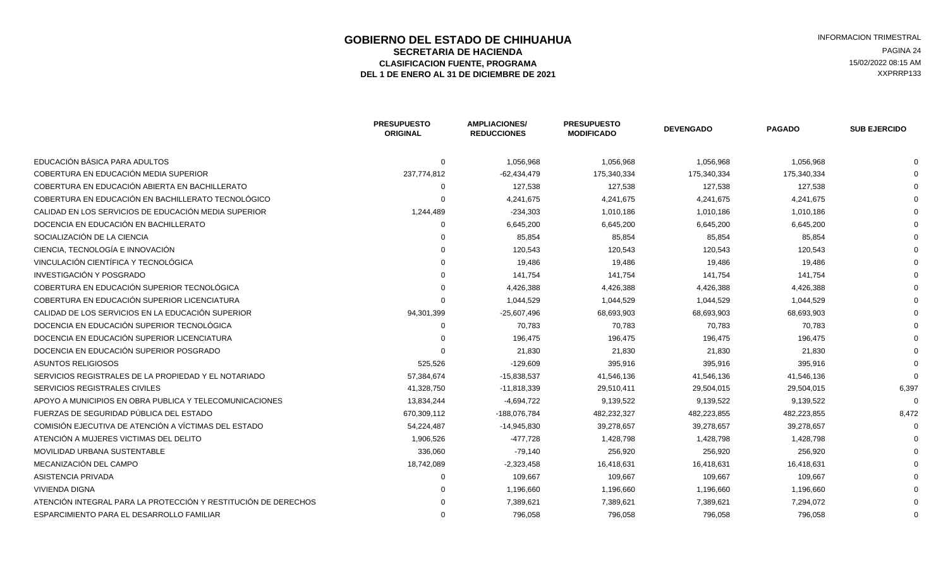# **GOBIERNO DEL ESTADO DE CHIHUAHUA EN ENGLÉ EN ENGLÉ ESTADO DE CHIHUAHUA EN ENGLÉ EN ENGLÉ EN EL ESTRAL EN ENGLÍ<br>SECRETARIA DE HACIENDA SECRETARIA DE HACIENDA** PAGINA 24<br>ASIFICACION FUENTE, PROGRAMA PAGINA ELECCIÓN EL ENTREGADO DE EL ENTREGADO DE EL ENTREGADO DE EL EL EL EL EL EN<br>ASIFICACION FUENTE, PROGRAMA ELASIFICACION FUENTE, PROGRAMA **15/02/2022 08:15 AM** 15/02/2022 08:15 AM 15/02/2022 08:15 AM 2013<br>L 1 DE ENERO AL 31 DE DICIEMBRE DE 2021 DEL 1 DE ENERO AL 31 DE DICIEMBRE DE 2021

|                                                                | <b>PRESUPUESTO</b><br><b>ORIGINAL</b> | <b>AMPLIACIONES/</b><br><b>REDUCCIONES</b> | <b>PRESUPUESTO</b><br><b>MODIFICADO</b> | <b>DEVENGADO</b> | <b>PAGADO</b> | <b>SUB EJERCIDO</b> |
|----------------------------------------------------------------|---------------------------------------|--------------------------------------------|-----------------------------------------|------------------|---------------|---------------------|
| EDUCACIÓN BÁSICA PARA ADULTOS                                  | $\Omega$                              | 1,056,968                                  | 1,056,968                               | 1,056,968        | 1,056,968     |                     |
| COBERTURA EN EDUCACIÓN MEDIA SUPERIOR                          | 237,774,812                           | $-62,434,479$                              | 175,340,334                             | 175,340,334      | 175,340,334   |                     |
| COBERTURA EN EDUCACIÓN ABIERTA EN BACHILLERATO                 |                                       | 127,538                                    | 127,538                                 | 127,538          | 127,538       |                     |
| COBERTURA EN EDUCACIÓN EN BACHILLERATO TECNOLÓGICO             |                                       | 4,241,675                                  | 4,241,675                               | 4,241,675        | 4,241,675     |                     |
| CALIDAD EN LOS SERVICIOS DE EDUCACIÓN MEDIA SUPERIOR           | 1,244,489                             | $-234,303$                                 | 1,010,186                               | 1,010,186        | 1,010,186     |                     |
| DOCENCIA EN EDUCACIÓN EN BACHILLERATO                          |                                       | 6,645,200                                  | 6,645,200                               | 6,645,200        | 6,645,200     |                     |
| SOCIALIZACIÓN DE LA CIENCIA                                    |                                       | 85,854                                     | 85,854                                  | 85,854           | 85,854        |                     |
| CIENCIA. TECNOLOGÍA E INNOVACIÓN                               |                                       | 120,543                                    | 120,543                                 | 120,543          | 120,543       |                     |
| VINCULACIÓN CIENTÍFICA Y TECNOLÓGICA                           |                                       | 19,486                                     | 19,486                                  | 19,486           | 19,486        |                     |
| INVESTIGACIÓN Y POSGRADO                                       |                                       | 141,754                                    | 141,754                                 | 141,754          | 141,754       |                     |
| COBERTURA EN EDUCACIÓN SUPERIOR TECNOLÓGICA                    |                                       | 4,426,388                                  | 4,426,388                               | 4,426,388        | 4,426,388     |                     |
| COBERTURA EN EDUCACIÓN SUPERIOR LICENCIATURA                   |                                       | 1,044,529                                  | 1,044,529                               | 1,044,529        | 1,044,529     |                     |
| CALIDAD DE LOS SERVICIOS EN LA EDUCACIÓN SUPERIOR              | 94,301,399                            | $-25,607,496$                              | 68,693,903                              | 68,693,903       | 68,693,903    |                     |
| DOCENCIA EN EDUCACIÓN SUPERIOR TECNOLÓGICA                     |                                       | 70,783                                     | 70,783                                  | 70,783           | 70,783        |                     |
| DOCENCIA EN EDUCACIÓN SUPERIOR LICENCIATURA                    |                                       | 196,475                                    | 196,475                                 | 196,475          | 196,475       |                     |
| DOCENCIA EN EDUCACIÓN SUPERIOR POSGRADO                        |                                       | 21,830                                     | 21,830                                  | 21,830           | 21,830        |                     |
| <b>ASUNTOS RELIGIOSOS</b>                                      | 525,526                               | $-129,609$                                 | 395,916                                 | 395,916          | 395,916       |                     |
| SERVICIOS REGISTRALES DE LA PROPIEDAD Y EL NOTARIADO           | 57,384,674                            | -15,838,537                                | 41,546,136                              | 41,546,136       | 41,546,136    |                     |
| SERVICIOS REGISTRALES CIVILES                                  | 41,328,750                            | $-11,818,339$                              | 29,510,411                              | 29,504,015       | 29,504,015    | 6,397               |
| APOYO A MUNICIPIOS EN OBRA PUBLICA Y TELECOMUNICACIONES        | 13,834,244                            | $-4,694,722$                               | 9,139,522                               | 9,139,522        | 9,139,522     |                     |
| FUERZAS DE SEGURIDAD PÚBLICA DEL ESTADO                        | 670,309,112                           | -188,076,784                               | 482,232,327                             | 482,223,855      | 482,223,855   | 8,472               |
| COMISIÓN EJECUTIVA DE ATENCIÓN A VÍCTIMAS DEL ESTADO           | 54,224,487                            | -14,945,830                                | 39,278,657                              | 39,278,657       | 39,278,657    |                     |
| ATENCIÓN A MUJERES VICTIMAS DEL DELITO                         | 1,906,526                             | $-477,728$                                 | 1,428,798                               | 1,428,798        | 1,428,798     |                     |
| <b>MOVILIDAD URBANA SUSTENTABLE</b>                            | 336,060                               | $-79,140$                                  | 256,920                                 | 256,920          | 256,920       |                     |
| MECANIZACIÓN DEL CAMPO                                         | 18,742,089                            | $-2,323,458$                               | 16,418,631                              | 16,418,631       | 16,418,631    |                     |
| ASISTENCIA PRIVADA                                             |                                       | 109,667                                    | 109,667                                 | 109,667          | 109,667       |                     |
| <b>VIVIENDA DIGNA</b>                                          |                                       | 1,196,660                                  | 1,196,660                               | 1,196,660        | 1,196,660     |                     |
| ATENCIÓN INTEGRAL PARA LA PROTECCIÓN Y RESTITUCIÓN DE DERECHOS |                                       | 7,389,621                                  | 7,389,621                               | 7,389,621        | 7,294,072     |                     |
| ESPARCIMIENTO PARA EL DESARROLLO FAMILIAR                      |                                       | 796,058                                    | 796,058                                 | 796.058          | 796,058       |                     |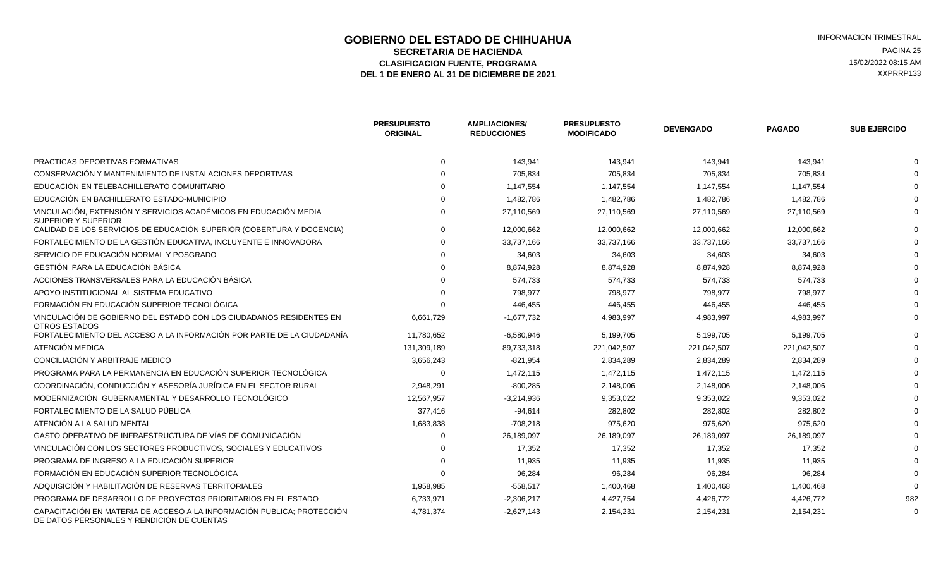### **GOBIERNO DEL ESTADO DE CHIHUAHUA EN ENTRE EN ENGLANDE DE COBIERNO DEL ESTADO DE CHIHUAHUA**<br>SECRETARIA DE HACIENDA **SECRETARIA DE HACIENDA** PAGINA 25<br>**ASIFICACION FUENTE. PROGRAMA** PAGINA ASIFICACION FUENTE. PROGRAMA ELASIFICACION FUENTE, PROGRAMA **15/02/2022 08:15 AM** 15/02/2022 08:15 AM 15/02/2022 08:15 AM 2013<br>L 1 DE ENERO AL 31 DE DICIEMBRE DE 2021 DEL 1 DE ENERO AL 31 DE DICIEMBRE DE 2021

|                                                                                                                      | <b>PRESUPUESTO</b><br><b>ORIGINAL</b> | <b>AMPLIACIONES/</b><br><b>REDUCCIONES</b> | <b>PRESUPUESTO</b><br><b>MODIFICADO</b> | <b>DEVENGADO</b> | <b>PAGADO</b> | <b>SUB EJERCIDO</b> |
|----------------------------------------------------------------------------------------------------------------------|---------------------------------------|--------------------------------------------|-----------------------------------------|------------------|---------------|---------------------|
| PRACTICAS DEPORTIVAS FORMATIVAS                                                                                      |                                       | 143,941                                    | 143,941                                 | 143,941          | 143,941       |                     |
| CONSERVACIÓN Y MANTENIMIENTO DE INSTALACIONES DEPORTIVAS                                                             |                                       | 705,834                                    | 705,834                                 | 705,834          | 705,834       |                     |
| EDUCACIÓN EN TELEBACHILLERATO COMUNITARIO                                                                            |                                       | 1,147,554                                  | 1,147,554                               | 1,147,554        | 1,147,554     |                     |
| EDUCACIÓN EN BACHILLERATO ESTADO-MUNICIPIO                                                                           |                                       | 1,482,786                                  | 1,482,786                               | 1,482,786        | 1,482,786     |                     |
| VINCULACIÓN, EXTENSIÓN Y SERVICIOS ACADÉMICOS EN EDUCACIÓN MEDIA<br><b>SUPERIOR Y SUPERIOR</b>                       |                                       | 27,110,569                                 | 27,110,569                              | 27,110,569       | 27,110,569    |                     |
| CALIDAD DE LOS SERVICIOS DE EDUCACIÓN SUPERIOR (COBERTURA Y DOCENCIA)                                                |                                       | 12,000,662                                 | 12,000,662                              | 12,000,662       | 12,000,662    |                     |
| FORTALECIMIENTO DE LA GESTIÓN EDUCATIVA, INCLUYENTE E INNOVADORA                                                     |                                       | 33,737,166                                 | 33,737,166                              | 33,737,166       | 33,737,166    |                     |
| SERVICIO DE EDUCACIÓN NORMAL Y POSGRADO                                                                              |                                       | 34,603                                     | 34,603                                  | 34,603           | 34,603        |                     |
| GESTIÓN PARA LA EDUCACIÓN BÁSICA                                                                                     |                                       | 8,874,928                                  | 8,874,928                               | 8,874,928        | 8,874,928     |                     |
| ACCIONES TRANSVERSALES PARA LA EDUCACIÓN BÁSICA                                                                      |                                       | 574,733                                    | 574,733                                 | 574,733          | 574,733       |                     |
| APOYO INSTITUCIONAL AL SISTEMA EDUCATIVO                                                                             |                                       | 798,977                                    | 798,977                                 | 798,977          | 798,977       |                     |
| FORMACIÓN EN EDUCACIÓN SUPERIOR TECNOLÓGICA                                                                          |                                       | 446,455                                    | 446,455                                 | 446,455          | 446,455       |                     |
| VINCULACIÓN DE GOBIERNO DEL ESTADO CON LOS CIUDADANOS RESIDENTES EN<br><b>OTROS ESTADOS</b>                          | 6,661,729                             | $-1,677,732$                               | 4,983,997                               | 4,983,997        | 4,983,997     |                     |
| FORTALECIMIENTO DEL ACCESO A LA INFORMACIÓN POR PARTE DE LA CIUDADANÍA                                               | 11,780,652                            | $-6,580,946$                               | 5,199,705                               | 5,199,705        | 5,199,705     |                     |
| ATENCIÓN MEDICA                                                                                                      | 131,309,189                           | 89,733,318                                 | 221,042,507                             | 221,042,507      | 221,042,507   |                     |
| CONCILIACIÓN Y ARBITRAJE MEDICO                                                                                      | 3,656,243                             | $-821,954$                                 | 2,834,289                               | 2,834,289        | 2,834,289     |                     |
| PROGRAMA PARA LA PERMANENCIA EN EDUCACIÓN SUPERIOR TECNOLÓGICA                                                       | $\Omega$                              | 1,472,115                                  | 1,472,115                               | 1,472,115        | 1,472,115     |                     |
| COORDINACIÓN, CONDUCCIÓN Y ASESORÍA JURÍDICA EN EL SECTOR RURAL                                                      | 2,948,291                             | $-800,285$                                 | 2,148,006                               | 2,148,006        | 2,148,006     |                     |
| MODERNIZACIÓN GUBERNAMENTAL Y DESARROLLO TECNOLÓGICO                                                                 | 12,567,957                            | $-3,214,936$                               | 9,353,022                               | 9,353,022        | 9,353,022     |                     |
| FORTALECIMIENTO DE LA SALUD PÚBLICA                                                                                  | 377,416                               | $-94,614$                                  | 282,802                                 | 282,802          | 282,802       |                     |
| ATENCIÓN A LA SALUD MENTAL                                                                                           | 1,683,838                             | $-708,218$                                 | 975,620                                 | 975,620          | 975,620       |                     |
| GASTO OPERATIVO DE INFRAESTRUCTURA DE VÍAS DE COMUNICACIÓN                                                           | $\Omega$                              | 26,189,097                                 | 26,189,097                              | 26,189,097       | 26,189,097    |                     |
| VINCULACIÓN CON LOS SECTORES PRODUCTIVOS, SOCIALES Y EDUCATIVOS                                                      |                                       | 17,352                                     | 17,352                                  | 17,352           | 17,352        |                     |
| PROGRAMA DE INGRESO A LA EDUCACIÓN SUPERIOR                                                                          |                                       | 11,935                                     | 11,935                                  | 11,935           | 11,935        |                     |
| FORMACIÓN EN EDUCACIÓN SUPERIOR TECNOLÓGICA                                                                          |                                       | 96.284                                     | 96.284                                  | 96.284           | 96,284        |                     |
| ADQUISICIÓN Y HABILITACIÓN DE RESERVAS TERRITORIALES                                                                 | 1,958,985                             | $-558,517$                                 | 1,400,468                               | 1,400,468        | 1,400,468     |                     |
| PROGRAMA DE DESARROLLO DE PROYECTOS PRIORITARIOS EN EL ESTADO                                                        | 6,733,971                             | $-2,306,217$                               | 4,427,754                               | 4,426,772        | 4,426,772     | 982                 |
| CAPACITACIÓN EN MATERIA DE ACCESO A LA INFORMACIÓN PUBLICA: PROTECCIÓN<br>DE DATOS PERSONALES Y RENDICIÓN DE CUENTAS | 4,781,374                             | $-2,627,143$                               | 2,154,231                               | 2,154,231        | 2,154,231     |                     |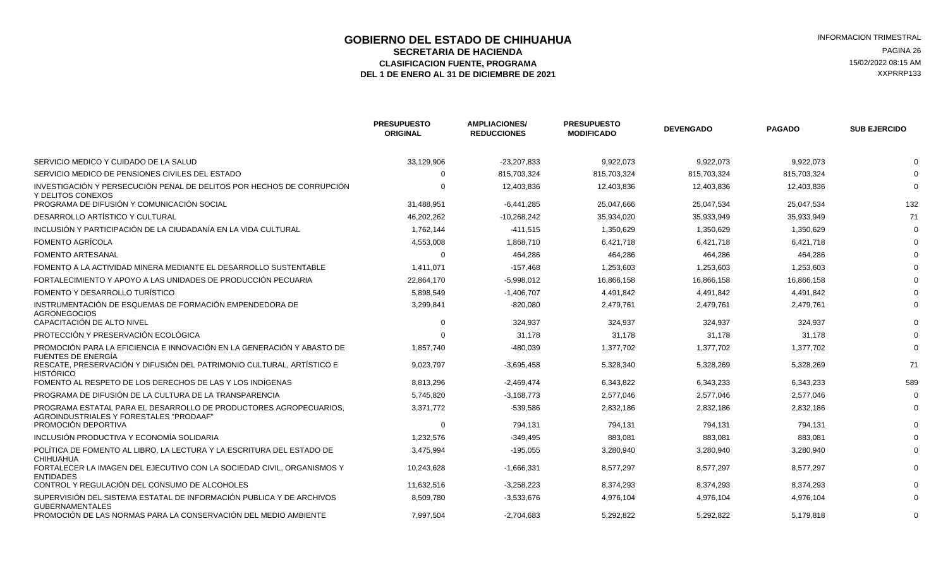### **GOBIERNO DEL ESTADO DE CHIHUAHUA EN ENGLÉ EN ENGLÉ ESTADO DE CHIHUAHUA EN ENGLÉ EN ENGLÉ EN ENGLÉ EN EL ESTRAL**<br>SECRETARIA DE HACIENDA **SECRETARIA DE HACIENDA** PAGINA 26<br>**ASIFICACION FUENTE. PROGRAMA** PAGINA ASIFICACION FUENTE. PROGRAMA ELASIFICACION FUENTE, PROGRAMA **15/02/2022 08:15 AM**<br>1 DE ENERO AL 31 DE DICIEMBRE DE 2021 **1999 - 1999 - 1999 - 1999 - 1999 - 1999 - 1999 - 1999 - 1999 - 1999 - 1**<br>1 DE ENERO AL 31 DE DICIEMBRE DE 2021 DEL 1 DE ENERO AL 31 DE DICIEMBRE DE 2021

|                                                                                                              | <b>PRESUPUESTO</b><br><b>ORIGINAL</b> | <b>AMPLIACIONES/</b><br><b>REDUCCIONES</b> | <b>PRESUPUESTO</b><br><b>MODIFICADO</b> | <b>DEVENGADO</b> | <b>PAGADO</b> | <b>SUB EJERCIDO</b> |
|--------------------------------------------------------------------------------------------------------------|---------------------------------------|--------------------------------------------|-----------------------------------------|------------------|---------------|---------------------|
| SERVICIO MEDICO Y CUIDADO DE LA SALUD                                                                        | 33,129,906                            | $-23,207,833$                              | 9,922,073                               | 9,922,073        | 9,922,073     |                     |
| SERVICIO MEDICO DE PENSIONES CIVILES DEL ESTADO                                                              |                                       | 815,703,324                                | 815,703,324                             | 815,703,324      | 815,703,324   |                     |
| INVESTIGACIÓN Y PERSECUCIÓN PENAL DE DELITOS POR HECHOS DE CORRUPCIÓN<br>Y DELITOS CONEXOS                   |                                       | 12,403,836                                 | 12,403,836                              | 12,403,836       | 12,403,836    |                     |
| PROGRAMA DE DIFUSIÓN Y COMUNICACIÓN SOCIAL                                                                   | 31,488,951                            | $-6,441,285$                               | 25,047,666                              | 25,047,534       | 25,047,534    | 132                 |
| DESARROLLO ARTÍSTICO Y CULTURAL                                                                              | 46,202,262                            | $-10,268,242$                              | 35,934,020                              | 35,933,949       | 35,933,949    | 71                  |
| INCLUSIÓN Y PARTICIPACIÓN DE LA CIUDADANÍA EN LA VIDA CULTURAL                                               | 1,762,144                             | $-411,515$                                 | 1,350,629                               | 1,350,629        | 1,350,629     |                     |
| FOMENTO AGRÍCOLA                                                                                             | 4,553,008                             | 1,868,710                                  | 6,421,718                               | 6,421,718        | 6,421,718     |                     |
| <b>FOMENTO ARTESANAL</b>                                                                                     | $\Omega$                              | 464,286                                    | 464,286                                 | 464,286          | 464,286       |                     |
| FOMENTO A LA ACTIVIDAD MINERA MEDIANTE EL DESARROLLO SUSTENTABLE                                             | 1,411,071                             | $-157,468$                                 | 1,253,603                               | 1,253,603        | 1,253,603     |                     |
| FORTALECIMIENTO Y APOYO A LAS UNIDADES DE PRODUCCIÓN PECUARIA                                                | 22,864,170                            | $-5,998,012$                               | 16,866,158                              | 16,866,158       | 16,866,158    |                     |
| FOMENTO Y DESARROLLO TURÍSTICO                                                                               | 5,898,549                             | $-1,406,707$                               | 4,491,842                               | 4,491,842        | 4,491,842     |                     |
| INSTRUMENTACIÓN DE ESQUEMAS DE FORMACIÓN EMPENDEDORA DE<br><b>AGRONEGOCIOS</b>                               | 3,299,841                             | $-820,080$                                 | 2,479,761                               | 2,479,761        | 2,479,761     |                     |
| CAPACITACIÓN DE ALTO NIVEL                                                                                   | $\Omega$                              | 324,937                                    | 324,937                                 | 324,937          | 324,937       |                     |
| PROTECCIÓN Y PRESERVACIÓN ECOLÓGICA                                                                          |                                       | 31,178                                     | 31,178                                  | 31,178           | 31,178        |                     |
| PROMOCIÓN PARA LA EFICIENCIA E INNOVACIÓN EN LA GENERACIÓN Y ABASTO DE<br><b>FUENTES DE ENERGÍA</b>          | 1,857,740                             | $-480,039$                                 | 1,377,702                               | 1,377,702        | 1,377,702     |                     |
| RESCATE, PRESERVACIÓN Y DIFUSIÓN DEL PATRIMONIO CULTURAL, ARTÍSTICO E<br><b>HISTÓRICO</b>                    | 9,023,797                             | $-3,695,458$                               | 5,328,340                               | 5,328,269        | 5,328,269     | 71                  |
| FOMENTO AL RESPETO DE LOS DERECHOS DE LAS Y LOS INDÍGENAS                                                    | 8,813,296                             | $-2,469,474$                               | 6,343,822                               | 6,343,233        | 6,343,233     | 589                 |
| PROGRAMA DE DIFUSIÓN DE LA CULTURA DE LA TRANSPARENCIA                                                       | 5,745,820                             | $-3,168,773$                               | 2,577,046                               | 2,577,046        | 2,577,046     |                     |
| PROGRAMA ESTATAL PARA EL DESARROLLO DE PRODUCTORES AGROPECUARIOS.<br>AGROINDUSTRIALES Y FORESTALES "PRODAAF" | 3,371,772                             | $-539,586$                                 | 2,832,186                               | 2,832,186        | 2,832,186     |                     |
| PROMOCIÓN DEPORTIVA                                                                                          | $\Omega$                              | 794,131                                    | 794,131                                 | 794,131          | 794,131       |                     |
| INCLUSIÓN PRODUCTIVA Y ECONOMÍA SOLIDARIA                                                                    | 1,232,576                             | $-349,495$                                 | 883,081                                 | 883,081          | 883,081       |                     |
| POLÍTICA DE FOMENTO AL LIBRO. LA LECTURA Y LA ESCRITURA DEL ESTADO DE<br><b>CHIHUAHUA</b>                    | 3,475,994                             | $-195,055$                                 | 3,280,940                               | 3,280,940        | 3,280,940     |                     |
| FORTALECER LA IMAGEN DEL EJECUTIVO CON LA SOCIEDAD CIVIL. ORGANISMOS Y<br><b>ENTIDADES</b>                   | 10,243,628                            | $-1,666,331$                               | 8,577,297                               | 8,577,297        | 8,577,297     |                     |
| CONTROL Y REGULACIÓN DEL CONSUMO DE ALCOHOLES                                                                | 11,632,516                            | $-3,258,223$                               | 8,374,293                               | 8,374,293        | 8,374,293     |                     |
| SUPERVISIÓN DEL SISTEMA ESTATAL DE INFORMACIÓN PUBLICA Y DE ARCHIVOS<br><b>GUBERNAMENTALES</b>               | 8,509,780                             | $-3,533,676$                               | 4,976,104                               | 4,976,104        | 4,976,104     |                     |
| PROMOCIÓN DE LAS NORMAS PARA LA CONSERVACIÓN DEL MEDIO AMBIENTE                                              | 7,997,504                             | $-2,704,683$                               | 5,292,822                               | 5,292,822        | 5,179,818     |                     |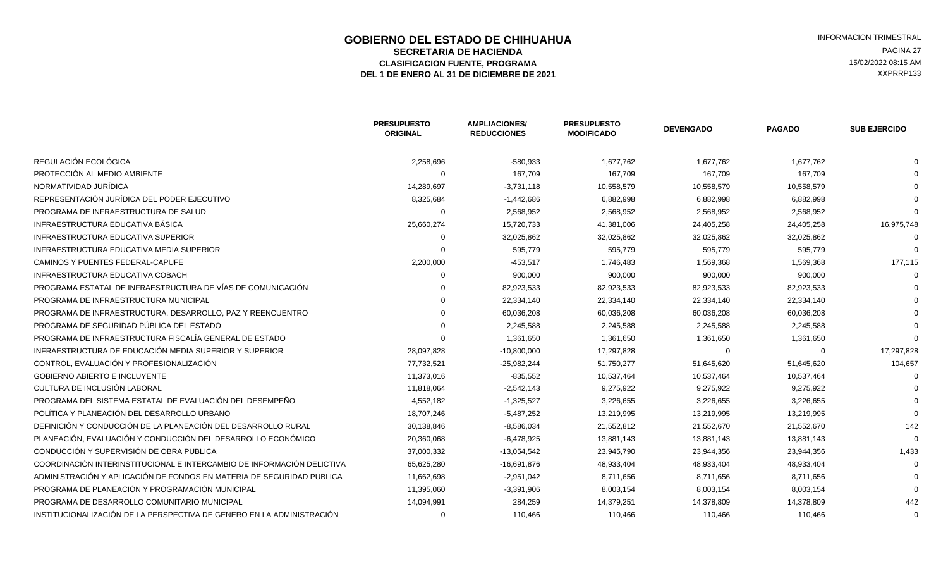### **GOBIERNO DEL ESTADO DE CHIHUAHUA EN ENGLÉ EN ENGLÉ ESTADO DE CHIHUAHUA EN ENGLÉ EN ENGLÉ EN EL ESTRAL EN ENGLÉ<br>SECRETARIA DE HACIENDA SECRETARIA DE HACIENDA** PAGINA 27<br>**ASIFICACION FUENTE. PROGRAMA** PAGINA ASIFICACION FUENTE. PROGRAMA ELASIFICACION FUENTE, PROGRAMA **15/02/2022 08:15 AM**<br>1 DE ENERO AL 31 DE DICIEMBRE DE 2021 **1999 - 1999 - 1999 - 1999 - 1999 - 1999 - 1999 - 1999 - 1999 - 1999 - 1**<br>1 DE ENERO AL 31 DE DICIEMBRE DE 2021 DEL 1 DE ENERO AL 31 DE DICIEMBRE DE 2021

|                                                                        | <b>PRESUPUESTO</b><br><b>ORIGINAL</b> | <b>AMPLIACIONES/</b><br><b>REDUCCIONES</b> | <b>PRESUPUESTO</b><br><b>MODIFICADO</b> | <b>DEVENGADO</b> | <b>PAGADO</b> | <b>SUB EJERCIDO</b> |
|------------------------------------------------------------------------|---------------------------------------|--------------------------------------------|-----------------------------------------|------------------|---------------|---------------------|
| REGULACIÓN ECOLÓGICA                                                   | 2,258,696                             | $-580,933$                                 | 1,677,762                               | 1,677,762        | 1,677,762     |                     |
| PROTECCIÓN AL MEDIO AMBIENTE                                           | $\Omega$                              | 167,709                                    | 167,709                                 | 167,709          | 167,709       |                     |
| NORMATIVIDAD JURÍDICA                                                  | 14,289,697                            | $-3,731,118$                               | 10,558,579                              | 10,558,579       | 10,558,579    |                     |
| REPRESENTACIÓN JURÍDICA DEL PODER EJECUTIVO                            | 8,325,684                             | $-1,442,686$                               | 6,882,998                               | 6,882,998        | 6,882,998     |                     |
| PROGRAMA DE INFRAESTRUCTURA DE SALUD                                   | $\Omega$                              | 2,568,952                                  | 2,568,952                               | 2,568,952        | 2,568,952     |                     |
| INFRAESTRUCTURA EDUCATIVA BÁSICA                                       | 25,660,274                            | 15,720,733                                 | 41,381,006                              | 24,405,258       | 24,405,258    | 16,975,748          |
| INFRAESTRUCTURA EDUCATIVA SUPERIOR                                     | 0                                     | 32,025,862                                 | 32,025,862                              | 32,025,862       | 32,025,862    |                     |
| <b>INFRAESTRUCTURA EDUCATIVA MEDIA SUPERIOR</b>                        | 0                                     | 595,779                                    | 595,779                                 | 595,779          | 595,779       |                     |
| CAMINOS Y PUENTES FEDERAL-CAPUFE                                       | 2,200,000                             | $-453,517$                                 | 1,746,483                               | 1,569,368        | 1,569,368     | 177,115             |
| <b>INFRAESTRUCTURA EDUCATIVA COBACH</b>                                |                                       | 900,000                                    | 900,000                                 | 900,000          | 900,000       |                     |
| PROGRAMA ESTATAL DE INFRAESTRUCTURA DE VÍAS DE COMUNICACIÓN            |                                       | 82,923,533                                 | 82,923,533                              | 82,923,533       | 82,923,533    |                     |
| PROGRAMA DE INFRAESTRUCTURA MUNICIPAL                                  |                                       | 22,334,140                                 | 22,334,140                              | 22,334,140       | 22,334,140    |                     |
| PROGRAMA DE INFRAESTRUCTURA, DESARROLLO, PAZ Y REENCUENTRO             |                                       | 60,036,208                                 | 60,036,208                              | 60,036,208       | 60,036,208    |                     |
| PROGRAMA DE SEGURIDAD PÚBLICA DEL ESTADO                               |                                       | 2,245,588                                  | 2,245,588                               | 2,245,588        | 2,245,588     |                     |
| PROGRAMA DE INFRAESTRUCTURA FISCALÍA GENERAL DE ESTADO                 |                                       | 1,361,650                                  | 1,361,650                               | 1,361,650        | 1,361,650     |                     |
| INFRAESTRUCTURA DE EDUCACIÓN MEDIA SUPERIOR Y SUPERIOR                 | 28,097,828                            | $-10,800,000$                              | 17,297,828                              | 0                | $\Omega$      | 17,297,828          |
| CONTROL. EVALUACIÓN Y PROFESIONALIZACIÓN                               | 77,732,521                            | $-25,982,244$                              | 51,750,277                              | 51,645,620       | 51,645,620    | 104,657             |
| <b>GOBIERNO ABIERTO E INCLUYENTE</b>                                   | 11,373,016                            | $-835,552$                                 | 10,537,464                              | 10,537,464       | 10,537,464    |                     |
| CULTURA DE INCLUSIÓN LABORAL                                           | 11,818,064                            | $-2,542,143$                               | 9,275,922                               | 9,275,922        | 9,275,922     |                     |
| PROGRAMA DEL SISTEMA ESTATAL DE EVALUACIÓN DEL DESEMPEÑO               | 4,552,182                             | $-1,325,527$                               | 3,226,655                               | 3,226,655        | 3,226,655     |                     |
| POLÍTICA Y PLANEACIÓN DEL DESARROLLO URBANO                            | 18,707,246                            | $-5,487,252$                               | 13,219,995                              | 13,219,995       | 13,219,995    |                     |
| DEFINICIÓN Y CONDUCCIÓN DE LA PLANEACIÓN DEL DESARROLLO RURAL          | 30,138,846                            | $-8,586,034$                               | 21,552,812                              | 21,552,670       | 21,552,670    | 142                 |
| PLANEACIÓN, EVALUACIÓN Y CONDUCCIÓN DEL DESARROLLO ECONÓMICO           | 20,360,068                            | $-6,478,925$                               | 13,881,143                              | 13,881,143       | 13,881,143    |                     |
| CONDUCCIÓN Y SUPERVISIÓN DE OBRA PUBLICA                               | 37,000,332                            | $-13,054,542$                              | 23,945,790                              | 23,944,356       | 23,944,356    | 1,433               |
| COORDINACIÓN INTERINSTITUCIONAL E INTERCAMBIO DE INFORMACIÓN DELICTIVA | 65,625,280                            | $-16,691,876$                              | 48,933,404                              | 48,933,404       | 48,933,404    |                     |
| ADMINISTRACIÓN Y APLICACIÓN DE FONDOS EN MATERIA DE SEGURIDAD PUBLICA  | 11,662,698                            | $-2,951,042$                               | 8,711,656                               | 8,711,656        | 8,711,656     |                     |
| PROGRAMA DE PLANEACIÓN Y PROGRAMACIÓN MUNICIPAL                        | 11,395,060                            | $-3,391,906$                               | 8,003,154                               | 8,003,154        | 8,003,154     |                     |
| PROGRAMA DE DESARROLLO COMUNITARIO MUNICIPAL                           | 14,094,991                            | 284,259                                    | 14,379,251                              | 14,378,809       | 14,378,809    | 442                 |
| INSTITUCIONALIZACIÓN DE LA PERSPECTIVA DE GENERO EN LA ADMINISTRACIÓN  | 0                                     | 110,466                                    | 110,466                                 | 110,466          | 110,466       | 0                   |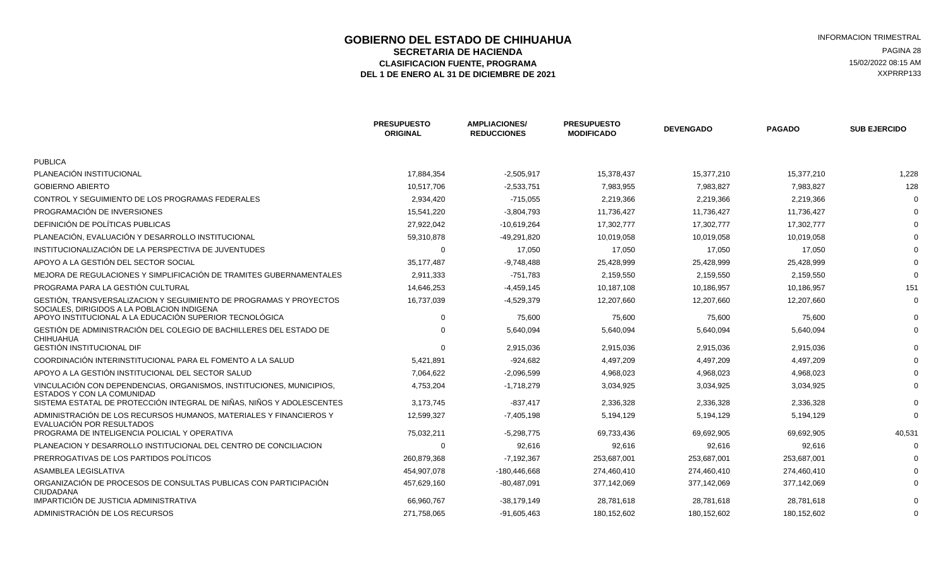# **GOBIERNO DEL ESTADO DE CHIHUAHUA EN ENGLÉ EN ENGLÉ ESTADO DE CHIHUAHUA**<br>SECRETARIA DE HACIENDA EN ENGLÉ EN ENGLÉ EN ENGLÉ EN ENGLÉ EN ENGLÉ EN ENGLÉ EN ENGLÉ EN ENGLÉ EN ENGLÉ EN EN **SECRETARIA DE HACIENDA** PAGINA 28<br>ASIFICACION FUENTE, PROGRAMA PAGINA EN EL ENTREGADO DE EL ENTREGADO DE EL ENTREGADO DE EL ENTREGADO DE EL ENTR ELASIFICACION FUENTE, PROGRAMA **15/02/2022 08:15 AM** 15/02/2022 08:15 AM 15/02/2022 08:15 AM 2013<br>L 1 DE ENERO AL 31 DE DICIEMBRE DE 2021 DEL 1 DE ENERO AL 31 DE DICIEMBRE DE 2021

|                                                                                                                   | <b>PRESUPUESTO</b><br><b>ORIGINAL</b> | <b>AMPLIACIONES/</b><br><b>REDUCCIONES</b> | <b>PRESUPUESTO</b><br><b>MODIFICADO</b> | <b>DEVENGADO</b> | <b>PAGADO</b> | <b>SUB EJERCIDO</b> |
|-------------------------------------------------------------------------------------------------------------------|---------------------------------------|--------------------------------------------|-----------------------------------------|------------------|---------------|---------------------|
| <b>PUBLICA</b>                                                                                                    |                                       |                                            |                                         |                  |               |                     |
| PLANEACIÓN INSTITUCIONAL                                                                                          | 17,884,354                            | $-2,505,917$                               | 15,378,437                              | 15,377,210       | 15,377,210    | 1,228               |
| <b>GOBIERNO ABIERTO</b>                                                                                           | 10,517,706                            | $-2,533,751$                               | 7,983,955                               | 7,983,827        | 7,983,827     | 128                 |
| CONTROL Y SEGUIMIENTO DE LOS PROGRAMAS FEDERALES                                                                  | 2,934,420                             | $-715,055$                                 | 2,219,366                               | 2,219,366        | 2,219,366     |                     |
| PROGRAMACIÓN DE INVERSIONES                                                                                       | 15,541,220                            | $-3,804,793$                               | 11,736,427                              | 11,736,427       | 11,736,427    |                     |
| DEFINICIÓN DE POLÍTICAS PUBLICAS                                                                                  | 27,922,042                            | $-10,619,264$                              | 17,302,777                              | 17,302,777       | 17,302,777    |                     |
| PLANEACIÓN, EVALUACIÓN Y DESARROLLO INSTITUCIONAL                                                                 | 59,310,878                            | -49,291,820                                | 10,019,058                              | 10,019,058       | 10,019,058    |                     |
| INSTITUCIONALIZACIÓN DE LA PERSPECTIVA DE JUVENTUDES                                                              | $\Omega$                              | 17,050                                     | 17,050                                  | 17,050           | 17,050        |                     |
| APOYO A LA GESTIÓN DEL SECTOR SOCIAL                                                                              | 35,177,487                            | $-9,748,488$                               | 25,428,999                              | 25,428,999       | 25,428,999    |                     |
| MEJORA DE REGULACIONES Y SIMPLIFICACIÓN DE TRAMITES GUBERNAMENTALES                                               | 2,911,333                             | $-751,783$                                 | 2,159,550                               | 2,159,550        | 2,159,550     |                     |
| PROGRAMA PARA LA GESTIÓN CULTURAL                                                                                 | 14,646,253                            | $-4,459,145$                               | 10,187,108                              | 10,186,957       | 10,186,957    | 151                 |
| GESTIÓN. TRANSVERSALIZACION Y SEGUIMIENTO DE PROGRAMAS Y PROYECTOS<br>SOCIALES, DIRIGIDOS A LA POBLACION INDIGENA | 16,737,039                            | $-4,529,379$                               | 12,207,660                              | 12,207,660       | 12,207,660    |                     |
| APOYO INSTITUCIONAL A LA EDUCACIÓN SUPERIOR TECNOLÓGICA                                                           | $\Omega$                              | 75,600                                     | 75,600                                  | 75,600           | 75,600        |                     |
| GESTIÓN DE ADMINISTRACIÓN DEL COLEGIO DE BACHILLERES DEL ESTADO DE<br><b>CHIHUAHUA</b>                            | $\Omega$                              | 5,640,094                                  | 5,640,094                               | 5,640,094        | 5,640,094     |                     |
| <b>GESTIÓN INSTITUCIONAL DIF</b>                                                                                  | $\Omega$                              | 2,915,036                                  | 2,915,036                               | 2,915,036        | 2,915,036     |                     |
| COORDINACIÓN INTERINSTITUCIONAL PARA EL FOMENTO A LA SALUD                                                        | 5,421,891                             | $-924,682$                                 | 4,497,209                               | 4,497,209        | 4,497,209     |                     |
| APOYO A LA GESTIÓN INSTITUCIONAL DEL SECTOR SALUD                                                                 | 7,064,622                             | $-2.096.599$                               | 4,968,023                               | 4,968,023        | 4,968,023     |                     |
| VINCULACIÓN CON DEPENDENCIAS, ORGANISMOS, INSTITUCIONES, MUNICIPIOS,<br>ESTADOS Y CON LA COMUNIDAD                | 4,753,204                             | $-1,718,279$                               | 3,034,925                               | 3,034,925        | 3,034,925     |                     |
| SISTEMA ESTATAL DE PROTECCIÓN INTEGRAL DE NIÑAS, NIÑOS Y ADOLESCENTES                                             | 3,173,745                             | $-837,417$                                 | 2,336,328                               | 2,336,328        | 2,336,328     |                     |
| ADMINISTRACIÓN DE LOS RECURSOS HUMANOS, MATERIALES Y FINANCIEROS Y<br>EVALUACIÓN POR RESULTADOS                   | 12,599,327                            | $-7,405,198$                               | 5,194,129                               | 5,194,129        | 5,194,129     |                     |
| PROGRAMA DE INTELIGENCIA POLICIAL Y OPERATIVA                                                                     | 75,032,211                            | $-5,298,775$                               | 69,733,436                              | 69,692,905       | 69,692,905    | 40,531              |
| PLANEACION Y DESARROLLO INSTITUCIONAL DEL CENTRO DE CONCILIACION                                                  | $\Omega$                              | 92,616                                     | 92,616                                  | 92,616           | 92,616        |                     |
| PRERROGATIVAS DE LOS PARTIDOS POLÍTICOS                                                                           | 260,879,368                           | $-7,192,367$                               | 253,687,001                             | 253,687,001      | 253,687,001   |                     |
| ASAMBLEA LEGISLATIVA                                                                                              | 454,907,078                           | -180,446,668                               | 274,460,410                             | 274,460,410      | 274,460,410   |                     |
| ORGANIZACIÓN DE PROCESOS DE CONSULTAS PUBLICAS CON PARTICIPACIÓN<br><b>CIUDADANA</b>                              | 457,629,160                           | $-80,487,091$                              | 377,142,069                             | 377,142,069      | 377,142,069   |                     |
| IMPARTICIÓN DE JUSTICIA ADMINISTRATIVA                                                                            | 66,960,767                            | $-38,179,149$                              | 28,781,618                              | 28,781,618       | 28,781,618    |                     |
| ADMINISTRACIÓN DE LOS RECURSOS                                                                                    | 271,758,065                           | -91,605,463                                | 180,152,602                             | 180,152,602      | 180,152,602   |                     |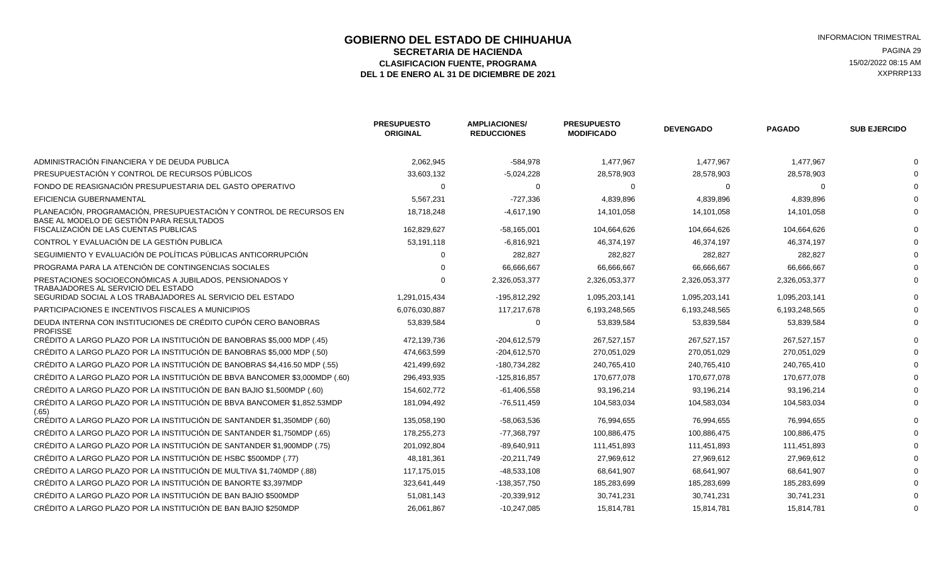# **GOBIERNO DEL ESTADO DE CHIHUAHUA EN ENTRE EN ENGLANDE DE COBIERNO DEL ESTADO DE CHIHUAHUA**<br>SECRETARIA DE HACIENDA **SECRETARIA DE HACIENDA** PAGINA 29<br>ASIFICACION FUENTE. PROGRAMA PAGINA ELECCIÓN EL ENTREGADO DE ELECCIÓN EL ENTREGADO DE ELECCIÓN EN EL EL EL ENT ELASIFICACION FUENTE, PROGRAMA **15/02/2022 08:15 AM** 15/02/2022 08:15 AM 15/02/2022 08:15 AM 2013<br>L 1 DE ENERO AL 31 DE DICIEMBRE DE 2021 DEL 1 DE ENERO AL 31 DE DICIEMBRE DE 2021

|                                                                                                                 | <b>PRESUPUESTO</b><br><b>ORIGINAL</b> | <b>AMPLIACIONES/</b><br><b>REDUCCIONES</b> | <b>PRESUPUESTO</b><br><b>MODIFICADO</b> | <b>DEVENGADO</b> | <b>PAGADO</b> | <b>SUB EJERCIDO</b> |
|-----------------------------------------------------------------------------------------------------------------|---------------------------------------|--------------------------------------------|-----------------------------------------|------------------|---------------|---------------------|
| ADMINISTRACIÓN FINANCIERA Y DE DEUDA PUBLICA                                                                    | 2,062,945                             | $-584,978$                                 | 1,477,967                               | 1,477,967        | 1,477,967     |                     |
| PRESUPUESTACIÓN Y CONTROL DE RECURSOS PÚBLICOS                                                                  | 33,603,132                            | $-5,024,228$                               | 28,578,903                              | 28,578,903       | 28,578,903    |                     |
| FONDO DE REASIGNACIÓN PRESUPUESTARIA DEL GASTO OPERATIVO                                                        | $\Omega$                              | $\Omega$                                   | $\Omega$                                | $\Omega$         |               |                     |
| EFICIENCIA GUBERNAMENTAL                                                                                        | 5,567,231                             | $-727,336$                                 | 4,839,896                               | 4,839,896        | 4,839,896     |                     |
| PLANEACIÓN, PROGRAMACIÓN, PRESUPUESTACIÓN Y CONTROL DE RECURSOS EN<br>BASE AL MODELO DE GESTIÓN PARA RESULTADOS | 18,718,248                            | $-4,617,190$                               | 14,101,058                              | 14,101,058       | 14,101,058    |                     |
| FISCALIZACIÓN DE LAS CUENTAS PUBLICAS                                                                           | 162,829,627                           | $-58,165,001$                              | 104,664,626                             | 104,664,626      | 104,664,626   |                     |
| CONTROL Y EVALUACIÓN DE LA GESTIÓN PUBLICA                                                                      | 53,191,118                            | $-6,816,921$                               | 46,374,197                              | 46,374,197       | 46,374,197    |                     |
| SEGUIMIENTO Y EVALUACIÓN DE POLÍTICAS PÚBLICAS ANTICORRUPCIÓN                                                   |                                       | 282,827                                    | 282,827                                 | 282,827          | 282,827       |                     |
| PROGRAMA PARA LA ATENCIÓN DE CONTINGENCIAS SOCIALES                                                             |                                       | 66,666,667                                 | 66,666,667                              | 66,666,667       | 66,666,667    |                     |
| PRESTACIONES SOCIOECONÓMICAS A JUBILADOS, PENSIONADOS Y<br>TRABAJADORES AL SERVICIO DEL ESTADO                  |                                       | 2,326,053,377                              | 2,326,053,377                           | 2,326,053,377    | 2,326,053,377 |                     |
| SEGURIDAD SOCIAL A LOS TRABAJADORES AL SERVICIO DEL ESTADO                                                      | 1,291,015,434                         | -195,812,292                               | 1,095,203,141                           | 1,095,203,141    | 1,095,203,141 |                     |
| PARTICIPACIONES E INCENTIVOS FISCALES A MUNICIPIOS                                                              | 6,076,030,887                         | 117,217,678                                | 6,193,248,565                           | 6,193,248,565    | 6,193,248,565 |                     |
| DEUDA INTERNA CON INSTITUCIONES DE CRÉDITO CUPÓN CERO BANOBRAS<br><b>PROFISSE</b>                               | 53,839,584                            | $\Omega$                                   | 53,839,584                              | 53,839,584       | 53,839,584    |                     |
| CRÉDITO A LARGO PLAZO POR LA INSTITUCIÓN DE BANOBRAS \$5,000 MDP (.45)                                          | 472,139,736                           | $-204,612,579$                             | 267,527,157                             | 267,527,157      | 267,527,157   |                     |
| CRÉDITO A LARGO PLAZO POR LA INSTITUCIÓN DE BANOBRAS \$5,000 MDP (.50)                                          | 474,663,599                           | $-204,612,570$                             | 270,051,029                             | 270,051,029      | 270,051,029   |                     |
| CRÉDITO A LARGO PLAZO POR LA INSTITUCIÓN DE BANOBRAS \$4,416.50 MDP (.55)                                       | 421,499,692                           | -180,734,282                               | 240,765,410                             | 240,765,410      | 240,765,410   |                     |
| CRÉDITO A LARGO PLAZO POR LA INSTITUCIÓN DE BBVA BANCOMER \$3,000MDP (.60)                                      | 296,493,935                           | $-125,816,857$                             | 170,677,078                             | 170,677,078      | 170,677,078   |                     |
| CRÉDITO A LARGO PLAZO POR LA INSTITUCIÓN DE BAN BAJIO \$1,500MDP (.60)                                          | 154,602,772                           | $-61,406,558$                              | 93,196,214                              | 93,196,214       | 93,196,214    |                     |
| CRÉDITO A LARGO PLAZO POR LA INSTITUCIÓN DE BBVA BANCOMER \$1,852.53MDP<br>(.65)                                | 181,094,492                           | $-76,511,459$                              | 104,583,034                             | 104,583,034      | 104,583,034   |                     |
| CRÉDITO A LARGO PLAZO POR LA INSTITUCIÓN DE SANTANDER \$1,350MDP (.60)                                          | 135,058,190                           | -58,063,536                                | 76,994,655                              | 76,994,655       | 76,994,655    |                     |
| CRÉDITO A LARGO PLAZO POR LA INSTITUCIÓN DE SANTANDER \$1,750MDP (.65)                                          | 178,255,273                           | $-77,368,797$                              | 100,886,475                             | 100,886,475      | 100,886,475   |                     |
| CRÉDITO A LARGO PLAZO POR LA INSTITUCIÓN DE SANTANDER \$1,900MDP (.75)                                          | 201,092,804                           | $-89,640,911$                              | 111,451,893                             | 111,451,893      | 111,451,893   |                     |
| CRÉDITO A LARGO PLAZO POR LA INSTITUCIÓN DE HSBC \$500MDP (.77)                                                 | 48,181,361                            | $-20,211,749$                              | 27,969,612                              | 27,969,612       | 27,969,612    |                     |
| CRÉDITO A LARGO PLAZO POR LA INSTITUCIÓN DE MULTIVA \$1,740MDP (.88)                                            | 117,175,015                           | $-48,533,108$                              | 68,641,907                              | 68,641,907       | 68,641,907    |                     |
| CRÉDITO A LARGO PLAZO POR LA INSTITUCIÓN DE BANORTE \$3.397MDP                                                  | 323,641,449                           | -138,357,750                               | 185,283,699                             | 185,283,699      | 185,283,699   |                     |
| CRÉDITO A LARGO PLAZO POR LA INSTITUCIÓN DE BAN BAJIO \$500MDP                                                  | 51,081,143                            | $-20,339,912$                              | 30,741,231                              | 30,741,231       | 30,741,231    |                     |
| CRÉDITO A LARGO PLAZO POR LA INSTITUCIÓN DE BAN BAJIO \$250MDP                                                  | 26,061,867                            | $-10,247,085$                              | 15,814,781                              | 15,814,781       | 15,814,781    |                     |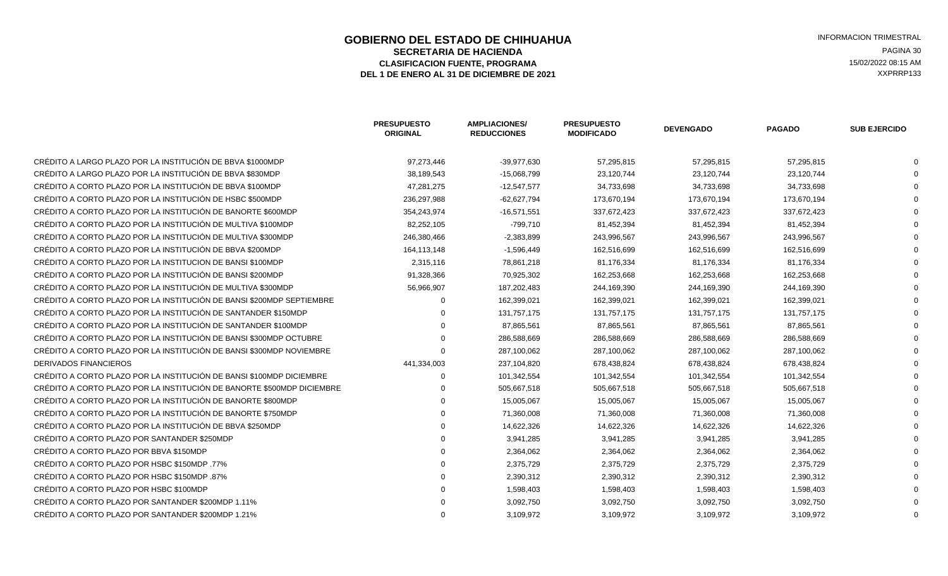### **GOBIERNO DEL ESTADO DE CHIHUAHUA EN ENTRE EN ENGLANDE DE CORTE DE CORTE DE LA ENFORMACION TRIMESTRAL<br>SECRETARIA DE HACIENDA SECRETARIA DE HACIENDA** PAGINA 30<br>ASIFICACION FUENTE. PROGRAMA PAGINA AND EXPLORER A SIFICACION FUENTE. PROGRAMA ELASIFICACION FUENTE, PROGRAMA **15/02/2022 08:15 AM**<br>1 DE ENERO AL 31 DE DICIEMBRE DE 2021 **1999 - 1999 - 1999 - 1999 - 1999 - 1999 - 1999 - 1999 - 1999 - 1999 - 1**<br>1 DE ENERO AL 31 DE DICIEMBRE DE 2021 DEL 1 DE ENERO AL 31 DE DICIEMBRE DE 2021

|                                                                        | <b>PRESUPUESTO</b><br><b>ORIGINAL</b> | <b>AMPLIACIONES/</b><br><b>REDUCCIONES</b> | <b>PRESUPUESTO</b><br><b>MODIFICADO</b> | <b>DEVENGADO</b> | <b>PAGADO</b> | <b>SUB EJERCIDO</b> |
|------------------------------------------------------------------------|---------------------------------------|--------------------------------------------|-----------------------------------------|------------------|---------------|---------------------|
| CRÉDITO A LARGO PLAZO POR LA INSTITUCIÓN DE BBVA \$1000MDP             | 97,273,446                            | -39,977,630                                | 57,295,815                              | 57,295,815       | 57,295,815    |                     |
| CRÉDITO A LARGO PLAZO POR LA INSTITUCIÓN DE BBVA \$830MDP              | 38,189,543                            | $-15,068,799$                              | 23,120,744                              | 23,120,744       | 23,120,744    |                     |
| CRÉDITO A CORTO PLAZO POR LA INSTITUCIÓN DE BBVA \$100MDP              | 47,281,275                            | $-12,547,577$                              | 34,733,698                              | 34,733,698       | 34,733,698    |                     |
| CRÉDITO A CORTO PLAZO POR LA INSTITUCIÓN DE HSBC \$500MDP              | 236,297,988                           | $-62,627,794$                              | 173,670,194                             | 173,670,194      | 173,670,194   |                     |
| CRÉDITO A CORTO PLAZO POR LA INSTITUCIÓN DE BANORTE \$600MDP           | 354,243,974                           | $-16,571,551$                              | 337,672,423                             | 337,672,423      | 337,672,423   |                     |
| CRÉDITO A CORTO PLAZO POR LA INSTITUCIÓN DE MULTIVA \$100MDP           | 82,252,105                            | $-799,710$                                 | 81,452,394                              | 81,452,394       | 81,452,394    |                     |
| CRÉDITO A CORTO PLAZO POR LA INSTITUCIÓN DE MULTIVA \$300MDP           | 246,380,466                           | $-2,383,899$                               | 243,996,567                             | 243,996,567      | 243,996,567   |                     |
| CRÉDITO A CORTO PLAZO POR LA INSTITUCIÓN DE BBVA \$200MDP              | 164,113,148                           | $-1,596,449$                               | 162,516,699                             | 162,516,699      | 162,516,699   |                     |
| CRÉDITO A CORTO PLAZO POR LA INSTITUCION DE BANSI \$100MDP             | 2,315,116                             | 78,861,218                                 | 81,176,334                              | 81,176,334       | 81,176,334    |                     |
| CRÉDITO A CORTO PLAZO POR LA INSTITUCIÓN DE BANSI \$200MDP             | 91,328,366                            | 70,925,302                                 | 162,253,668                             | 162,253,668      | 162,253,668   |                     |
| CRÉDITO A CORTO PLAZO POR LA INSTITUCIÓN DE MULTIVA \$300MDP           | 56,966,907                            | 187,202,483                                | 244,169,390                             | 244,169,390      | 244,169,390   |                     |
| CRÉDITO A CORTO PLAZO POR LA INSTITUCIÓN DE BANSI \$200MDP SEPTIEMBRE  |                                       | 162,399,021                                | 162,399,021                             | 162,399,021      | 162,399,021   |                     |
| CRÉDITO A CORTO PLAZO POR LA INSTITUCIÓN DE SANTANDER \$150MDP         |                                       | 131,757,175                                | 131,757,175                             | 131,757,175      | 131,757,175   |                     |
| CRÉDITO A CORTO PLAZO POR LA INSTITUCIÓN DE SANTANDER \$100MDP         |                                       | 87,865,561                                 | 87,865,561                              | 87,865,561       | 87,865,561    |                     |
| CRÉDITO A CORTO PLAZO POR LA INSTITUCIÓN DE BANSI \$300MDP OCTUBRE     |                                       | 286,588,669                                | 286,588,669                             | 286,588,669      | 286,588,669   |                     |
| CRÉDITO A CORTO PLAZO POR LA INSTITUCIÓN DE BANSI \$300MDP NOVIEMBRE   | $\Omega$                              | 287,100,062                                | 287,100,062                             | 287,100,062      | 287,100,062   |                     |
| <b>DERIVADOS FINANCIEROS</b>                                           | 441,334,003                           | 237,104,820                                | 678,438,824                             | 678,438,824      | 678,438,824   |                     |
| CRÉDITO A CORTO PLAZO POR LA INSTITUCIÓN DE BANSI \$100MDP DICIEMBRE   | 0                                     | 101,342,554                                | 101,342,554                             | 101,342,554      | 101,342,554   |                     |
| CRÉDITO A CORTO PLAZO POR LA INSTITUCIÓN DE BANORTE \$500MDP DICIEMBRE |                                       | 505,667,518                                | 505,667,518                             | 505,667,518      | 505,667,518   |                     |
| CRÉDITO A CORTO PLAZO POR LA INSTITUCIÓN DE BANORTE \$800MDP           |                                       | 15,005,067                                 | 15,005,067                              | 15,005,067       | 15,005,067    |                     |
| CRÉDITO A CORTO PLAZO POR LA INSTITUCIÓN DE BANORTE \$750MDP           |                                       | 71,360,008                                 | 71,360,008                              | 71,360,008       | 71,360,008    |                     |
| CRÉDITO A CORTO PLAZO POR LA INSTITUCIÓN DE BBVA \$250MDP              |                                       | 14,622,326                                 | 14,622,326                              | 14,622,326       | 14,622,326    |                     |
| CRÉDITO A CORTO PLAZO POR SANTANDER \$250MDP                           |                                       | 3,941,285                                  | 3,941,285                               | 3,941,285        | 3,941,285     |                     |
| CRÉDITO A CORTO PLAZO POR BBVA \$150MDP                                |                                       | 2,364,062                                  | 2,364,062                               | 2,364,062        | 2,364,062     |                     |
| CRÉDITO A CORTO PLAZO POR HSBC \$150MDP.77%                            |                                       | 2,375,729                                  | 2,375,729                               | 2,375,729        | 2,375,729     |                     |
| 67%. CRÉDITO A CORTO PLAZO POR HSBC \$150MDP                           |                                       | 2,390,312                                  | 2,390,312                               | 2,390,312        | 2,390,312     |                     |
| CRÉDITO A CORTO PLAZO POR HSBC \$100MDP                                |                                       | 1,598,403                                  | 1,598,403                               | 1,598,403        | 1,598,403     |                     |
| CRÉDITO A CORTO PLAZO POR SANTANDER \$200MDP 1.11%                     |                                       | 3,092,750                                  | 3,092,750                               | 3,092,750        | 3,092,750     |                     |
| CRÉDITO A CORTO PLAZO POR SANTANDER \$200MDP 1.21%                     |                                       | 3,109,972                                  | 3,109,972                               | 3,109,972        | 3,109,972     |                     |